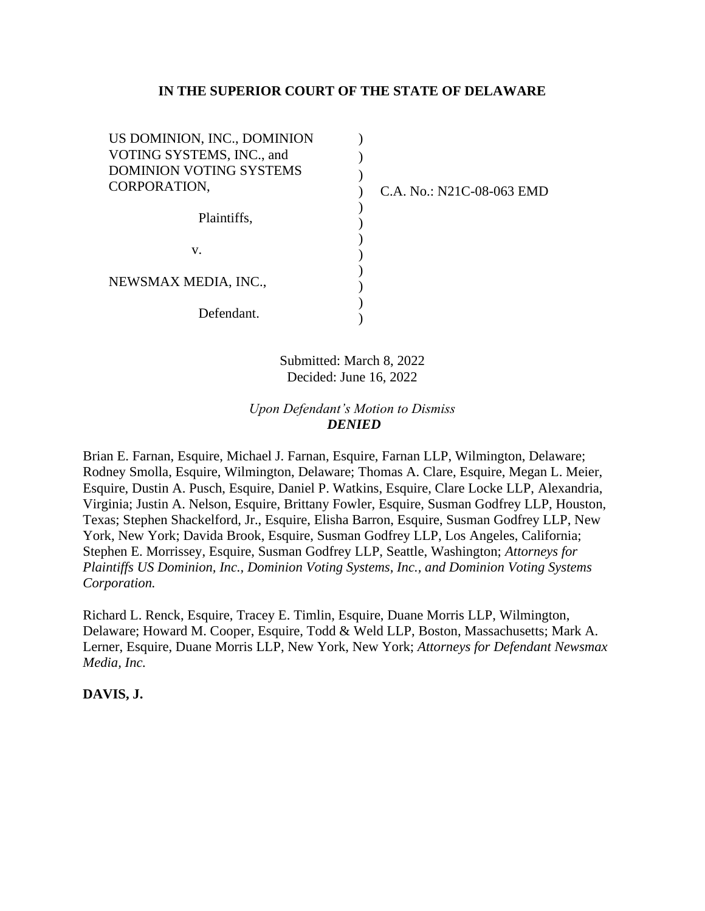# **IN THE SUPERIOR COURT OF THE STATE OF DELAWARE**

| US DOMINION, INC., DOMINION<br>VOTING SYSTEMS, INC., and<br><b>DOMINION VOTING SYSTEMS</b><br>CORPORATION, | C.A. No.: N21C-08-063 EMD |
|------------------------------------------------------------------------------------------------------------|---------------------------|
| Plaintiffs,                                                                                                |                           |
| v.                                                                                                         |                           |
| NEWSMAX MEDIA, INC.,                                                                                       |                           |
| Defendant.                                                                                                 |                           |

Submitted: March 8, 2022 Decided: June 16, 2022

*Upon Defendant's Motion to Dismiss DENIED*

Brian E. Farnan, Esquire, Michael J. Farnan, Esquire, Farnan LLP, Wilmington, Delaware; Rodney Smolla, Esquire, Wilmington, Delaware; Thomas A. Clare, Esquire, Megan L. Meier, Esquire, Dustin A. Pusch, Esquire, Daniel P. Watkins, Esquire, Clare Locke LLP, Alexandria, Virginia; Justin A. Nelson, Esquire, Brittany Fowler, Esquire, Susman Godfrey LLP, Houston, Texas; Stephen Shackelford, Jr., Esquire, Elisha Barron, Esquire, Susman Godfrey LLP, New York, New York; Davida Brook, Esquire, Susman Godfrey LLP, Los Angeles, California; Stephen E. Morrissey, Esquire, Susman Godfrey LLP, Seattle, Washington; *Attorneys for Plaintiffs US Dominion, Inc., Dominion Voting Systems, Inc., and Dominion Voting Systems Corporation.*

Richard L. Renck, Esquire, Tracey E. Timlin, Esquire, Duane Morris LLP, Wilmington, Delaware; Howard M. Cooper, Esquire, Todd & Weld LLP, Boston, Massachusetts; Mark A. Lerner, Esquire, Duane Morris LLP, New York, New York; *Attorneys for Defendant Newsmax Media, Inc.*

# **DAVIS, J.**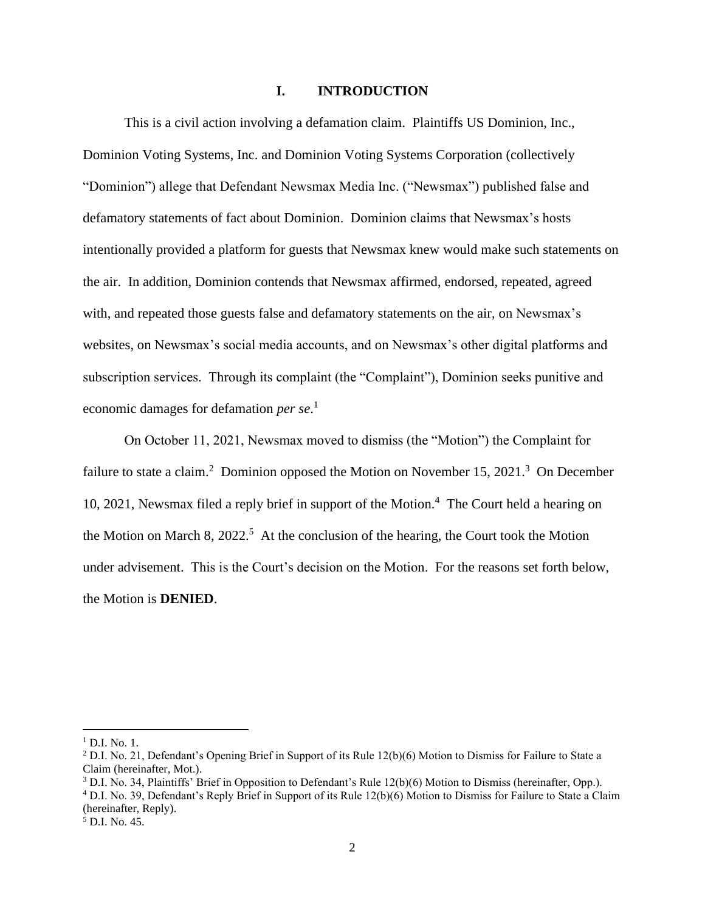## **I. INTRODUCTION**

This is a civil action involving a defamation claim. Plaintiffs US Dominion, Inc., Dominion Voting Systems, Inc. and Dominion Voting Systems Corporation (collectively "Dominion") allege that Defendant Newsmax Media Inc. ("Newsmax") published false and defamatory statements of fact about Dominion. Dominion claims that Newsmax's hosts intentionally provided a platform for guests that Newsmax knew would make such statements on the air. In addition, Dominion contends that Newsmax affirmed, endorsed, repeated, agreed with, and repeated those guests false and defamatory statements on the air, on Newsmax's websites, on Newsmax's social media accounts, and on Newsmax's other digital platforms and subscription services. Through its complaint (the "Complaint"), Dominion seeks punitive and economic damages for defamation *per se*. 1

On October 11, 2021, Newsmax moved to dismiss (the "Motion") the Complaint for failure to state a claim.<sup>2</sup> Dominion opposed the Motion on November 15, 2021.<sup>3</sup> On December 10, 2021, Newsmax filed a reply brief in support of the Motion.<sup>4</sup> The Court held a hearing on the Motion on March 8, 2022.<sup>5</sup> At the conclusion of the hearing, the Court took the Motion under advisement. This is the Court's decision on the Motion. For the reasons set forth below, the Motion is **DENIED**.

 $1$  D.I. No. 1.

<sup>2</sup> D.I. No. 21, Defendant's Opening Brief in Support of its Rule 12(b)(6) Motion to Dismiss for Failure to State a Claim (hereinafter, Mot.).

<sup>3</sup> D.I. No. 34, Plaintiffs' Brief in Opposition to Defendant's Rule 12(b)(6) Motion to Dismiss (hereinafter, Opp.).

<sup>4</sup> D.I. No. 39, Defendant's Reply Brief in Support of its Rule 12(b)(6) Motion to Dismiss for Failure to State a Claim (hereinafter, Reply).

 $<sup>5</sup>$  D.I. No. 45.</sup>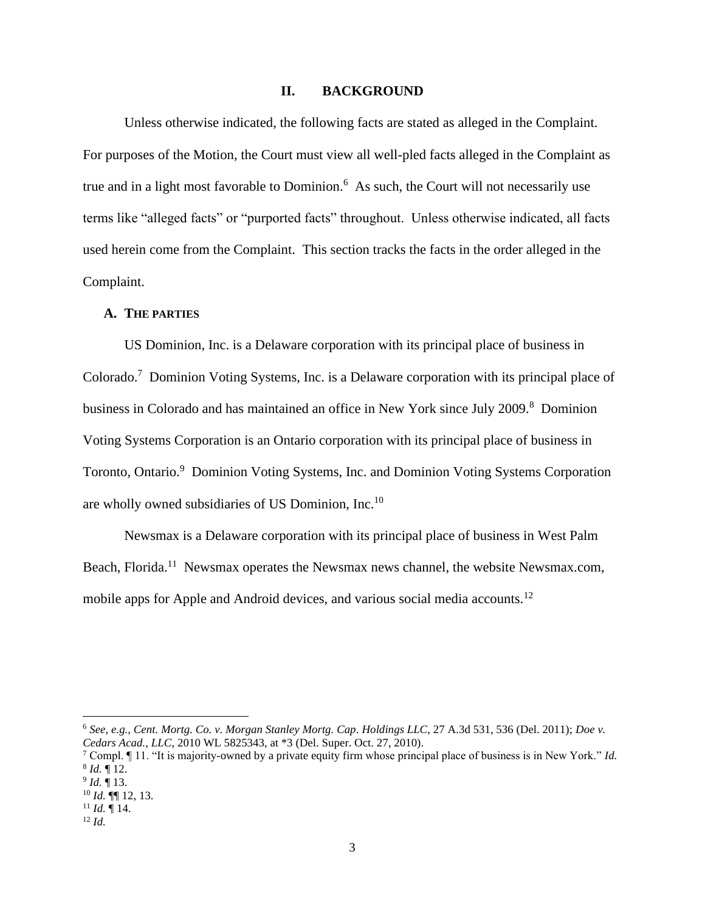## **II. BACKGROUND**

Unless otherwise indicated, the following facts are stated as alleged in the Complaint. For purposes of the Motion, the Court must view all well-pled facts alleged in the Complaint as true and in a light most favorable to Dominion.<sup>6</sup> As such, the Court will not necessarily use terms like "alleged facts" or "purported facts" throughout. Unless otherwise indicated, all facts used herein come from the Complaint. This section tracks the facts in the order alleged in the Complaint.

## **A. THE PARTIES**

US Dominion, Inc. is a Delaware corporation with its principal place of business in Colorado.<sup>7</sup> Dominion Voting Systems, Inc. is a Delaware corporation with its principal place of business in Colorado and has maintained an office in New York since July 2009.<sup>8</sup> Dominion Voting Systems Corporation is an Ontario corporation with its principal place of business in Toronto, Ontario.<sup>9</sup> Dominion Voting Systems, Inc. and Dominion Voting Systems Corporation are wholly owned subsidiaries of US Dominion, Inc.<sup>10</sup>

Newsmax is a Delaware corporation with its principal place of business in West Palm Beach, Florida.<sup>11</sup> Newsmax operates the Newsmax news channel, the website Newsmax.com, mobile apps for Apple and Android devices, and various social media accounts.<sup>12</sup>

<sup>6</sup> *See, e.g., Cent. Mortg. Co. v. Morgan Stanley Mortg. Cap. Holdings LLC*, 27 A.3d 531, 536 (Del. 2011); *Doe v. Cedars Acad., LLC*, 2010 WL 5825343, at \*3 (Del. Super. Oct. 27, 2010).

<sup>7</sup> Compl. ¶ 11. "It is majority-owned by a private equity firm whose principal place of business is in New York." *Id.* 8 *Id.* ¶ 12.

<sup>9</sup> *Id.* ¶ 13.

<sup>10</sup> *Id.* ¶¶ 12, 13.

 $11$  *Id.*  $\P$  14.

<sup>12</sup> *Id.*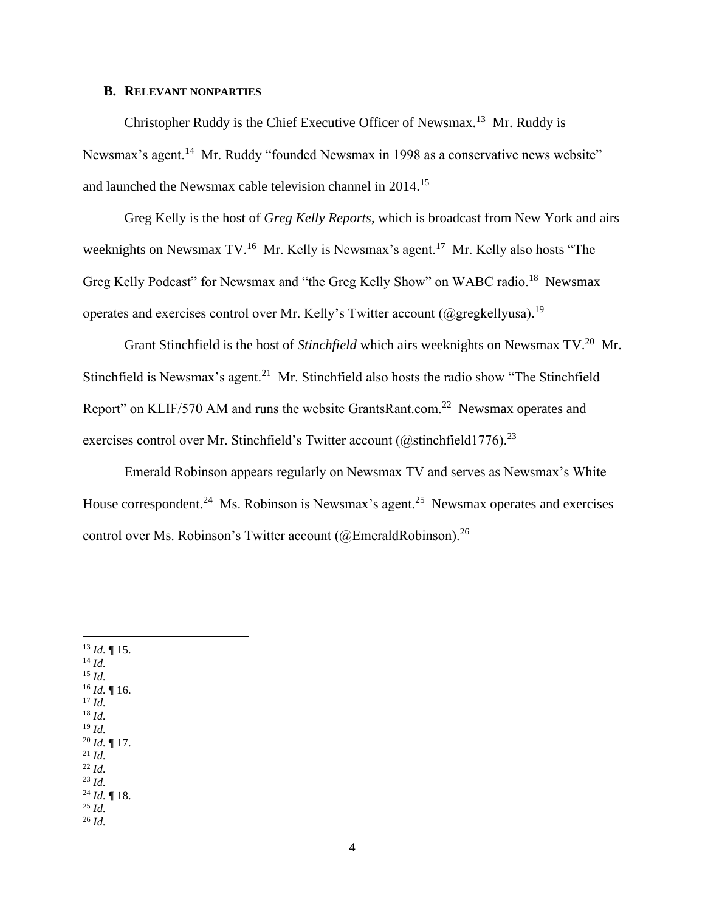## **B. RELEVANT NONPARTIES**

Christopher Ruddy is the Chief Executive Officer of Newsmax.<sup>13</sup> Mr. Ruddy is Newsmax's agent.<sup>14</sup> Mr. Ruddy "founded Newsmax in 1998 as a conservative news website" and launched the Newsmax cable television channel in 2014.<sup>15</sup>

Greg Kelly is the host of *Greg Kelly Reports*, which is broadcast from New York and airs weeknights on Newsmax TV.<sup>16</sup> Mr. Kelly is Newsmax's agent.<sup>17</sup> Mr. Kelly also hosts "The Greg Kelly Podcast" for Newsmax and "the Greg Kelly Show" on WABC radio.<sup>18</sup> Newsmax operates and exercises control over Mr. Kelly's Twitter account (@gregkellyusa).<sup>19</sup>

Grant Stinchfield is the host of *Stinchfield* which airs weeknights on Newsmax TV.<sup>20</sup> Mr. Stinchfield is Newsmax's agent.<sup>21</sup> Mr. Stinchfield also hosts the radio show "The Stinchfield Report" on KLIF/570 AM and runs the website GrantsRant.com.<sup>22</sup> Newsmax operates and exercises control over Mr. Stinchfield's Twitter account ( $@$ stinchfield1776).<sup>23</sup>

Emerald Robinson appears regularly on Newsmax TV and serves as Newsmax's White House correspondent.<sup>24</sup> Ms. Robinson is Newsmax's agent.<sup>25</sup> Newsmax operates and exercises control over Ms. Robinson's Twitter account ( $@$ EmeraldRobinson).<sup>26</sup>

<sup>13</sup> *Id.* ¶ 15. <sup>14</sup> *Id.* <sup>15</sup> *Id.* <sup>16</sup> *Id.* ¶ 16. <sup>17</sup> *Id.* <sup>18</sup> *Id.* <sup>19</sup> *Id.*  <sup>20</sup> *Id.* ¶ 17. <sup>21</sup> *Id.*  $^{22}$  *Id.* <sup>23</sup> *Id.* <sup>24</sup> *Id.* ¶ 18. <sup>25</sup> *Id.* <sup>26</sup> *Id.*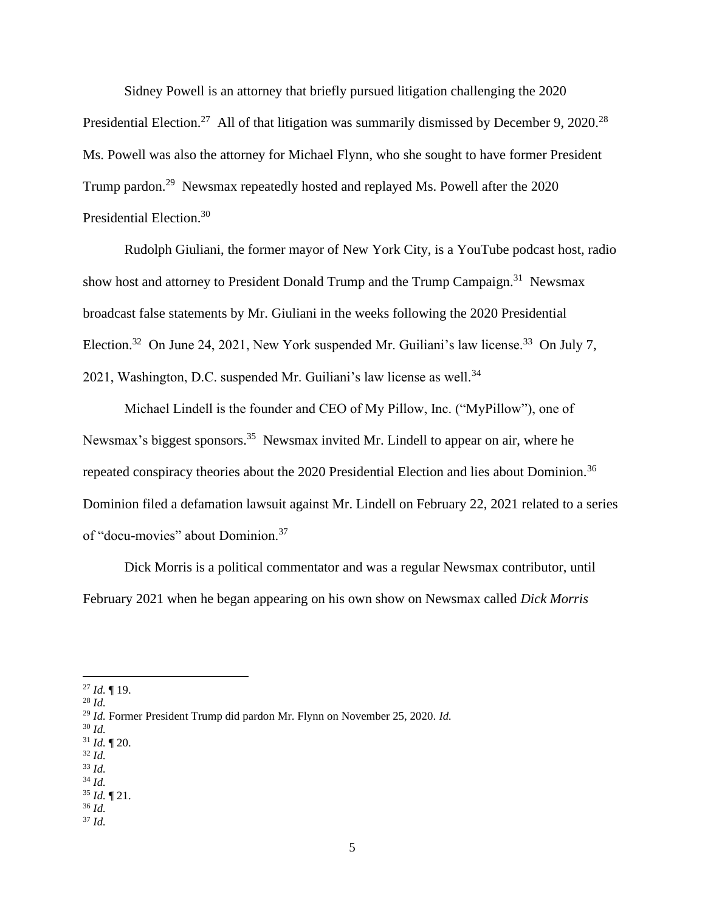Sidney Powell is an attorney that briefly pursued litigation challenging the 2020 Presidential Election.<sup>27</sup> All of that litigation was summarily dismissed by December 9, 2020.<sup>28</sup> Ms. Powell was also the attorney for Michael Flynn, who she sought to have former President Trump pardon.<sup>29</sup> Newsmax repeatedly hosted and replayed Ms. Powell after the 2020 Presidential Election.<sup>30</sup>

Rudolph Giuliani, the former mayor of New York City, is a YouTube podcast host, radio show host and attorney to President Donald Trump and the Trump Campaign.<sup>31</sup> Newsmax broadcast false statements by Mr. Giuliani in the weeks following the 2020 Presidential Election.<sup>32</sup> On June 24, 2021, New York suspended Mr. Guiliani's law license.<sup>33</sup> On July 7, 2021, Washington, D.C. suspended Mr. Guiliani's law license as well.<sup>34</sup>

Michael Lindell is the founder and CEO of My Pillow, Inc. ("MyPillow"), one of Newsmax's biggest sponsors.<sup>35</sup> Newsmax invited Mr. Lindell to appear on air, where he repeated conspiracy theories about the 2020 Presidential Election and lies about Dominion.<sup>36</sup> Dominion filed a defamation lawsuit against Mr. Lindell on February 22, 2021 related to a series of "docu-movies" about Dominion.<sup>37</sup>

Dick Morris is a political commentator and was a regular Newsmax contributor, until February 2021 when he began appearing on his own show on Newsmax called *Dick Morris* 

- <sup>30</sup> *Id.*
- <sup>31</sup> *Id.* ¶ 20.
- <sup>32</sup> *Id.*
- <sup>33</sup> *Id.*  <sup>34</sup> *Id.*
- <sup>35</sup> *Id.* ¶ 21.
- <sup>36</sup> *Id.*
- <sup>37</sup> *Id.*

<sup>27</sup> *Id.* ¶ 19.

<sup>28</sup> *Id.*

<sup>29</sup> *Id.* Former President Trump did pardon Mr. Flynn on November 25, 2020. *Id.*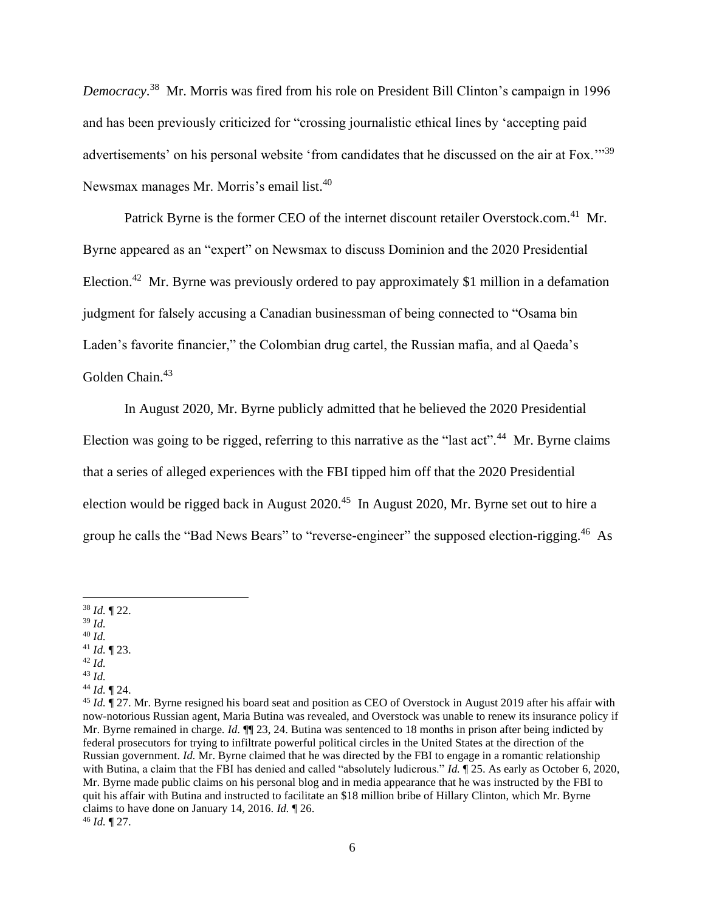*Democracy*. 38 Mr. Morris was fired from his role on President Bill Clinton's campaign in 1996 and has been previously criticized for "crossing journalistic ethical lines by 'accepting paid advertisements' on his personal website 'from candidates that he discussed on the air at Fox."<sup>39</sup> Newsmax manages Mr. Morris's email list.<sup>40</sup>

Patrick Byrne is the former CEO of the internet discount retailer Overstock.com.<sup>41</sup> Mr. Byrne appeared as an "expert" on Newsmax to discuss Dominion and the 2020 Presidential Election.<sup>42</sup> Mr. Byrne was previously ordered to pay approximately \$1 million in a defamation judgment for falsely accusing a Canadian businessman of being connected to "Osama bin Laden's favorite financier," the Colombian drug cartel, the Russian mafia, and al Qaeda's Golden Chain.<sup>43</sup>

In August 2020, Mr. Byrne publicly admitted that he believed the 2020 Presidential Election was going to be rigged, referring to this narrative as the "last act".<sup>44</sup> Mr. Byrne claims that a series of alleged experiences with the FBI tipped him off that the 2020 Presidential election would be rigged back in August 2020.<sup>45</sup> In August 2020, Mr. Byrne set out to hire a group he calls the "Bad News Bears" to "reverse-engineer" the supposed election-rigging.<sup>46</sup> As

- <sup>40</sup> *Id.*
- <sup>41</sup> *Id.* ¶ 23.  $42$  *Id.*
- <sup>43</sup> *Id.*
- <sup>44</sup> *Id.* ¶ 24.
- 

<sup>38</sup> *Id.* ¶ 22.

<sup>39</sup> *Id.*

<sup>&</sup>lt;sup>45</sup> *Id.*  $\P$  27. Mr. Byrne resigned his board seat and position as CEO of Overstock in August 2019 after his affair with now-notorious Russian agent, Maria Butina was revealed, and Overstock was unable to renew its insurance policy if Mr. Byrne remained in charge. *Id.* ¶¶ 23, 24. Butina was sentenced to 18 months in prison after being indicted by federal prosecutors for trying to infiltrate powerful political circles in the United States at the direction of the Russian government. *Id.* Mr. Byrne claimed that he was directed by the FBI to engage in a romantic relationship with Butina, a claim that the FBI has denied and called "absolutely ludicrous." *Id.*  $\P$  25. As early as October 6, 2020, Mr. Byrne made public claims on his personal blog and in media appearance that he was instructed by the FBI to quit his affair with Butina and instructed to facilitate an \$18 million bribe of Hillary Clinton, which Mr. Byrne claims to have done on January 14, 2016. *Id.* ¶ 26. <sup>46</sup> *Id.* ¶ 27.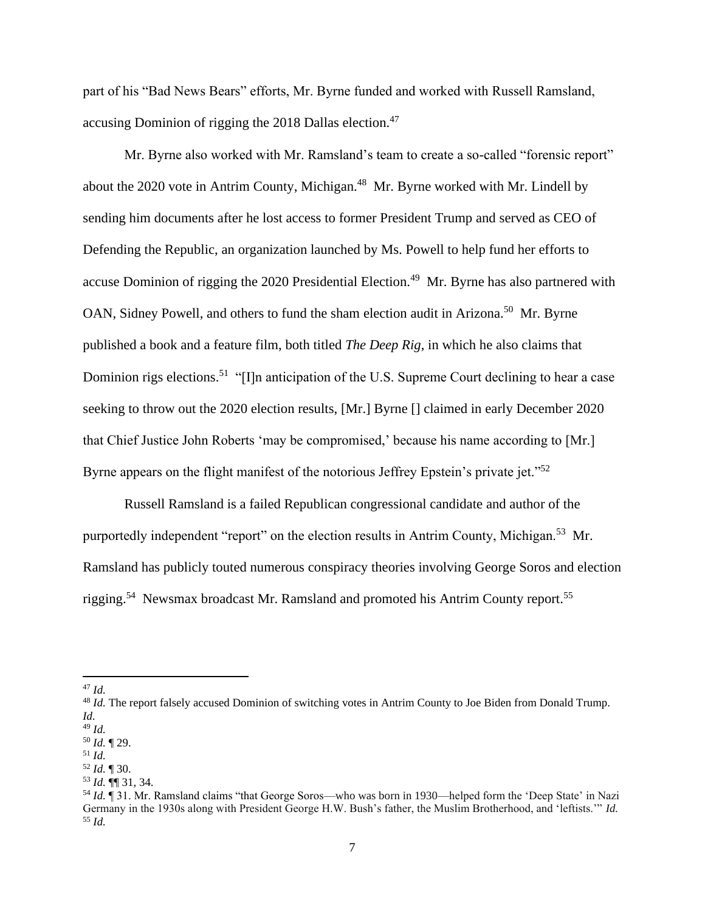part of his "Bad News Bears" efforts, Mr. Byrne funded and worked with Russell Ramsland, accusing Dominion of rigging the 2018 Dallas election.<sup>47</sup>

Mr. Byrne also worked with Mr. Ramsland's team to create a so-called "forensic report" about the 2020 vote in Antrim County, Michigan.<sup>48</sup> Mr. Byrne worked with Mr. Lindell by sending him documents after he lost access to former President Trump and served as CEO of Defending the Republic, an organization launched by Ms. Powell to help fund her efforts to accuse Dominion of rigging the 2020 Presidential Election.<sup>49</sup> Mr. Byrne has also partnered with OAN, Sidney Powell, and others to fund the sham election audit in Arizona.<sup>50</sup> Mr. Byrne published a book and a feature film, both titled *The Deep Rig*, in which he also claims that Dominion rigs elections.<sup>51</sup> "[I]n anticipation of the U.S. Supreme Court declining to hear a case seeking to throw out the 2020 election results, [Mr.] Byrne [] claimed in early December 2020 that Chief Justice John Roberts 'may be compromised,' because his name according to [Mr.] Byrne appears on the flight manifest of the notorious Jeffrey Epstein's private jet."<sup>52</sup>

Russell Ramsland is a failed Republican congressional candidate and author of the purportedly independent "report" on the election results in Antrim County, Michigan.<sup>53</sup> Mr. Ramsland has publicly touted numerous conspiracy theories involving George Soros and election rigging.<sup>54</sup> Newsmax broadcast Mr. Ramsland and promoted his Antrim County report.<sup>55</sup>

<sup>47</sup> *Id.* 

<sup>&</sup>lt;sup>48</sup> *Id.* The report falsely accused Dominion of switching votes in Antrim County to Joe Biden from Donald Trump. *Id.*

<sup>49</sup> *Id.* 

<sup>50</sup> *Id.* ¶ 29.

<sup>51</sup> *Id.* 

<sup>52</sup> *Id.* ¶ 30.

<sup>53</sup> *Id.* ¶¶ 31, 34.

<sup>54</sup> *Id.* ¶ 31. Mr. Ramsland claims "that George Soros—who was born in 1930—helped form the 'Deep State' in Nazi Germany in the 1930s along with President George H.W. Bush's father, the Muslim Brotherhood, and 'leftists.'" *Id.*  <sup>55</sup> *Id.*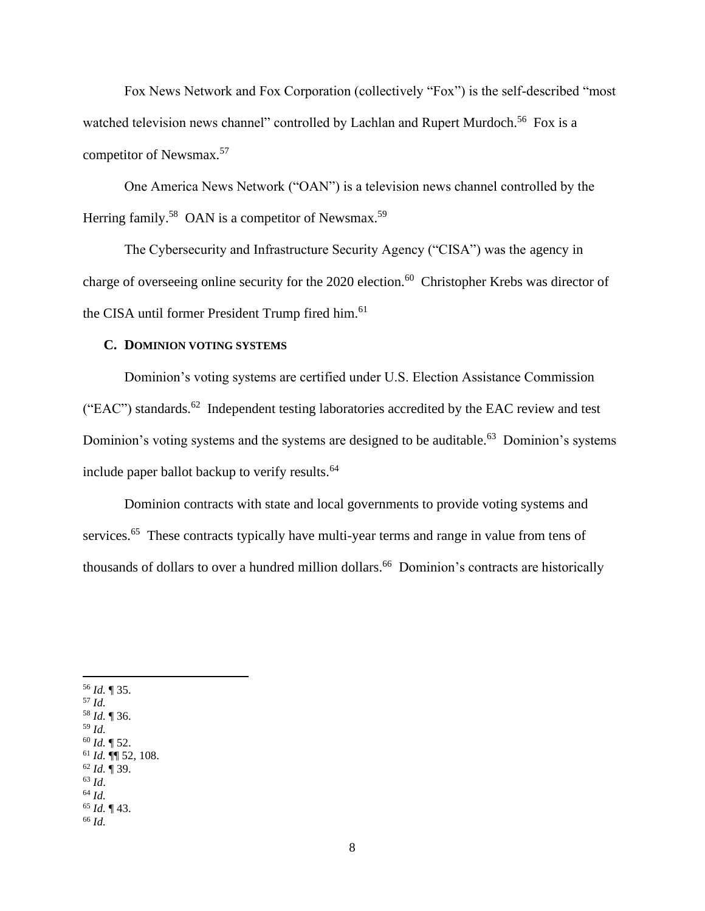Fox News Network and Fox Corporation (collectively "Fox") is the self-described "most watched television news channel" controlled by Lachlan and Rupert Murdoch.<sup>56</sup> Fox is a competitor of Newsmax.<sup>57</sup>

One America News Network ("OAN") is a television news channel controlled by the Herring family.<sup>58</sup> OAN is a competitor of Newsmax.<sup>59</sup>

The Cybersecurity and Infrastructure Security Agency ("CISA") was the agency in charge of overseeing online security for the 2020 election.<sup>60</sup> Christopher Krebs was director of the CISA until former President Trump fired him.<sup>61</sup>

## **C. DOMINION VOTING SYSTEMS**

Dominion's voting systems are certified under U.S. Election Assistance Commission ("EAC") standards.<sup>62</sup> Independent testing laboratories accredited by the EAC review and test Dominion's voting systems and the systems are designed to be auditable.<sup>63</sup> Dominion's systems include paper ballot backup to verify results.<sup>64</sup>

Dominion contracts with state and local governments to provide voting systems and services.<sup>65</sup> These contracts typically have multi-year terms and range in value from tens of thousands of dollars to over a hundred million dollars.<sup>66</sup> Dominion's contracts are historically

<sup>56</sup> *Id.* ¶ 35. <sup>57</sup> *Id.* <sup>58</sup> *Id.* ¶ 36. <sup>59</sup> *Id.* <sup>60</sup> *Id.* ¶ 52. <sup>61</sup> *Id.* ¶¶ 52, 108. <sup>62</sup> *Id.* ¶ 39. <sup>63</sup> *Id*. <sup>64</sup> *Id.* <sup>65</sup> *Id.* ¶ 43. <sup>66</sup> *Id.*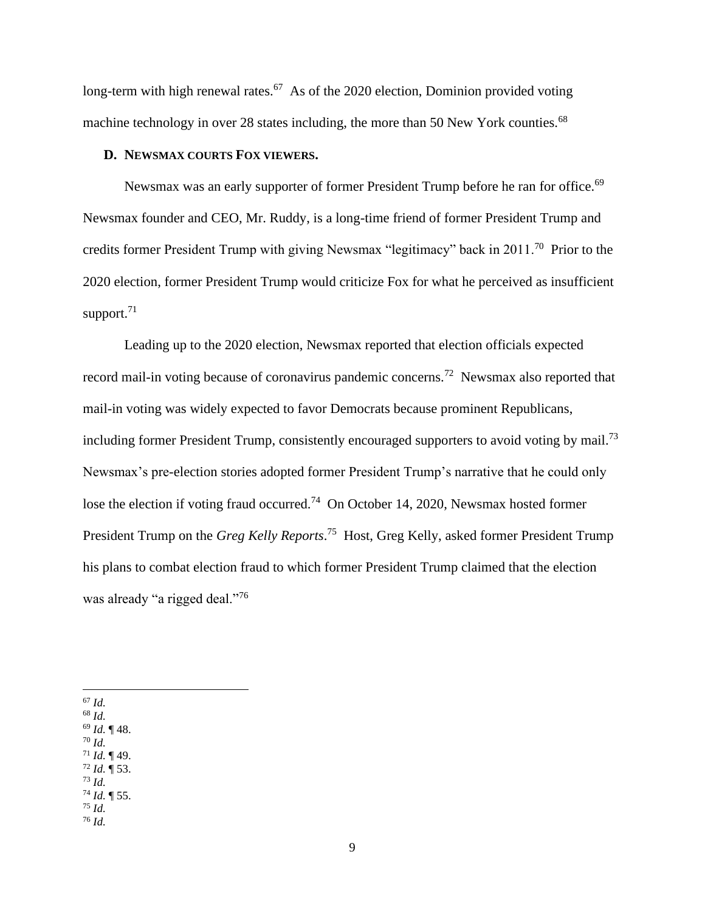long-term with high renewal rates. $67$  As of the 2020 election, Dominion provided voting machine technology in over 28 states including, the more than 50 New York counties.<sup>68</sup>

## **D. NEWSMAX COURTS FOX VIEWERS.**

Newsmax was an early supporter of former President Trump before he ran for office.<sup>69</sup> Newsmax founder and CEO, Mr. Ruddy, is a long-time friend of former President Trump and credits former President Trump with giving Newsmax "legitimacy" back in 2011.<sup>70</sup> Prior to the 2020 election, former President Trump would criticize Fox for what he perceived as insufficient support. $71$ 

Leading up to the 2020 election, Newsmax reported that election officials expected record mail-in voting because of coronavirus pandemic concerns.<sup>72</sup> Newsmax also reported that mail-in voting was widely expected to favor Democrats because prominent Republicans, including former President Trump, consistently encouraged supporters to avoid voting by mail.<sup>73</sup> Newsmax's pre-election stories adopted former President Trump's narrative that he could only lose the election if voting fraud occurred.<sup>74</sup> On October 14, 2020, Newsmax hosted former President Trump on the *Greg Kelly Reports*. 75 Host, Greg Kelly, asked former President Trump his plans to combat election fraud to which former President Trump claimed that the election was already "a rigged deal."<sup>76</sup>

<sup>67</sup> *Id.*

- <sup>68</sup> *Id.*
- <sup>69</sup> *Id.* ¶ 48.
- $70$  *Id.* <sup>71</sup> *Id.* ¶ 49.
- <sup>72</sup> *Id.* ¶ 53.
- <sup>73</sup> *Id.*
- <sup>74</sup> *Id.* ¶ 55.
- <sup>75</sup> *Id.*
- <sup>76</sup> *Id.*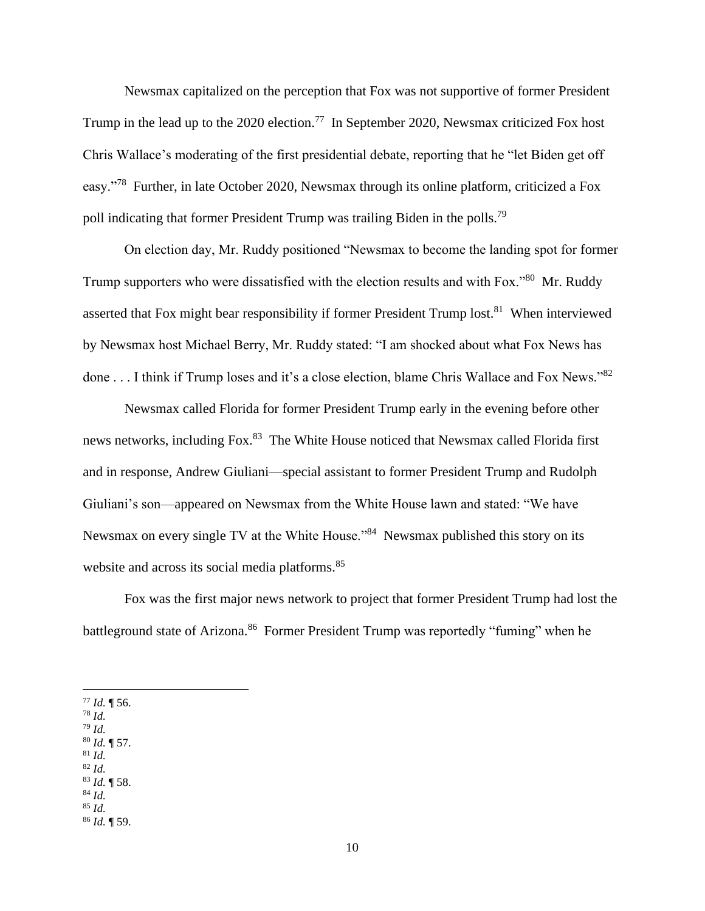Newsmax capitalized on the perception that Fox was not supportive of former President Trump in the lead up to the 2020 election.<sup>77</sup> In September 2020, Newsmax criticized Fox host Chris Wallace's moderating of the first presidential debate, reporting that he "let Biden get off easy."<sup>78</sup> Further, in late October 2020, Newsmax through its online platform, criticized a Fox poll indicating that former President Trump was trailing Biden in the polls.<sup>79</sup>

On election day, Mr. Ruddy positioned "Newsmax to become the landing spot for former Trump supporters who were dissatisfied with the election results and with Fox."<sup>80</sup> Mr. Ruddy asserted that Fox might bear responsibility if former President Trump lost.<sup>81</sup> When interviewed by Newsmax host Michael Berry, Mr. Ruddy stated: "I am shocked about what Fox News has done . . . I think if Trump loses and it's a close election, blame Chris Wallace and Fox News."<sup>82</sup>

Newsmax called Florida for former President Trump early in the evening before other news networks, including Fox.<sup>83</sup> The White House noticed that Newsmax called Florida first and in response, Andrew Giuliani—special assistant to former President Trump and Rudolph Giuliani's son—appeared on Newsmax from the White House lawn and stated: "We have Newsmax on every single TV at the White House."<sup>84</sup> Newsmax published this story on its website and across its social media platforms.<sup>85</sup>

Fox was the first major news network to project that former President Trump had lost the battleground state of Arizona.<sup>86</sup> Former President Trump was reportedly "fuming" when he

<sup>77</sup> *Id.* ¶ 56.

- <sup>78</sup> *Id.*
- <sup>79</sup> *Id.*
- <sup>80</sup> *Id.* ¶ 57. <sup>81</sup> *Id.*
- <sup>82</sup> *Id.*
- <sup>83</sup> *Id.* ¶ 58.
- <sup>84</sup> *Id.*
- <sup>85</sup> *Id.*

<sup>86</sup> *Id.* ¶ 59.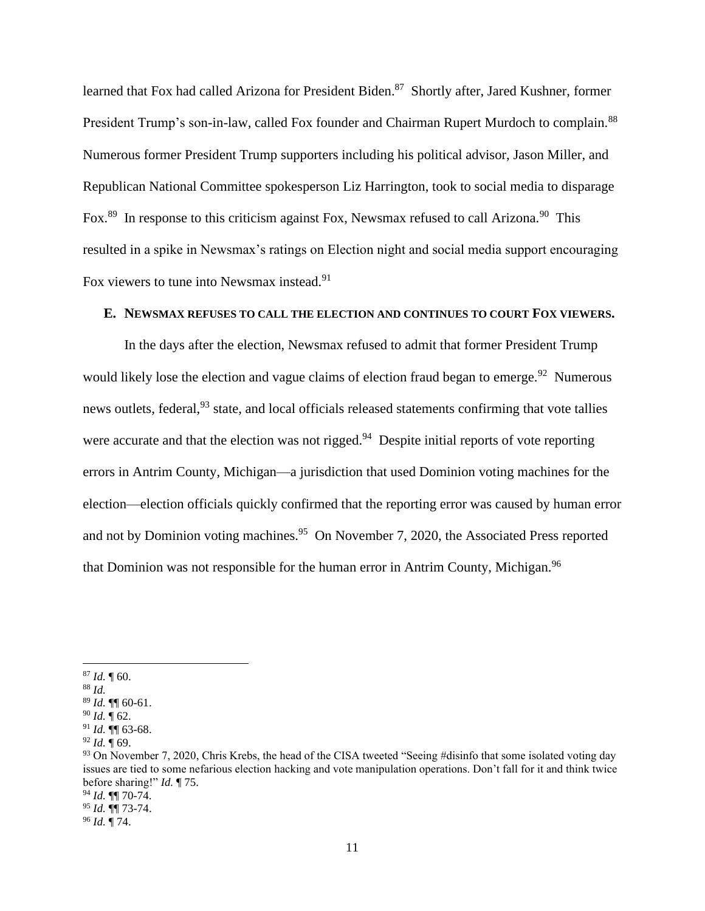learned that Fox had called Arizona for President Biden.<sup>87</sup> Shortly after, Jared Kushner, former President Trump's son-in-law, called Fox founder and Chairman Rupert Murdoch to complain.<sup>88</sup> Numerous former President Trump supporters including his political advisor, Jason Miller, and Republican National Committee spokesperson Liz Harrington, took to social media to disparage Fox.<sup>89</sup> In response to this criticism against Fox, Newsmax refused to call Arizona.<sup>90</sup> This resulted in a spike in Newsmax's ratings on Election night and social media support encouraging Fox viewers to tune into Newsmax instead.<sup>91</sup>

## **E. NEWSMAX REFUSES TO CALL THE ELECTION AND CONTINUES TO COURT FOX VIEWERS.**

In the days after the election, Newsmax refused to admit that former President Trump would likely lose the election and vague claims of election fraud began to emerge.<sup>92</sup> Numerous news outlets, federal, <sup>93</sup> state, and local officials released statements confirming that vote tallies were accurate and that the election was not rigged.<sup>94</sup> Despite initial reports of vote reporting errors in Antrim County, Michigan—a jurisdiction that used Dominion voting machines for the election—election officials quickly confirmed that the reporting error was caused by human error and not by Dominion voting machines.<sup>95</sup> On November 7, 2020, the Associated Press reported that Dominion was not responsible for the human error in Antrim County, Michigan.<sup>96</sup>

<sup>87</sup> *Id.* ¶ 60.

<sup>88</sup> *Id.*

<sup>89</sup> *Id.* ¶¶ 60-61.

<sup>90</sup> *Id.* ¶ 62.

<sup>91</sup> *Id.* ¶¶ 63-68.

<sup>92</sup> *Id.* ¶ 69.

<sup>93</sup> On November 7, 2020, Chris Krebs, the head of the CISA tweeted "Seeing #disinfo that some isolated voting day issues are tied to some nefarious election hacking and vote manipulation operations. Don't fall for it and think twice before sharing!" *Id.* ¶ 75.

<sup>94</sup> *Id.* ¶¶ 70-74.

<sup>95</sup> *Id.* ¶¶ 73-74.

<sup>96</sup> *Id.* ¶ 74.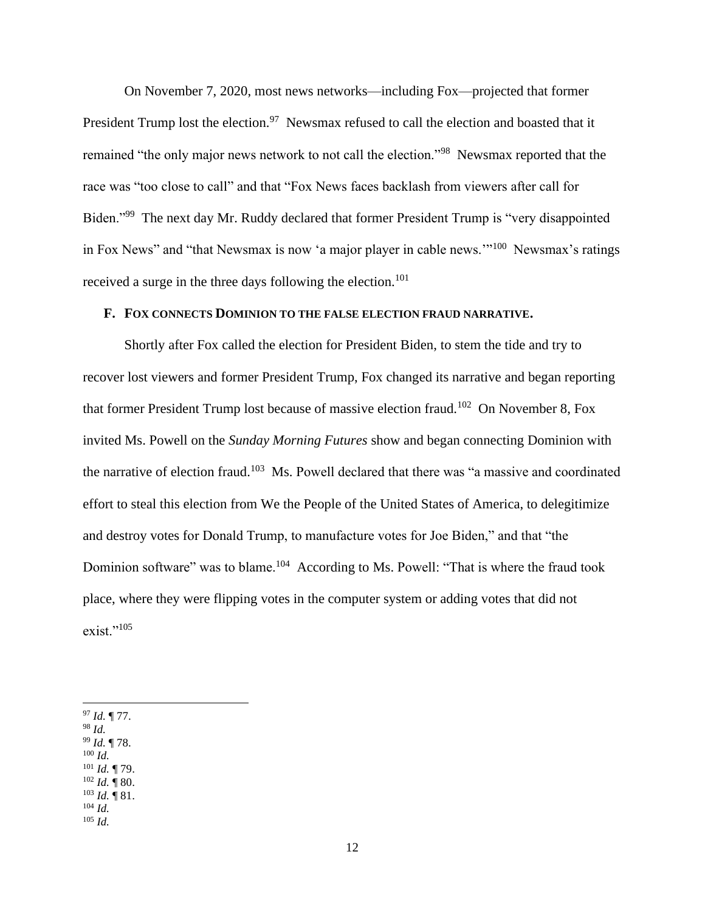On November 7, 2020, most news networks—including Fox—projected that former President Trump lost the election.<sup>97</sup> Newsmax refused to call the election and boasted that it remained "the only major news network to not call the election."<sup>98</sup> Newsmax reported that the race was "too close to call" and that "Fox News faces backlash from viewers after call for Biden."<sup>99</sup> The next day Mr. Ruddy declared that former President Trump is "very disappointed in Fox News" and "that Newsmax is now 'a major player in cable news."<sup>100</sup> Newsmax's ratings received a surge in the three days following the election.<sup>101</sup>

## **F. FOX CONNECTS DOMINION TO THE FALSE ELECTION FRAUD NARRATIVE.**

Shortly after Fox called the election for President Biden, to stem the tide and try to recover lost viewers and former President Trump, Fox changed its narrative and began reporting that former President Trump lost because of massive election fraud.<sup>102</sup> On November 8, Fox invited Ms. Powell on the *Sunday Morning Futures* show and began connecting Dominion with the narrative of election fraud.<sup>103</sup> Ms. Powell declared that there was "a massive and coordinated effort to steal this election from We the People of the United States of America, to delegitimize and destroy votes for Donald Trump, to manufacture votes for Joe Biden," and that "the Dominion software" was to blame.<sup>104</sup> According to Ms. Powell: "That is where the fraud took place, where they were flipping votes in the computer system or adding votes that did not exist."<sup>105</sup>

- <sup>99</sup> *Id.* ¶ 78.  $100$  *Id.*
- <sup>101</sup> *Id.* ¶ 79.
- <sup>102</sup> *Id.* ¶ 80.
- <sup>103</sup> *Id.* ¶ 81.
- <sup>104</sup> *Id.*
- <sup>105</sup> *Id.*

<sup>97</sup> *Id.* ¶ 77.

<sup>98</sup> *Id.*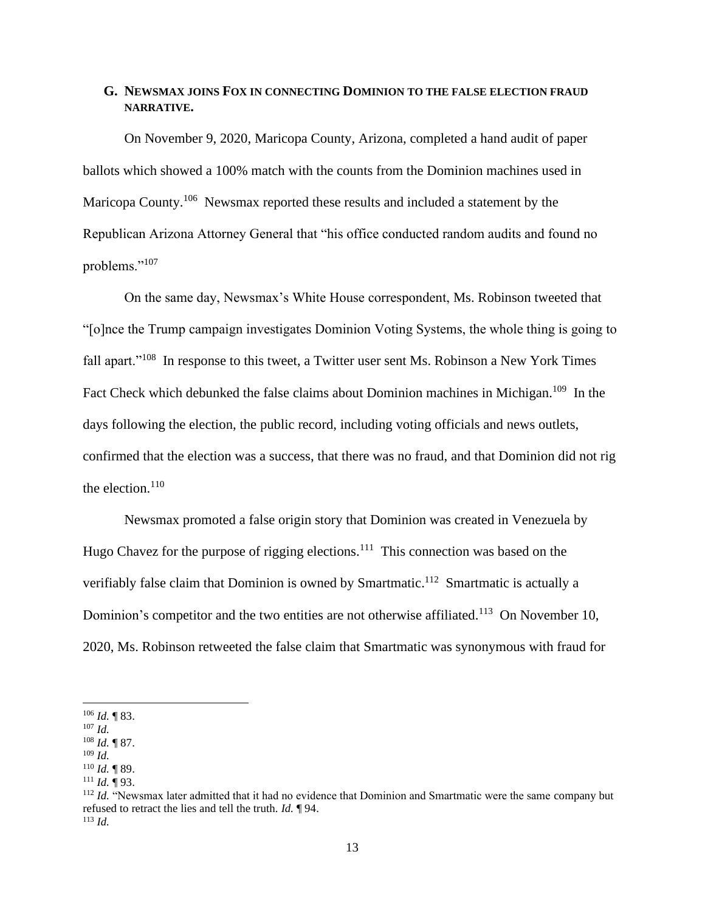# **G. NEWSMAX JOINS FOX IN CONNECTING DOMINION TO THE FALSE ELECTION FRAUD NARRATIVE.**

On November 9, 2020, Maricopa County, Arizona, completed a hand audit of paper ballots which showed a 100% match with the counts from the Dominion machines used in Maricopa County.<sup>106</sup> Newsmax reported these results and included a statement by the Republican Arizona Attorney General that "his office conducted random audits and found no problems."<sup>107</sup>

On the same day, Newsmax's White House correspondent, Ms. Robinson tweeted that "[o]nce the Trump campaign investigates Dominion Voting Systems, the whole thing is going to fall apart."<sup>108</sup> In response to this tweet, a Twitter user sent Ms. Robinson a New York Times Fact Check which debunked the false claims about Dominion machines in Michigan.<sup>109</sup> In the days following the election, the public record, including voting officials and news outlets, confirmed that the election was a success, that there was no fraud, and that Dominion did not rig the election.<sup>110</sup>

Newsmax promoted a false origin story that Dominion was created in Venezuela by Hugo Chavez for the purpose of rigging elections.<sup>111</sup> This connection was based on the verifiably false claim that Dominion is owned by Smartmatic.<sup>112</sup> Smartmatic is actually a Dominion's competitor and the two entities are not otherwise affiliated.<sup>113</sup> On November 10, 2020, Ms. Robinson retweeted the false claim that Smartmatic was synonymous with fraud for

<sup>106</sup> *Id.* ¶ 83.

<sup>107</sup> *Id.* 

<sup>108</sup> *Id.* ¶ 87.

<sup>109</sup> *Id.*

 $110$  *Id.* 189.

<sup>111</sup> *Id.* ¶ 93.

<sup>&</sup>lt;sup>112</sup> *Id.* "Newsmax later admitted that it had no evidence that Dominion and Smartmatic were the same company but refused to retract the lies and tell the truth. *Id.* ¶ 94. <sup>113</sup> *Id.*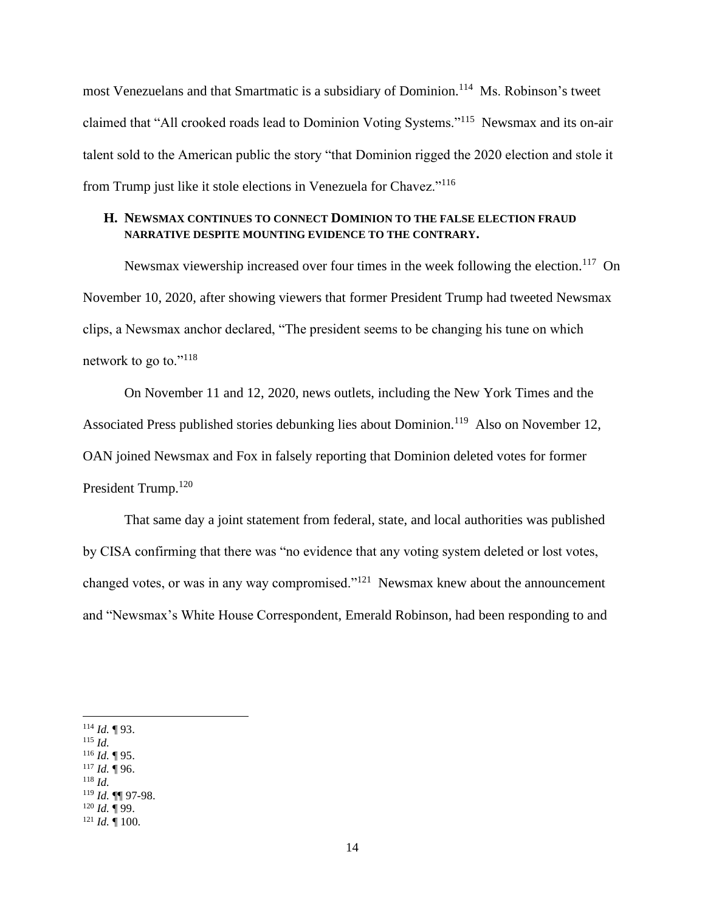most Venezuelans and that Smartmatic is a subsidiary of Dominion.<sup>114</sup> Ms. Robinson's tweet claimed that "All crooked roads lead to Dominion Voting Systems."<sup>115</sup> Newsmax and its on-air talent sold to the American public the story "that Dominion rigged the 2020 election and stole it from Trump just like it stole elections in Venezuela for Chavez."<sup>116</sup>

# **H. NEWSMAX CONTINUES TO CONNECT DOMINION TO THE FALSE ELECTION FRAUD NARRATIVE DESPITE MOUNTING EVIDENCE TO THE CONTRARY.**

Newsmax viewership increased over four times in the week following the election.<sup>117</sup> On November 10, 2020, after showing viewers that former President Trump had tweeted Newsmax clips, a Newsmax anchor declared, "The president seems to be changing his tune on which network to go to."<sup>118</sup>

On November 11 and 12, 2020, news outlets, including the New York Times and the Associated Press published stories debunking lies about Dominion.<sup>119</sup> Also on November 12, OAN joined Newsmax and Fox in falsely reporting that Dominion deleted votes for former President Trump.<sup>120</sup>

That same day a joint statement from federal, state, and local authorities was published by CISA confirming that there was "no evidence that any voting system deleted or lost votes, changed votes, or was in any way compromised."<sup>121</sup> Newsmax knew about the announcement and "Newsmax's White House Correspondent, Emerald Robinson, had been responding to and

- <sup>116</sup> *Id.* ¶ 95.
- <sup>117</sup> *Id.* ¶ 96.
- $118$  *Id.* <sup>119</sup> *Id.* ¶¶ 97-98.
- <sup>120</sup> *Id.* ¶ 99.

<sup>114</sup> *Id.* ¶ 93.

<sup>115</sup> *Id.*

 $121$  *Id.*  $\overline{9}$  100.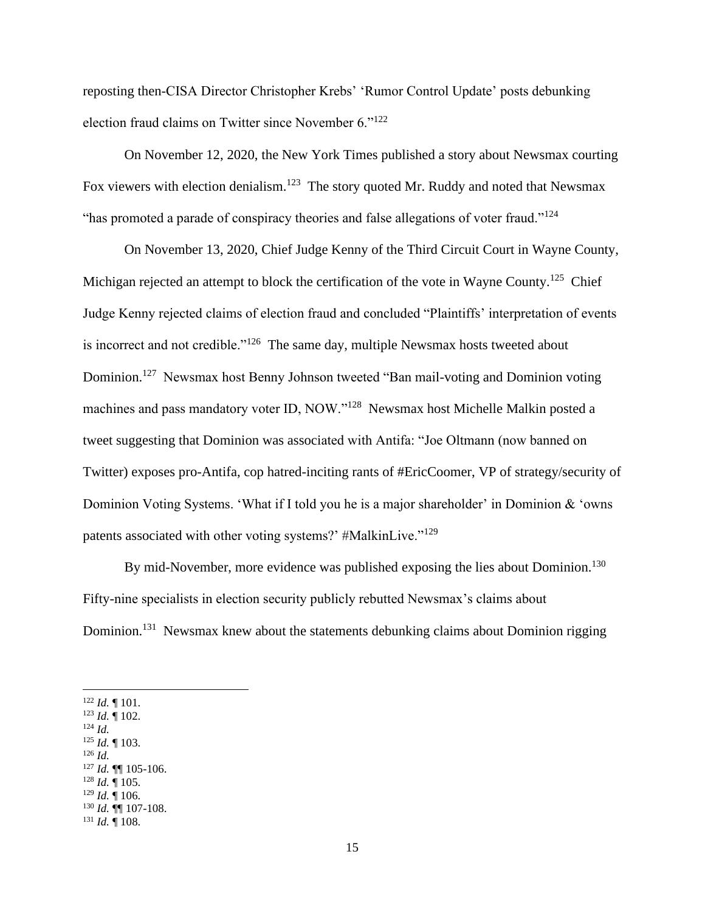reposting then-CISA Director Christopher Krebs' 'Rumor Control Update' posts debunking election fraud claims on Twitter since November 6."<sup>122</sup>

On November 12, 2020, the New York Times published a story about Newsmax courting Fox viewers with election denialism.<sup>123</sup> The story quoted Mr. Ruddy and noted that Newsmax "has promoted a parade of conspiracy theories and false allegations of voter fraud." $124$ 

On November 13, 2020, Chief Judge Kenny of the Third Circuit Court in Wayne County, Michigan rejected an attempt to block the certification of the vote in Wayne County.<sup>125</sup> Chief Judge Kenny rejected claims of election fraud and concluded "Plaintiffs' interpretation of events is incorrect and not credible."<sup>126</sup> The same day, multiple Newsmax hosts tweeted about Dominion.<sup>127</sup> Newsmax host Benny Johnson tweeted "Ban mail-voting and Dominion voting machines and pass mandatory voter ID, NOW."<sup>128</sup> Newsmax host Michelle Malkin posted a tweet suggesting that Dominion was associated with Antifa: "Joe Oltmann (now banned on Twitter) exposes pro-Antifa, cop hatred-inciting rants of #EricCoomer, VP of strategy/security of Dominion Voting Systems. 'What if I told you he is a major shareholder' in Dominion & 'owns patents associated with other voting systems?' #MalkinLive."<sup>129</sup>

By mid-November, more evidence was published exposing the lies about Dominion.<sup>130</sup> Fifty-nine specialists in election security publicly rebutted Newsmax's claims about Dominion.<sup>131</sup> Newsmax knew about the statements debunking claims about Dominion rigging

<sup>122</sup> *Id.* ¶ 101.

- <sup>123</sup> *Id.* ¶ 102. <sup>124</sup> *Id.*
- <sup>125</sup> *Id.* ¶ 103.
- <sup>126</sup> *Id.*
- <sup>127</sup> *Id.* ¶¶ 105-106.
- <sup>128</sup> *Id.* ¶ 105.
- <sup>129</sup> *Id.* ¶ 106.
- <sup>130</sup> *Id.* ¶¶ 107-108.

 $131$  *Id.*  $\frac{1}{108}$ .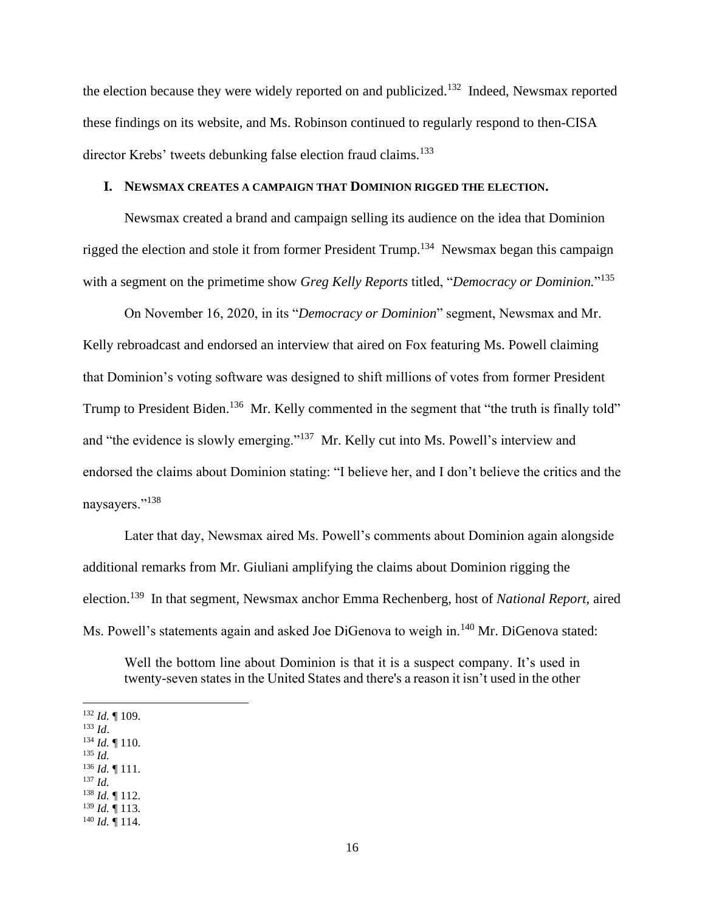the election because they were widely reported on and publicized.<sup>132</sup> Indeed, Newsmax reported these findings on its website, and Ms. Robinson continued to regularly respond to then-CISA director Krebs' tweets debunking false election fraud claims.<sup>133</sup>

## **I. NEWSMAX CREATES A CAMPAIGN THAT DOMINION RIGGED THE ELECTION.**

Newsmax created a brand and campaign selling its audience on the idea that Dominion rigged the election and stole it from former President Trump.<sup>134</sup> Newsmax began this campaign with a segment on the primetime show *Greg Kelly Reports* titled, "*Democracy or Dominion.*" 135

On November 16, 2020, in its "*Democracy or Dominion*" segment, Newsmax and Mr. Kelly rebroadcast and endorsed an interview that aired on Fox featuring Ms. Powell claiming that Dominion's voting software was designed to shift millions of votes from former President Trump to President Biden.<sup>136</sup> Mr. Kelly commented in the segment that "the truth is finally told" and "the evidence is slowly emerging."<sup>137</sup> Mr. Kelly cut into Ms. Powell's interview and endorsed the claims about Dominion stating: "I believe her, and I don't believe the critics and the naysayers."<sup>138</sup>

Later that day, Newsmax aired Ms. Powell's comments about Dominion again alongside additional remarks from Mr. Giuliani amplifying the claims about Dominion rigging the election.<sup>139</sup> In that segment, Newsmax anchor Emma Rechenberg, host of *National Report*, aired Ms. Powell's statements again and asked Joe DiGenova to weigh in.<sup>140</sup> Mr. DiGenova stated:

Well the bottom line about Dominion is that it is a suspect company. It's used in twenty-seven states in the United States and there's a reason it isn't used in the other

- <sup>135</sup> *Id.*
- <sup>136</sup> *Id.* ¶ 111.

- <sup>139</sup> *Id.* ¶ 113.
- <sup>140</sup> *Id.* ¶ 114.

<sup>132</sup> *Id.* ¶ 109.

<sup>133</sup> *Id*.

<sup>134</sup> *Id.* ¶ 110.

<sup>137</sup> *Id.* <sup>138</sup> *Id.* ¶ 112.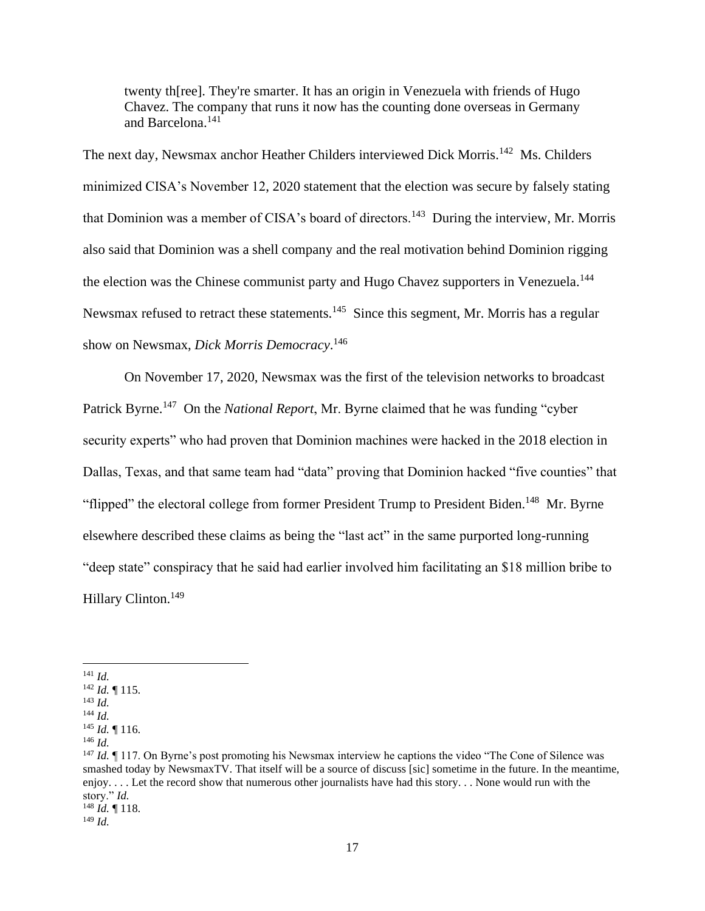twenty th[ree]. They're smarter. It has an origin in Venezuela with friends of Hugo Chavez. The company that runs it now has the counting done overseas in Germany and Barcelona.<sup>141</sup>

The next day, Newsmax anchor Heather Childers interviewed Dick Morris.<sup>142</sup> Ms. Childers minimized CISA's November 12, 2020 statement that the election was secure by falsely stating that Dominion was a member of CISA's board of directors.<sup>143</sup> During the interview, Mr. Morris also said that Dominion was a shell company and the real motivation behind Dominion rigging the election was the Chinese communist party and Hugo Chavez supporters in Venezuela.<sup>144</sup> Newsmax refused to retract these statements.<sup>145</sup> Since this segment, Mr. Morris has a regular show on Newsmax, *Dick Morris Democracy*. 146

On November 17, 2020, Newsmax was the first of the television networks to broadcast Patrick Byrne.<sup>147</sup> On the *National Report*, Mr. Byrne claimed that he was funding "cyber security experts" who had proven that Dominion machines were hacked in the 2018 election in Dallas, Texas, and that same team had "data" proving that Dominion hacked "five counties" that "flipped" the electoral college from former President Trump to President Biden.<sup>148</sup> Mr. Byrne elsewhere described these claims as being the "last act" in the same purported long-running "deep state" conspiracy that he said had earlier involved him facilitating an \$18 million bribe to Hillary Clinton.<sup>149</sup>

<sup>141</sup> *Id.* 

<sup>142</sup> *Id.* ¶ 115.

<sup>143</sup> *Id.*

<sup>144</sup> *Id.*

<sup>145</sup> *Id.* ¶ 116.  $^{146}$  *Id.* 

<sup>&</sup>lt;sup>147</sup> *Id.* If 117. On Byrne's post promoting his Newsmax interview he captions the video "The Cone of Silence was smashed today by NewsmaxTV. That itself will be a source of discuss [sic] sometime in the future. In the meantime, enjoy. . . . Let the record show that numerous other journalists have had this story. . . None would run with the story." *Id.*

<sup>148</sup> *Id.* ¶ 118.

<sup>149</sup> *Id.*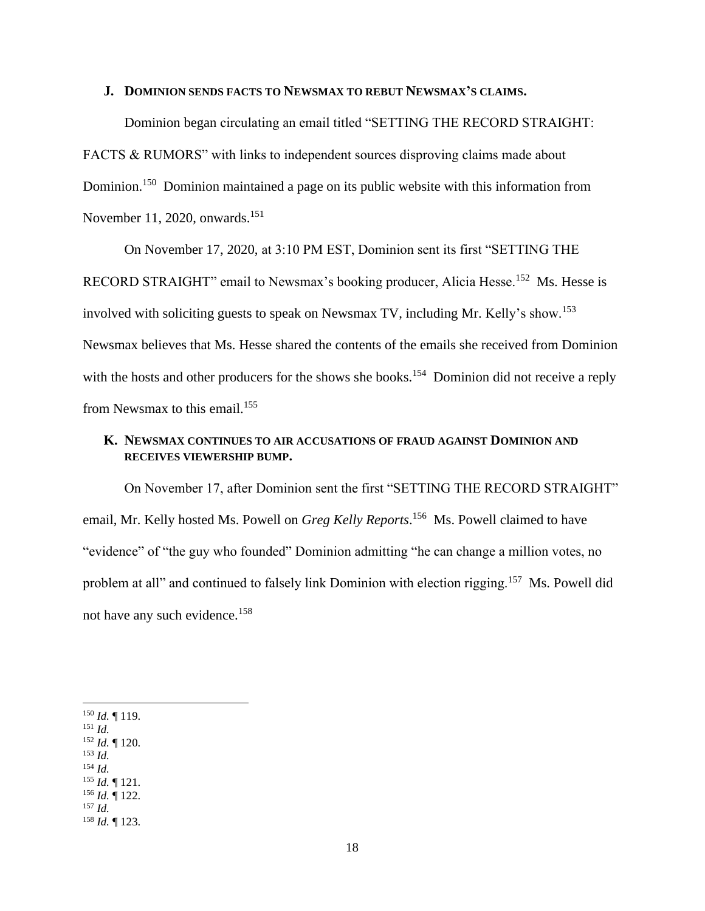### **J. DOMINION SENDS FACTS TO NEWSMAX TO REBUT NEWSMAX'S CLAIMS.**

Dominion began circulating an email titled "SETTING THE RECORD STRAIGHT: FACTS & RUMORS" with links to independent sources disproving claims made about Dominion.<sup>150</sup> Dominion maintained a page on its public website with this information from November 11, 2020, onwards. $151$ 

On November 17, 2020, at 3:10 PM EST, Dominion sent its first "SETTING THE RECORD STRAIGHT" email to Newsmax's booking producer, Alicia Hesse.<sup>152</sup> Ms. Hesse is involved with soliciting guests to speak on Newsmax TV, including Mr. Kelly's show.<sup>153</sup> Newsmax believes that Ms. Hesse shared the contents of the emails she received from Dominion with the hosts and other producers for the shows she books.<sup>154</sup> Dominion did not receive a reply from Newsmax to this email.<sup>155</sup>

## **K. NEWSMAX CONTINUES TO AIR ACCUSATIONS OF FRAUD AGAINST DOMINION AND RECEIVES VIEWERSHIP BUMP.**

On November 17, after Dominion sent the first "SETTING THE RECORD STRAIGHT" email, Mr. Kelly hosted Ms. Powell on *Greg Kelly Reports*. 156 Ms. Powell claimed to have "evidence" of "the guy who founded" Dominion admitting "he can change a million votes, no problem at all" and continued to falsely link Dominion with election rigging.<sup>157</sup> Ms. Powell did not have any such evidence.<sup>158</sup>

- <sup>152</sup> *Id.* ¶ 120.
- <sup>153</sup> *Id.* <sup>154</sup> *Id.*
- <sup>155</sup> *Id.* ¶ 121.
- <sup>156</sup> *Id.* ¶ 122.
- <sup>157</sup> *Id.*

<sup>150</sup> *Id.* ¶ 119.

<sup>151</sup> *Id.* 

<sup>158</sup> *Id.* ¶ 123.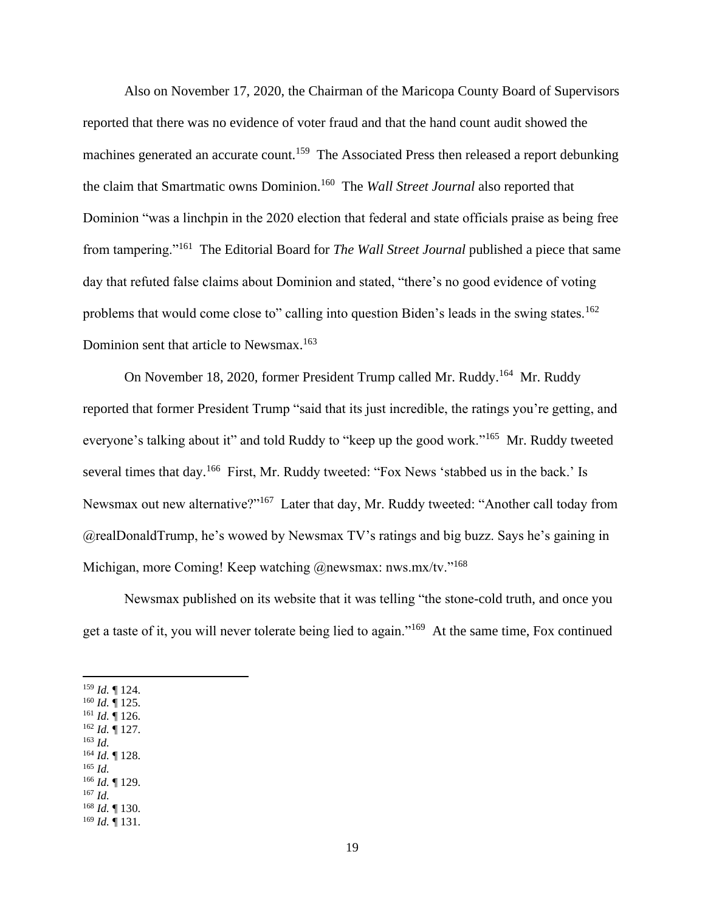Also on November 17, 2020, the Chairman of the Maricopa County Board of Supervisors reported that there was no evidence of voter fraud and that the hand count audit showed the machines generated an accurate count.<sup>159</sup> The Associated Press then released a report debunking the claim that Smartmatic owns Dominion.<sup>160</sup> The *Wall Street Journal* also reported that Dominion "was a linchpin in the 2020 election that federal and state officials praise as being free from tampering."<sup>161</sup> The Editorial Board for *The Wall Street Journal* published a piece that same day that refuted false claims about Dominion and stated, "there's no good evidence of voting problems that would come close to" calling into question Biden's leads in the swing states.<sup>162</sup> Dominion sent that article to Newsmax.<sup>163</sup>

On November 18, 2020, former President Trump called Mr. Ruddy.<sup>164</sup> Mr. Ruddy reported that former President Trump "said that its just incredible, the ratings you're getting, and everyone's talking about it" and told Ruddy to "keep up the good work."<sup>165</sup> Mr. Ruddy tweeted several times that day.<sup>166</sup> First, Mr. Ruddy tweeted: "Fox News 'stabbed us in the back.' Is Newsmax out new alternative?"<sup>167</sup> Later that day, Mr. Ruddy tweeted: "Another call today from @realDonaldTrump, he's wowed by Newsmax TV's ratings and big buzz. Says he's gaining in Michigan, more Coming! Keep watching @newsmax: nws.mx/tv."<sup>168</sup>

Newsmax published on its website that it was telling "the stone-cold truth, and once you get a taste of it, you will never tolerate being lied to again."<sup>169</sup> At the same time, Fox continued

<sup>159</sup> *Id.* ¶ 124.

- <sup>160</sup> *Id.* ¶ 125. <sup>161</sup> *Id.* ¶ 126.
- <sup>162</sup> *Id.* ¶ 127.
- <sup>163</sup> *Id.*
- <sup>164</sup> *Id.* ¶ 128.  $165$  *Id.*
- <sup>166</sup> *Id.* ¶ 129.
- <sup>167</sup> *Id.*
- <sup>168</sup> *Id.* ¶ 130.
- <sup>169</sup> *Id.* ¶ 131.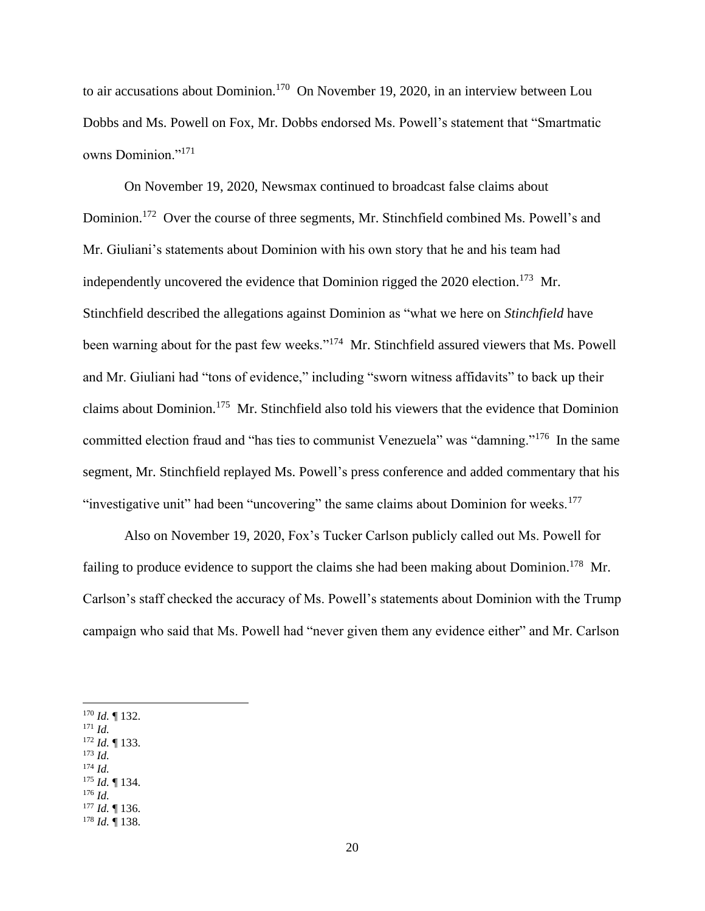to air accusations about Dominion.<sup>170</sup> On November 19, 2020, in an interview between Lou Dobbs and Ms. Powell on Fox, Mr. Dobbs endorsed Ms. Powell's statement that "Smartmatic owns Dominion."<sup>171</sup>

On November 19, 2020, Newsmax continued to broadcast false claims about Dominion.<sup>172</sup> Over the course of three segments, Mr. Stinchfield combined Ms. Powell's and Mr. Giuliani's statements about Dominion with his own story that he and his team had independently uncovered the evidence that Dominion rigged the  $2020$  election.<sup>173</sup> Mr. Stinchfield described the allegations against Dominion as "what we here on *Stinchfield* have been warning about for the past few weeks."<sup>174</sup> Mr. Stinchfield assured viewers that Ms. Powell and Mr. Giuliani had "tons of evidence," including "sworn witness affidavits" to back up their claims about Dominion.<sup>175</sup> Mr. Stinchfield also told his viewers that the evidence that Dominion committed election fraud and "has ties to communist Venezuela" was "damning."<sup>176</sup> In the same segment, Mr. Stinchfield replayed Ms. Powell's press conference and added commentary that his "investigative unit" had been "uncovering" the same claims about Dominion for weeks.<sup>177</sup>

Also on November 19, 2020, Fox's Tucker Carlson publicly called out Ms. Powell for failing to produce evidence to support the claims she had been making about Dominion.<sup>178</sup> Mr. Carlson's staff checked the accuracy of Ms. Powell's statements about Dominion with the Trump campaign who said that Ms. Powell had "never given them any evidence either" and Mr. Carlson

<sup>170</sup> *Id.* ¶ 132.

 $171$  *Id.* 

- <sup>172</sup> *Id.* ¶ 133.
- <sup>173</sup> *Id.*
- <sup>174</sup> *Id.* <sup>175</sup> *Id.* ¶ 134.
- <sup>176</sup> *Id.*
- <sup>177</sup> *Id.* ¶ 136.
- <sup>178</sup> *Id.* ¶ 138.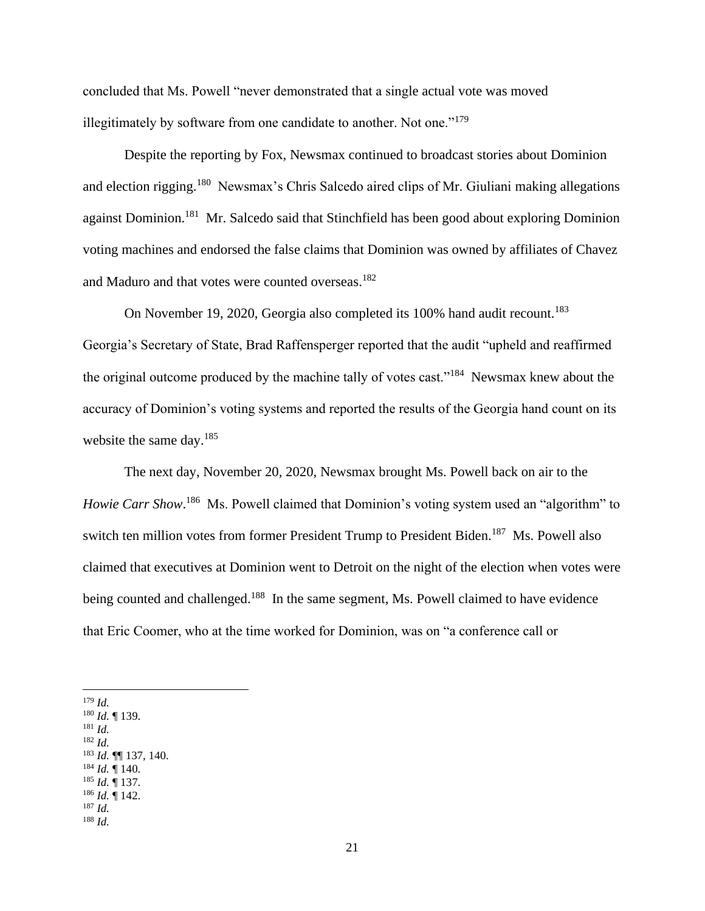concluded that Ms. Powell "never demonstrated that a single actual vote was moved illegitimately by software from one candidate to another. Not one."<sup>179</sup>

Despite the reporting by Fox, Newsmax continued to broadcast stories about Dominion and election rigging.<sup>180</sup> Newsmax's Chris Salcedo aired clips of Mr. Giuliani making allegations against Dominion.<sup>181</sup> Mr. Salcedo said that Stinchfield has been good about exploring Dominion voting machines and endorsed the false claims that Dominion was owned by affiliates of Chavez and Maduro and that votes were counted overseas.<sup>182</sup>

On November 19, 2020, Georgia also completed its 100% hand audit recount.<sup>183</sup> Georgia's Secretary of State, Brad Raffensperger reported that the audit "upheld and reaffirmed the original outcome produced by the machine tally of votes cast."<sup>184</sup> Newsmax knew about the accuracy of Dominion's voting systems and reported the results of the Georgia hand count on its website the same day.<sup>185</sup>

The next day, November 20, 2020, Newsmax brought Ms. Powell back on air to the Howie Carr Show.<sup>186</sup> Ms. Powell claimed that Dominion's voting system used an "algorithm" to switch ten million votes from former President Trump to President Biden.<sup>187</sup> Ms. Powell also claimed that executives at Dominion went to Detroit on the night of the election when votes were being counted and challenged.<sup>188</sup> In the same segment, Ms. Powell claimed to have evidence that Eric Coomer, who at the time worked for Dominion, was on "a conference call or

<sup>179</sup> *Id.* 

<sup>180</sup> *Id.* ¶ 139.

<sup>181</sup> *Id.* <sup>182</sup> *Id.* 

<sup>183</sup> *Id.* ¶¶ 137, 140.

<sup>184</sup> *Id.* ¶ 140.

<sup>185</sup> *Id.* ¶ 137.

<sup>186</sup> *Id.* ¶ 142.

 $187$  *Id.* <sup>188</sup> *Id.*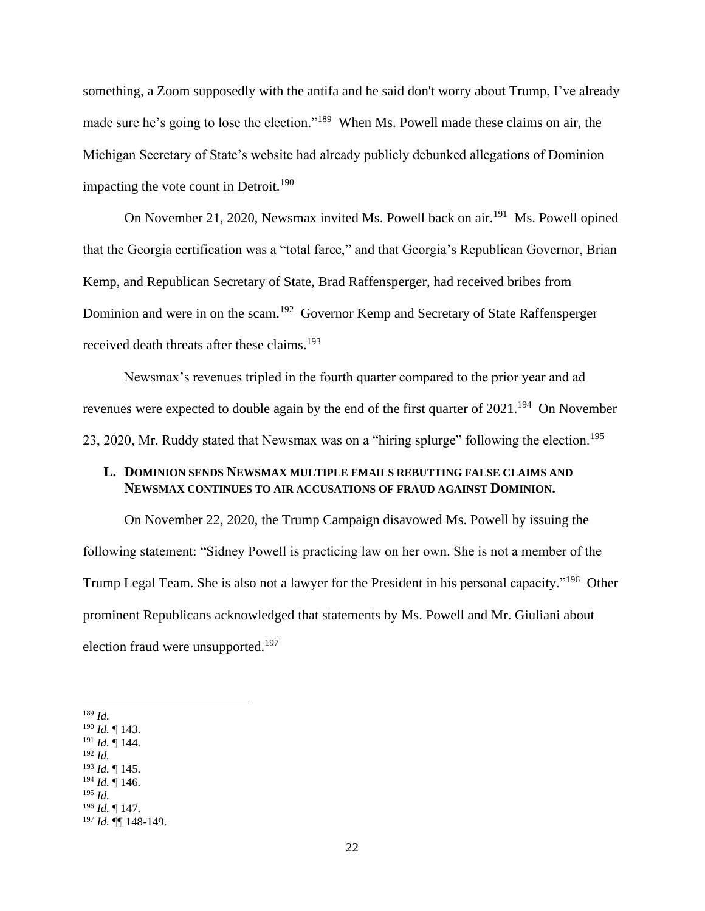something, a Zoom supposedly with the antifa and he said don't worry about Trump, I've already made sure he's going to lose the election."<sup>189</sup> When Ms. Powell made these claims on air, the Michigan Secretary of State's website had already publicly debunked allegations of Dominion impacting the vote count in Detroit.<sup>190</sup>

On November 21, 2020, Newsmax invited Ms. Powell back on air.<sup>191</sup> Ms. Powell opined that the Georgia certification was a "total farce," and that Georgia's Republican Governor, Brian Kemp, and Republican Secretary of State, Brad Raffensperger, had received bribes from Dominion and were in on the scam.<sup>192</sup> Governor Kemp and Secretary of State Raffensperger received death threats after these claims.<sup>193</sup>

Newsmax's revenues tripled in the fourth quarter compared to the prior year and ad revenues were expected to double again by the end of the first quarter of  $2021$ .<sup>194</sup> On November 23, 2020, Mr. Ruddy stated that Newsmax was on a "hiring splurge" following the election.<sup>195</sup>

# **L. DOMINION SENDS NEWSMAX MULTIPLE EMAILS REBUTTING FALSE CLAIMS AND NEWSMAX CONTINUES TO AIR ACCUSATIONS OF FRAUD AGAINST DOMINION.**

On November 22, 2020, the Trump Campaign disavowed Ms. Powell by issuing the following statement: "Sidney Powell is practicing law on her own. She is not a member of the Trump Legal Team. She is also not a lawyer for the President in his personal capacity."<sup>196</sup> Other prominent Republicans acknowledged that statements by Ms. Powell and Mr. Giuliani about election fraud were unsupported.<sup>197</sup>

- <sup>191</sup> *Id.* ¶ 144.
- <sup>192</sup> *Id.*
- <sup>193</sup> *Id.* ¶ 145. <sup>194</sup> *Id.* ¶ 146.
- <sup>195</sup> *Id.*
- <sup>196</sup> *Id.* ¶ 147.

<sup>189</sup> *Id.*

<sup>190</sup> *Id.* ¶ 143.

<sup>197</sup> *Id.* ¶¶ 148-149.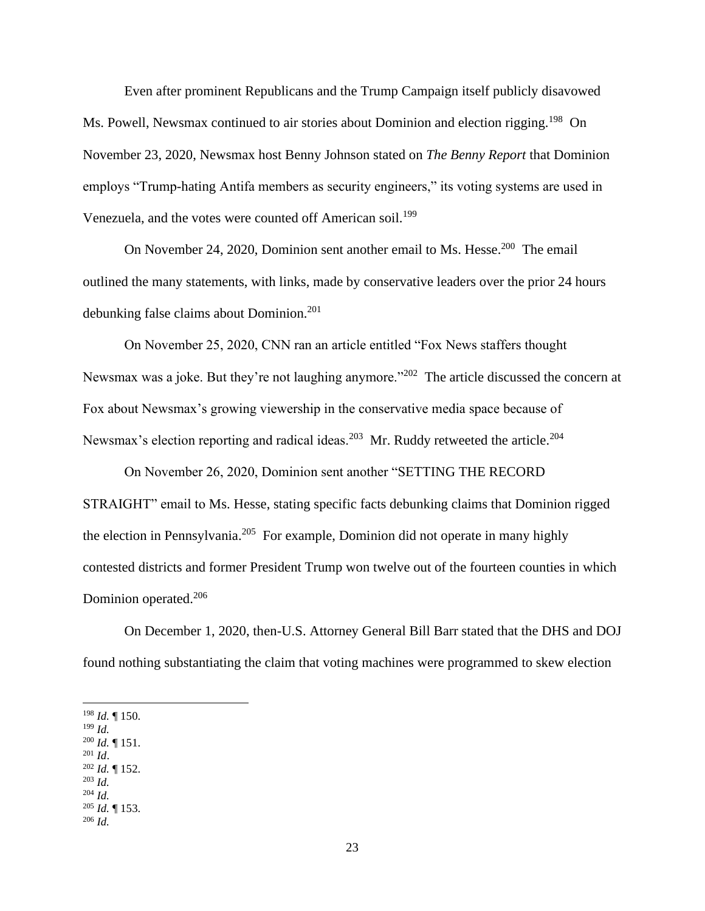Even after prominent Republicans and the Trump Campaign itself publicly disavowed Ms. Powell, Newsmax continued to air stories about Dominion and election rigging.<sup>198</sup> On November 23, 2020, Newsmax host Benny Johnson stated on *The Benny Report* that Dominion employs "Trump-hating Antifa members as security engineers," its voting systems are used in Venezuela, and the votes were counted off American soil.<sup>199</sup>

On November 24, 2020, Dominion sent another email to Ms. Hesse.<sup>200</sup> The email outlined the many statements, with links, made by conservative leaders over the prior 24 hours debunking false claims about Dominion.<sup>201</sup>

On November 25, 2020, CNN ran an article entitled "Fox News staffers thought Newsmax was a joke. But they're not laughing anymore."<sup>202</sup> The article discussed the concern at Fox about Newsmax's growing viewership in the conservative media space because of Newsmax's election reporting and radical ideas.<sup>203</sup> Mr. Ruddy retweeted the article.<sup>204</sup>

On November 26, 2020, Dominion sent another "SETTING THE RECORD STRAIGHT" email to Ms. Hesse, stating specific facts debunking claims that Dominion rigged the election in Pennsylvania.<sup>205</sup> For example, Dominion did not operate in many highly contested districts and former President Trump won twelve out of the fourteen counties in which Dominion operated.<sup>206</sup>

On December 1, 2020, then-U.S. Attorney General Bill Barr stated that the DHS and DOJ found nothing substantiating the claim that voting machines were programmed to skew election

- <sup>200</sup> *Id.* ¶ 151.
- <sup>201</sup> *Id*. <sup>202</sup> *Id.* ¶ 152.
- <sup>203</sup> *Id.*
- <sup>204</sup> *Id.*
- <sup>205</sup> *Id.* ¶ 153. <sup>206</sup> *Id.*

23

<sup>198</sup> *Id.* ¶ 150.

<sup>199</sup> *Id.*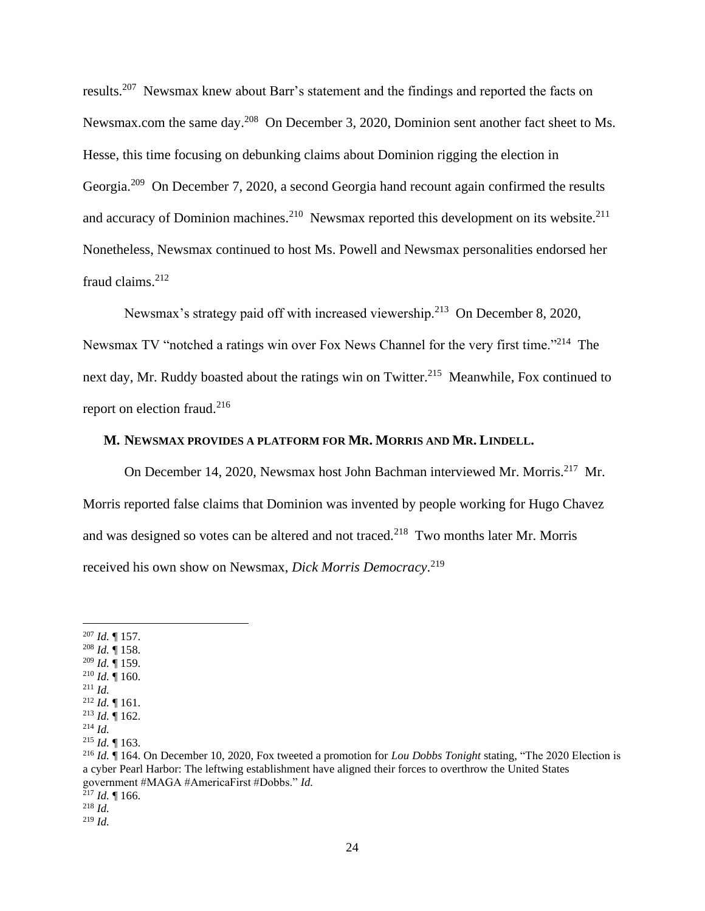results.<sup>207</sup> Newsmax knew about Barr's statement and the findings and reported the facts on Newsmax.com the same day.<sup>208</sup> On December 3, 2020, Dominion sent another fact sheet to Ms. Hesse, this time focusing on debunking claims about Dominion rigging the election in Georgia.<sup>209</sup> On December 7, 2020, a second Georgia hand recount again confirmed the results and accuracy of Dominion machines.<sup>210</sup> Newsmax reported this development on its website.<sup>211</sup> Nonetheless, Newsmax continued to host Ms. Powell and Newsmax personalities endorsed her fraud claims.<sup>212</sup>

Newsmax's strategy paid off with increased viewership.<sup>213</sup> On December 8, 2020, Newsmax TV "notched a ratings win over Fox News Channel for the very first time."<sup>214</sup> The next day, Mr. Ruddy boasted about the ratings win on Twitter.<sup>215</sup> Meanwhile, Fox continued to report on election fraud.<sup>216</sup>

### **M. NEWSMAX PROVIDES A PLATFORM FOR MR. MORRIS AND MR. LINDELL.**

On December 14, 2020, Newsmax host John Bachman interviewed Mr. Morris.<sup>217</sup> Mr. Morris reported false claims that Dominion was invented by people working for Hugo Chavez and was designed so votes can be altered and not traced.<sup>218</sup> Two months later Mr. Morris received his own show on Newsmax, *Dick Morris Democracy*. 219

- <sup>209</sup> *Id.* ¶ 159.
- <sup>210</sup> *Id.* ¶ 160. <sup>211</sup> *Id.*
- <sup>212</sup> *Id.* ¶ 161.
- <sup>213</sup> *Id.* ¶ 162.

<sup>219</sup> *Id.* 

<sup>207</sup> *Id.* ¶ 157.

<sup>208</sup> *Id.* ¶ 158.

<sup>214</sup> *Id.* 

<sup>215</sup> *Id.* ¶ 163.

<sup>216</sup> *Id.* ¶ 164. On December 10, 2020, Fox tweeted a promotion for *Lou Dobbs Tonight* stating, "The 2020 Election is a cyber Pearl Harbor: The leftwing establishment have aligned their forces to overthrow the United States government #MAGA #AmericaFirst #Dobbs." *Id.* 

<sup>217</sup> *Id.* ¶ 166. <sup>218</sup> *Id.*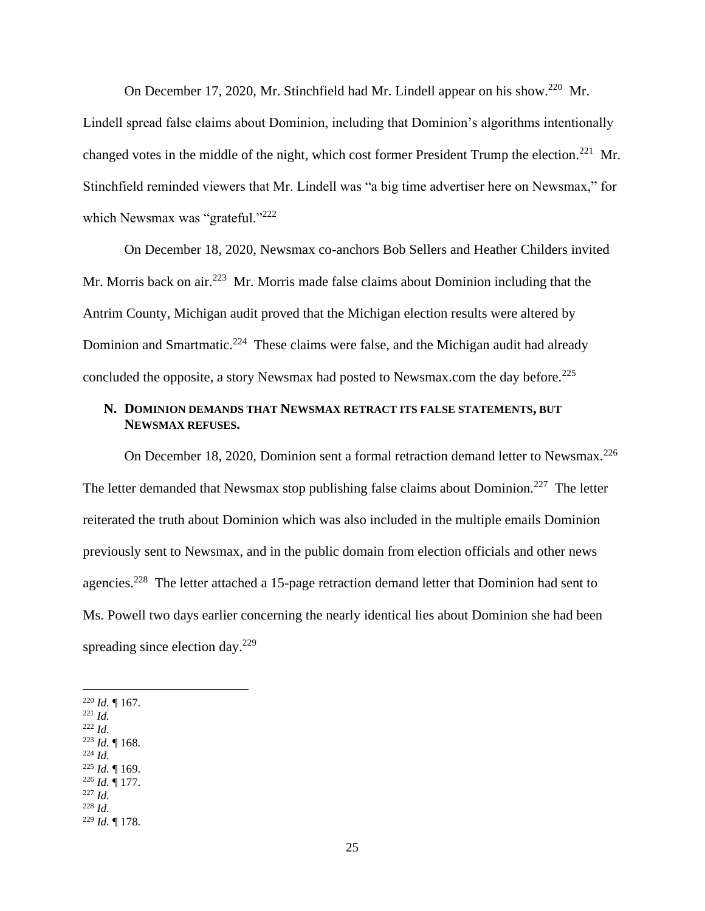On December 17, 2020, Mr. Stinchfield had Mr. Lindell appear on his show.<sup>220</sup> Mr. Lindell spread false claims about Dominion, including that Dominion's algorithms intentionally changed votes in the middle of the night, which cost former President Trump the election.<sup>221</sup> Mr. Stinchfield reminded viewers that Mr. Lindell was "a big time advertiser here on Newsmax," for which Newsmax was "grateful."<sup>222</sup>

On December 18, 2020, Newsmax co-anchors Bob Sellers and Heather Childers invited Mr. Morris back on air.<sup>223</sup> Mr. Morris made false claims about Dominion including that the Antrim County, Michigan audit proved that the Michigan election results were altered by Dominion and Smartmatic.<sup>224</sup> These claims were false, and the Michigan audit had already concluded the opposite, a story Newsmax had posted to Newsmax.com the day before.<sup>225</sup>

# **N. DOMINION DEMANDS THAT NEWSMAX RETRACT ITS FALSE STATEMENTS, BUT NEWSMAX REFUSES.**

On December 18, 2020, Dominion sent a formal retraction demand letter to Newsmax.<sup>226</sup> The letter demanded that Newsmax stop publishing false claims about Dominion.<sup>227</sup> The letter reiterated the truth about Dominion which was also included in the multiple emails Dominion previously sent to Newsmax, and in the public domain from election officials and other news agencies.<sup>228</sup> The letter attached a 15-page retraction demand letter that Dominion had sent to Ms. Powell two days earlier concerning the nearly identical lies about Dominion she had been spreading since election day.<sup>229</sup>

<sup>220</sup> *Id.* ¶ 167.

- <sup>221</sup> *Id.*
- <sup>222</sup> *Id.*
- <sup>223</sup> *Id.* ¶ 168. <sup>224</sup> *Id.*
- <sup>225</sup> *Id.* ¶ 169.
- <sup>226</sup> *Id.* ¶ 177.
- <sup>227</sup> *Id.*

<sup>228</sup> *Id.* 

<sup>229</sup> *Id.* ¶ 178.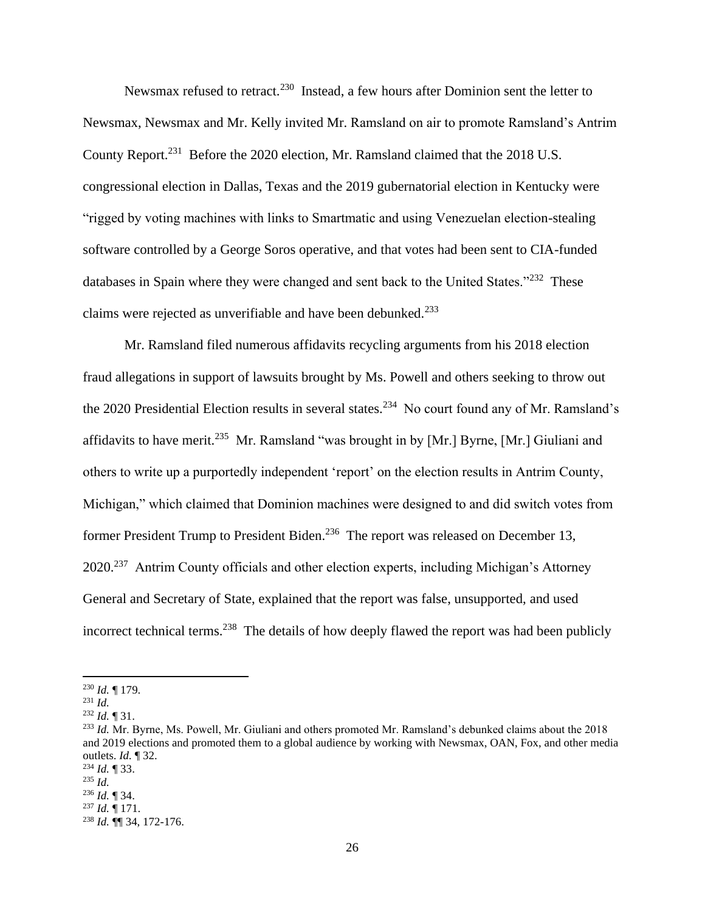Newsmax refused to retract.<sup>230</sup> Instead, a few hours after Dominion sent the letter to Newsmax, Newsmax and Mr. Kelly invited Mr. Ramsland on air to promote Ramsland's Antrim County Report.<sup>231</sup> Before the 2020 election, Mr. Ramsland claimed that the 2018 U.S. congressional election in Dallas, Texas and the 2019 gubernatorial election in Kentucky were "rigged by voting machines with links to Smartmatic and using Venezuelan election-stealing software controlled by a George Soros operative, and that votes had been sent to CIA-funded databases in Spain where they were changed and sent back to the United States."<sup>232</sup> These claims were rejected as unverifiable and have been debunked.<sup>233</sup>

Mr. Ramsland filed numerous affidavits recycling arguments from his 2018 election fraud allegations in support of lawsuits brought by Ms. Powell and others seeking to throw out the 2020 Presidential Election results in several states.<sup>234</sup> No court found any of Mr. Ramsland's affidavits to have merit.<sup>235</sup> Mr. Ramsland "was brought in by [Mr.] Byrne, [Mr.] Giuliani and others to write up a purportedly independent 'report' on the election results in Antrim County, Michigan," which claimed that Dominion machines were designed to and did switch votes from former President Trump to President Biden.<sup>236</sup> The report was released on December 13, 2020.<sup>237</sup> Antrim County officials and other election experts, including Michigan's Attorney General and Secretary of State, explained that the report was false, unsupported, and used incorrect technical terms.<sup>238</sup> The details of how deeply flawed the report was had been publicly

<sup>230</sup> *Id.* ¶ 179.

 $^{231}$  *Id.* 

<sup>232</sup> *Id.* ¶ 31.

<sup>233</sup> *Id.* Mr. Byrne, Ms. Powell, Mr. Giuliani and others promoted Mr. Ramsland's debunked claims about the 2018 and 2019 elections and promoted them to a global audience by working with Newsmax, OAN, Fox, and other media outlets. *Id.* ¶ 32.

<sup>234</sup> *Id.* ¶ 33.

<sup>235</sup> *Id.*

<sup>236</sup> *Id.* ¶ 34.

<sup>237</sup> *Id.* ¶ 171. <sup>238</sup> *Id.* ¶¶ 34, 172-176.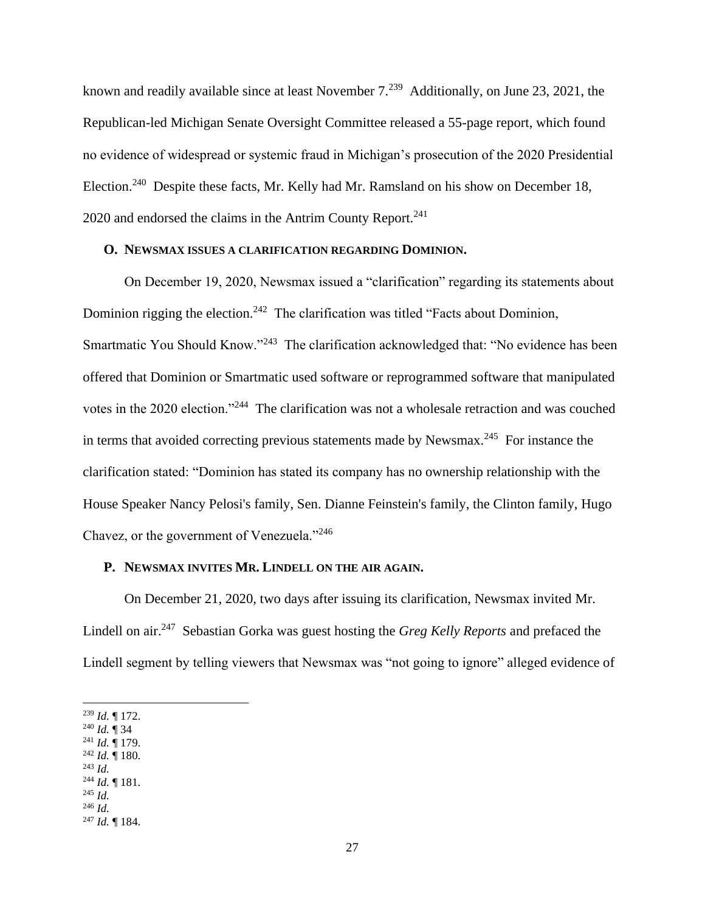known and readily available since at least November  $7.^{239}$  Additionally, on June 23, 2021, the Republican-led Michigan Senate Oversight Committee released a 55-page report, which found no evidence of widespread or systemic fraud in Michigan's prosecution of the 2020 Presidential Election.<sup>240</sup> Despite these facts, Mr. Kelly had Mr. Ramsland on his show on December 18, 2020 and endorsed the claims in the Antrim County Report.<sup>241</sup>

## **O. NEWSMAX ISSUES A CLARIFICATION REGARDING DOMINION.**

On December 19, 2020, Newsmax issued a "clarification" regarding its statements about Dominion rigging the election.<sup>242</sup> The clarification was titled "Facts about Dominion, Smartmatic You Should Know."<sup>243</sup> The clarification acknowledged that: "No evidence has been offered that Dominion or Smartmatic used software or reprogrammed software that manipulated votes in the 2020 election."<sup>244</sup> The clarification was not a wholesale retraction and was couched in terms that avoided correcting previous statements made by Newsmax.<sup>245</sup> For instance the clarification stated: "Dominion has stated its company has no ownership relationship with the House Speaker Nancy Pelosi's family, Sen. Dianne Feinstein's family, the Clinton family, Hugo Chavez, or the government of Venezuela."<sup>246</sup>

# **P. NEWSMAX INVITES MR. LINDELL ON THE AIR AGAIN.**

On December 21, 2020, two days after issuing its clarification, Newsmax invited Mr. Lindell on air.<sup>247</sup> Sebastian Gorka was guest hosting the *Greg Kelly Reports* and prefaced the Lindell segment by telling viewers that Newsmax was "not going to ignore" alleged evidence of

- <sup>241</sup> *Id.* ¶ 179.
- <sup>242</sup> *Id.* ¶ 180. <sup>243</sup> *Id.*
- <sup>244</sup> *Id.* ¶ 181.
- <sup>245</sup> *Id.*
- $^{246}$  *Id.*

<sup>239</sup> *Id.* ¶ 172.

<sup>240</sup> *Id.* ¶ 34

<sup>247</sup> *Id.* ¶ 184.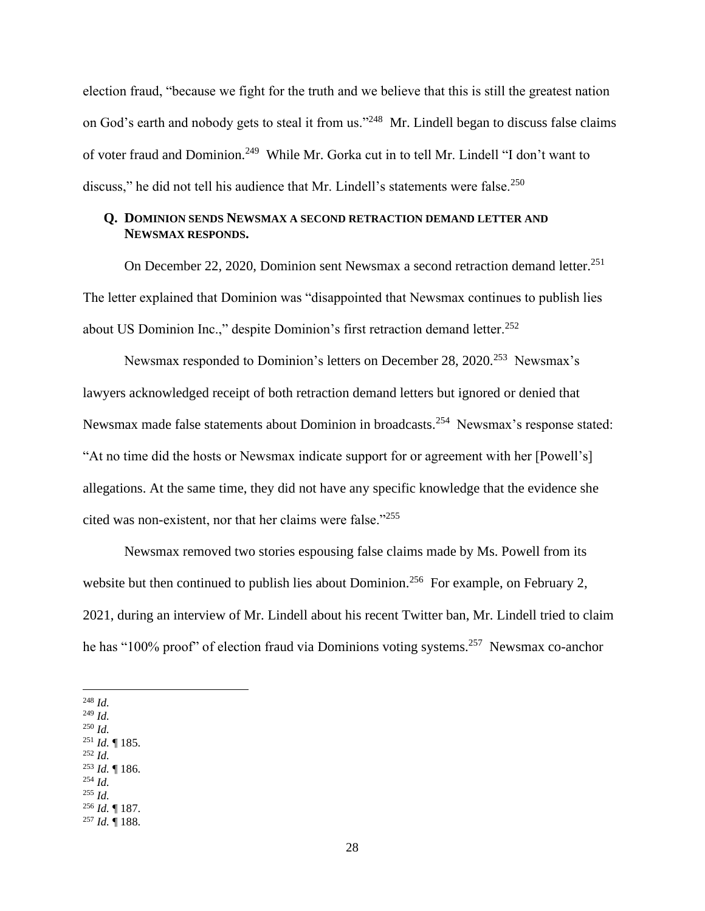election fraud, "because we fight for the truth and we believe that this is still the greatest nation on God's earth and nobody gets to steal it from us."<sup>248</sup> Mr. Lindell began to discuss false claims of voter fraud and Dominion.<sup>249</sup> While Mr. Gorka cut in to tell Mr. Lindell "I don't want to discuss," he did not tell his audience that Mr. Lindell's statements were false.<sup>250</sup>

# **Q. DOMINION SENDS NEWSMAX A SECOND RETRACTION DEMAND LETTER AND NEWSMAX RESPONDS.**

On December 22, 2020, Dominion sent Newsmax a second retraction demand letter.<sup>251</sup> The letter explained that Dominion was "disappointed that Newsmax continues to publish lies about US Dominion Inc.," despite Dominion's first retraction demand letter.<sup>252</sup>

Newsmax responded to Dominion's letters on December 28, 2020.<sup>253</sup> Newsmax's lawyers acknowledged receipt of both retraction demand letters but ignored or denied that Newsmax made false statements about Dominion in broadcasts.<sup>254</sup> Newsmax's response stated: "At no time did the hosts or Newsmax indicate support for or agreement with her [Powell's] allegations. At the same time, they did not have any specific knowledge that the evidence she cited was non-existent, nor that her claims were false."<sup>255</sup>

Newsmax removed two stories espousing false claims made by Ms. Powell from its website but then continued to publish lies about Dominion.<sup>256</sup> For example, on February 2, 2021, during an interview of Mr. Lindell about his recent Twitter ban, Mr. Lindell tried to claim he has "100% proof" of election fraud via Dominions voting systems.<sup>257</sup> Newsmax co-anchor

<sup>248</sup> *Id.*

- <sup>249</sup> *Id.*
- <sup>250</sup> *Id.*
- <sup>251</sup> *Id.* ¶ 185. <sup>252</sup> *Id.*
- <sup>253</sup> *Id.* ¶ 186.
- <sup>254</sup> *Id.*
- <sup>255</sup> *Id.*

<sup>257</sup> *Id.* ¶ 188.

<sup>256</sup> *Id.* ¶ 187.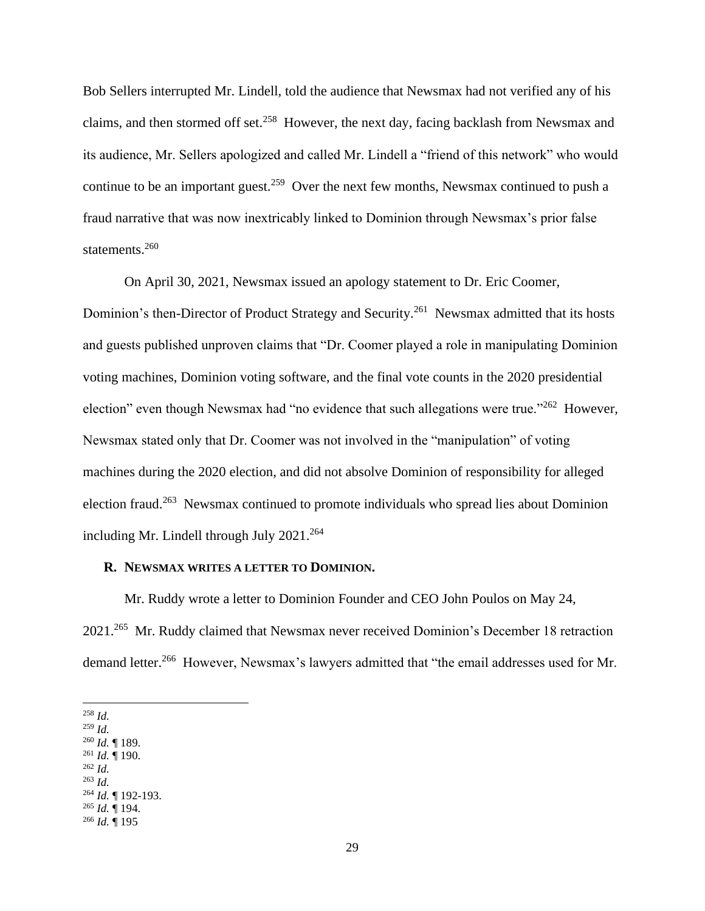Bob Sellers interrupted Mr. Lindell, told the audience that Newsmax had not verified any of his claims, and then stormed off set.<sup>258</sup> However, the next day, facing backlash from Newsmax and its audience, Mr. Sellers apologized and called Mr. Lindell a "friend of this network" who would continue to be an important guest.<sup>259</sup> Over the next few months, Newsmax continued to push a fraud narrative that was now inextricably linked to Dominion through Newsmax's prior false statements.<sup>260</sup>

On April 30, 2021, Newsmax issued an apology statement to Dr. Eric Coomer, Dominion's then-Director of Product Strategy and Security.<sup>261</sup> Newsmax admitted that its hosts and guests published unproven claims that "Dr. Coomer played a role in manipulating Dominion voting machines, Dominion voting software, and the final vote counts in the 2020 presidential election" even though Newsmax had "no evidence that such allegations were true."<sup>262</sup> However, Newsmax stated only that Dr. Coomer was not involved in the "manipulation" of voting machines during the 2020 election, and did not absolve Dominion of responsibility for alleged election fraud.<sup>263</sup> Newsmax continued to promote individuals who spread lies about Dominion including Mr. Lindell through July  $2021^{264}$ 

#### **R. NEWSMAX WRITES A LETTER TO DOMINION.**

Mr. Ruddy wrote a letter to Dominion Founder and CEO John Poulos on May 24, 2021.<sup>265</sup> Mr. Ruddy claimed that Newsmax never received Dominion's December 18 retraction demand letter.<sup>266</sup> However, Newsmax's lawyers admitted that "the email addresses used for Mr.

- <sup>260</sup> *Id.* ¶ 189.
- <sup>261</sup> *Id.* ¶ 190.
- $262$  *Id.*  $^{263}$  *Id.*
- <sup>264</sup> *Id.* ¶ 192-193.

<sup>258</sup> *Id.* 

 $^{259}$  *Id.* 

<sup>265</sup> *Id.* ¶ 194.

<sup>266</sup> *Id.* ¶ 195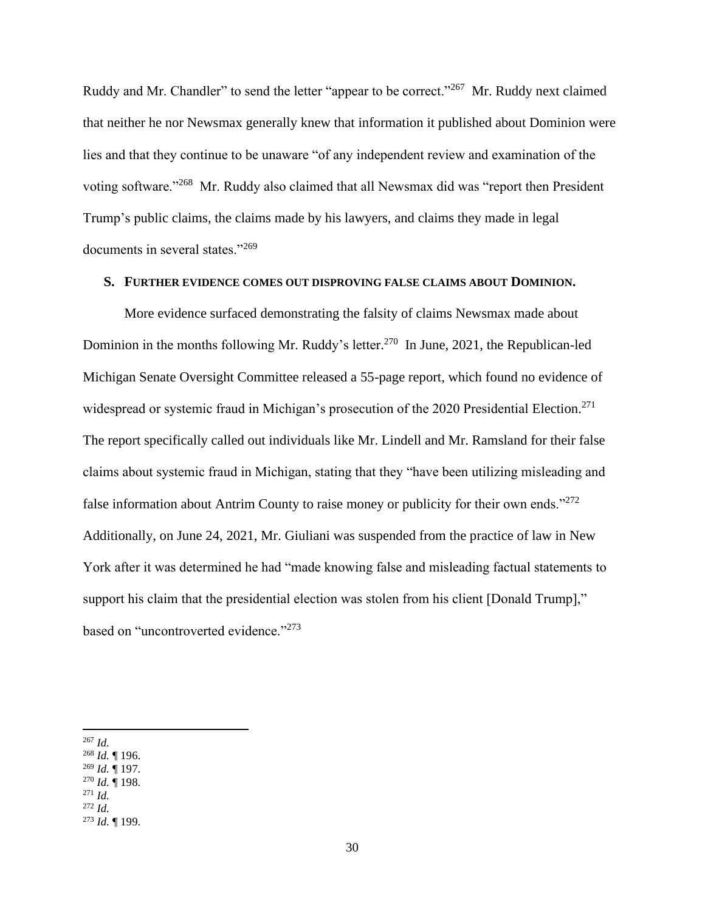Ruddy and Mr. Chandler" to send the letter "appear to be correct."<sup>267</sup> Mr. Ruddy next claimed that neither he nor Newsmax generally knew that information it published about Dominion were lies and that they continue to be unaware "of any independent review and examination of the voting software."<sup>268</sup> Mr. Ruddy also claimed that all Newsmax did was "report then President Trump's public claims, the claims made by his lawyers, and claims they made in legal documents in several states."<sup>269</sup>

### **S. FURTHER EVIDENCE COMES OUT DISPROVING FALSE CLAIMS ABOUT DOMINION.**

More evidence surfaced demonstrating the falsity of claims Newsmax made about Dominion in the months following Mr. Ruddy's letter.<sup>270</sup> In June, 2021, the Republican-led Michigan Senate Oversight Committee released a 55-page report, which found no evidence of widespread or systemic fraud in Michigan's prosecution of the 2020 Presidential Election.<sup>271</sup> The report specifically called out individuals like Mr. Lindell and Mr. Ramsland for their false claims about systemic fraud in Michigan, stating that they "have been utilizing misleading and false information about Antrim County to raise money or publicity for their own ends."<sup>272</sup> Additionally, on June 24, 2021, Mr. Giuliani was suspended from the practice of law in New York after it was determined he had "made knowing false and misleading factual statements to support his claim that the presidential election was stolen from his client [Donald Trump]," based on "uncontroverted evidence."<sup>273</sup>

- <sup>269</sup> *Id.* ¶ 197.
- <sup>270</sup> *Id.* ¶ 198.

 $^{272}$  *Id.* 

 $^{267}$  *Id.* 

<sup>268</sup> *Id.* ¶ 196.

<sup>271</sup> *Id.*

<sup>273</sup> *Id.* ¶ 199.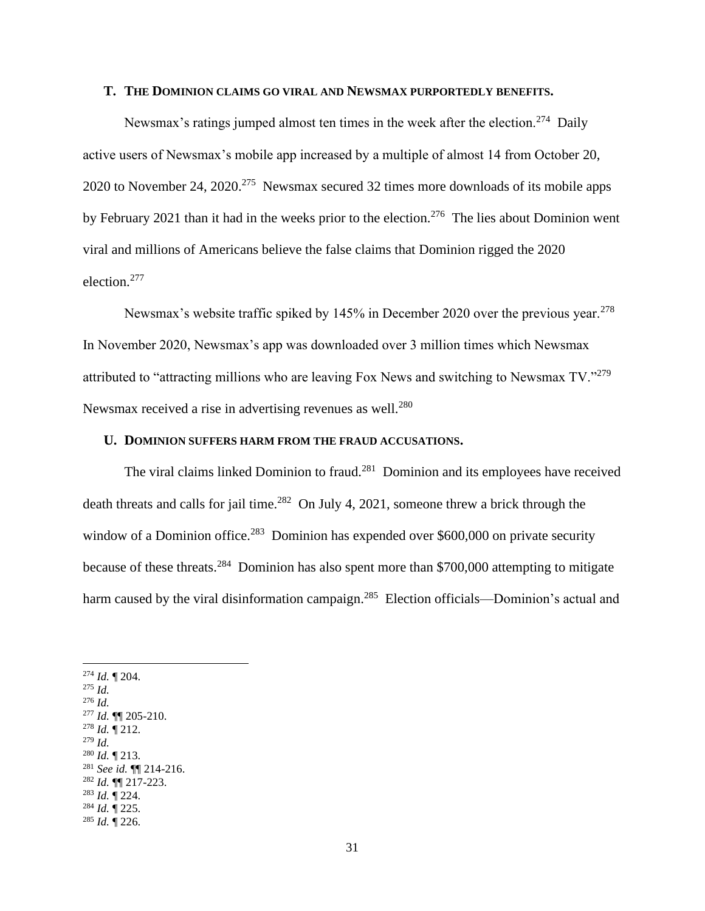### **T. THE DOMINION CLAIMS GO VIRAL AND NEWSMAX PURPORTEDLY BENEFITS.**

Newsmax's ratings jumped almost ten times in the week after the election.<sup>274</sup> Daily active users of Newsmax's mobile app increased by a multiple of almost 14 from October 20, 2020 to November 24, 2020.<sup>275</sup> Newsmax secured 32 times more downloads of its mobile apps by February 2021 than it had in the weeks prior to the election.<sup>276</sup> The lies about Dominion went viral and millions of Americans believe the false claims that Dominion rigged the 2020 election.<sup>277</sup>

Newsmax's website traffic spiked by 145% in December 2020 over the previous year.<sup>278</sup> In November 2020, Newsmax's app was downloaded over 3 million times which Newsmax attributed to "attracting millions who are leaving Fox News and switching to Newsmax TV."<sup>279</sup> Newsmax received a rise in advertising revenues as well.<sup>280</sup>

## **U. DOMINION SUFFERS HARM FROM THE FRAUD ACCUSATIONS.**

The viral claims linked Dominion to fraud.<sup>281</sup> Dominion and its employees have received death threats and calls for jail time.<sup>282</sup> On July 4, 2021, someone threw a brick through the window of a Dominion office.<sup>283</sup> Dominion has expended over \$600,000 on private security because of these threats.<sup>284</sup> Dominion has also spent more than \$700,000 attempting to mitigate harm caused by the viral disinformation campaign.<sup>285</sup> Election officials—Dominion's actual and

 *Id.* ¶ 204. <sup>275</sup> *Id.* <sup>276</sup> *Id. Id.* ¶¶ 205-210. *Id.* ¶ 212.  $^{279}$  *Id. Id.* ¶ 213. *See id.* ¶¶ 214-216. *Id.* ¶¶ 217-223. *Id.* ¶ 224. *Id.* ¶ 225. *Id.* ¶ 226.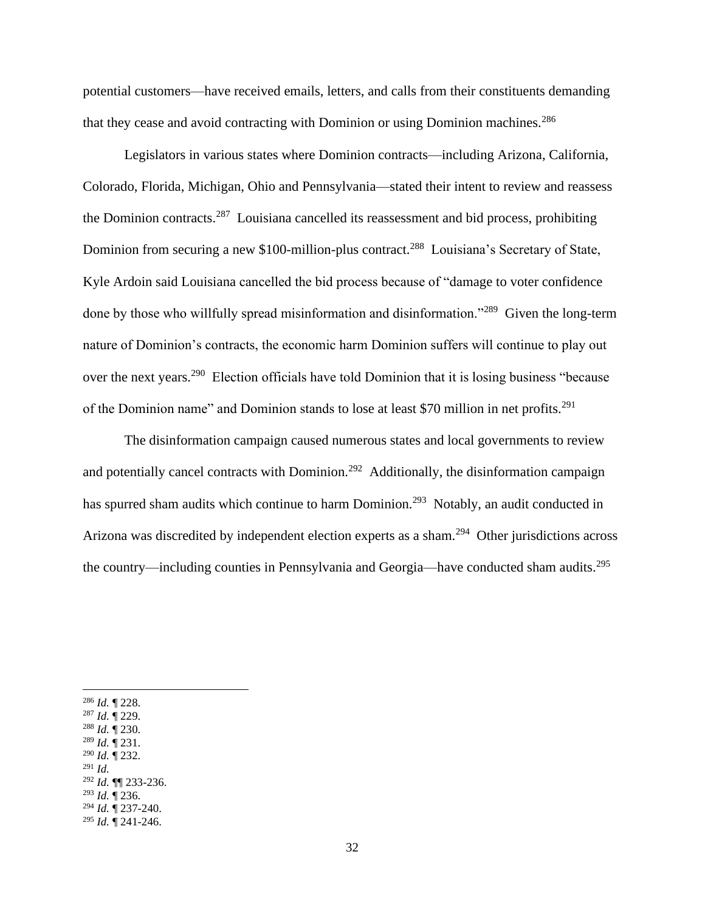potential customers—have received emails, letters, and calls from their constituents demanding that they cease and avoid contracting with Dominion or using Dominion machines.<sup>286</sup>

Legislators in various states where Dominion contracts—including Arizona, California, Colorado, Florida, Michigan, Ohio and Pennsylvania—stated their intent to review and reassess the Dominion contracts.<sup>287</sup> Louisiana cancelled its reassessment and bid process, prohibiting Dominion from securing a new \$100-million-plus contract.<sup>288</sup> Louisiana's Secretary of State, Kyle Ardoin said Louisiana cancelled the bid process because of "damage to voter confidence done by those who willfully spread misinformation and disinformation."<sup>289</sup> Given the long-term nature of Dominion's contracts, the economic harm Dominion suffers will continue to play out over the next years.<sup>290</sup> Election officials have told Dominion that it is losing business "because of the Dominion name" and Dominion stands to lose at least \$70 million in net profits.<sup>291</sup>

The disinformation campaign caused numerous states and local governments to review and potentially cancel contracts with Dominion.<sup>292</sup> Additionally, the disinformation campaign has spurred sham audits which continue to harm Dominion.<sup>293</sup> Notably, an audit conducted in Arizona was discredited by independent election experts as a sham.<sup>294</sup> Other jurisdictions across the country—including counties in Pennsylvania and Georgia—have conducted sham audits.<sup>295</sup>

<sup>286</sup> *Id.* ¶ 228.

- <sup>287</sup> *Id.* ¶ 229.
- <sup>288</sup> *Id.* ¶ 230.
- <sup>289</sup> *Id.* ¶ 231. <sup>290</sup> *Id.* ¶ 232.
- <sup>291</sup> *Id.*
- <sup>292</sup> *Id.* ¶¶ 233-236.
- <sup>293</sup> *Id.* ¶ 236.
- <sup>294</sup> *Id.* ¶ 237-240.
- <sup>295</sup> *Id.* ¶ 241-246.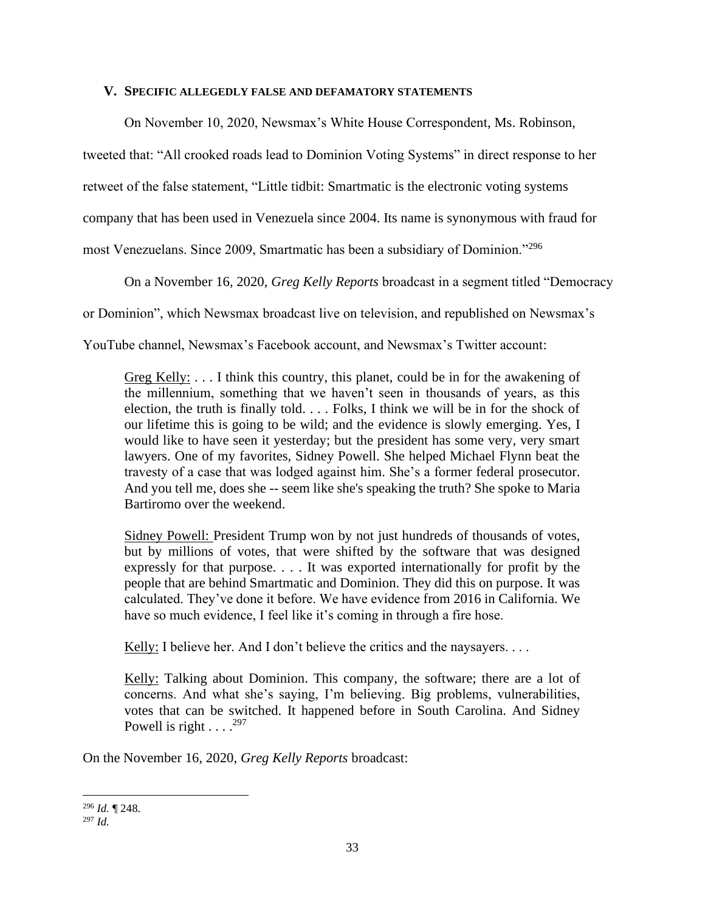## **V. SPECIFIC ALLEGEDLY FALSE AND DEFAMATORY STATEMENTS**

On November 10, 2020, Newsmax's White House Correspondent, Ms. Robinson,

tweeted that: "All crooked roads lead to Dominion Voting Systems" in direct response to her

retweet of the false statement, "Little tidbit: Smartmatic is the electronic voting systems

company that has been used in Venezuela since 2004. Its name is synonymous with fraud for

most Venezuelans. Since 2009, Smartmatic has been a subsidiary of Dominion."<sup>296</sup>

On a November 16, 2020, *Greg Kelly Reports* broadcast in a segment titled "Democracy

or Dominion", which Newsmax broadcast live on television, and republished on Newsmax's

YouTube channel, Newsmax's Facebook account, and Newsmax's Twitter account:

Greg Kelly: . . . I think this country, this planet, could be in for the awakening of the millennium, something that we haven't seen in thousands of years, as this election, the truth is finally told. . . . Folks, I think we will be in for the shock of our lifetime this is going to be wild; and the evidence is slowly emerging. Yes, I would like to have seen it yesterday; but the president has some very, very smart lawyers. One of my favorites, Sidney Powell. She helped Michael Flynn beat the travesty of a case that was lodged against him. She's a former federal prosecutor. And you tell me, does she -- seem like she's speaking the truth? She spoke to Maria Bartiromo over the weekend.

Sidney Powell: President Trump won by not just hundreds of thousands of votes, but by millions of votes, that were shifted by the software that was designed expressly for that purpose. . . . It was exported internationally for profit by the people that are behind Smartmatic and Dominion. They did this on purpose. It was calculated. They've done it before. We have evidence from 2016 in California. We have so much evidence, I feel like it's coming in through a fire hose.

Kelly: I believe her. And I don't believe the critics and the naysayers. . . .

Kelly: Talking about Dominion. This company, the software; there are a lot of concerns. And what she's saying, I'm believing. Big problems, vulnerabilities, votes that can be switched. It happened before in South Carolina. And Sidney Powell is right  $\ldots$ <sup>297</sup>

On the November 16, 2020, *Greg Kelly Reports* broadcast:

<sup>296</sup> *Id.* ¶ 248.

<sup>297</sup> *Id.*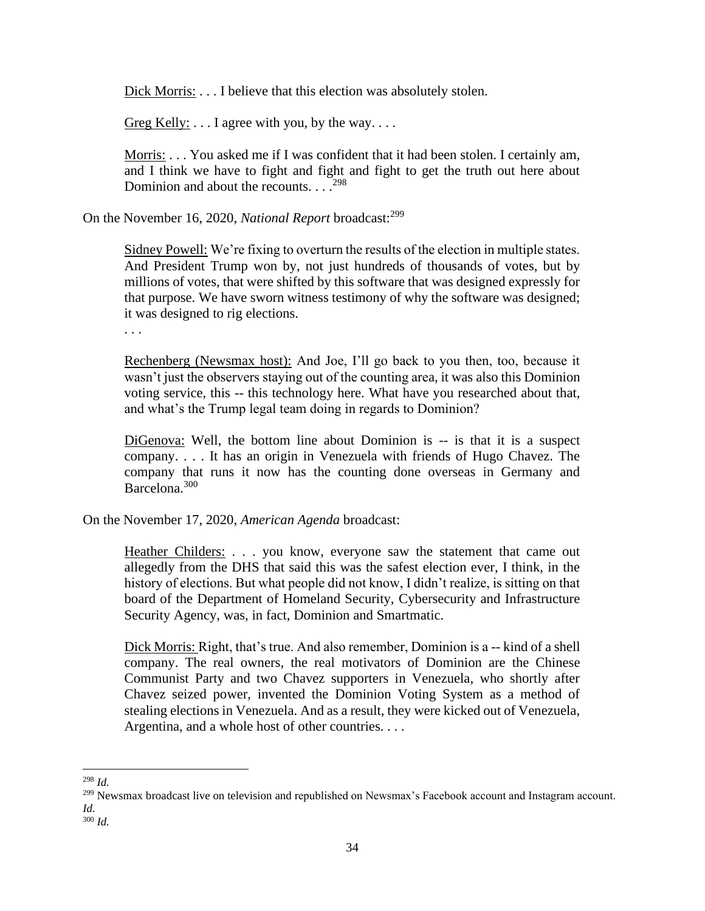Dick Morris: . . . I believe that this election was absolutely stolen.

Greg Kelly:  $\dots$  I agree with you, by the way.  $\dots$ 

Morris: . . . You asked me if I was confident that it had been stolen. I certainly am, and I think we have to fight and fight and fight to get the truth out here about Dominion and about the recounts.  $\ldots$ <sup>298</sup>

On the November 16, 2020, *National Report* broadcast:<sup>299</sup>

Sidney Powell: We're fixing to overturn the results of the election in multiple states. And President Trump won by, not just hundreds of thousands of votes, but by millions of votes, that were shifted by this software that was designed expressly for that purpose. We have sworn witness testimony of why the software was designed; it was designed to rig elections.

. . .

Rechenberg (Newsmax host): And Joe, I'll go back to you then, too, because it wasn't just the observers staying out of the counting area, it was also this Dominion voting service, this -- this technology here. What have you researched about that, and what's the Trump legal team doing in regards to Dominion?

DiGenova: Well, the bottom line about Dominion is -- is that it is a suspect company. . . . It has an origin in Venezuela with friends of Hugo Chavez. The company that runs it now has the counting done overseas in Germany and Barcelona.<sup>300</sup>

On the November 17, 2020, *American Agenda* broadcast:

Heather Childers: . . . you know, everyone saw the statement that came out allegedly from the DHS that said this was the safest election ever, I think, in the history of elections. But what people did not know, I didn't realize, is sitting on that board of the Department of Homeland Security, Cybersecurity and Infrastructure Security Agency, was, in fact, Dominion and Smartmatic.

Dick Morris: Right, that's true. And also remember, Dominion is a -- kind of a shell company. The real owners, the real motivators of Dominion are the Chinese Communist Party and two Chavez supporters in Venezuela, who shortly after Chavez seized power, invented the Dominion Voting System as a method of stealing elections in Venezuela. And as a result, they were kicked out of Venezuela, Argentina, and a whole host of other countries. . . .

<sup>298</sup> *Id.*

<sup>&</sup>lt;sup>299</sup> Newsmax broadcast live on television and republished on Newsmax's Facebook account and Instagram account. *Id.*

<sup>300</sup> *Id.*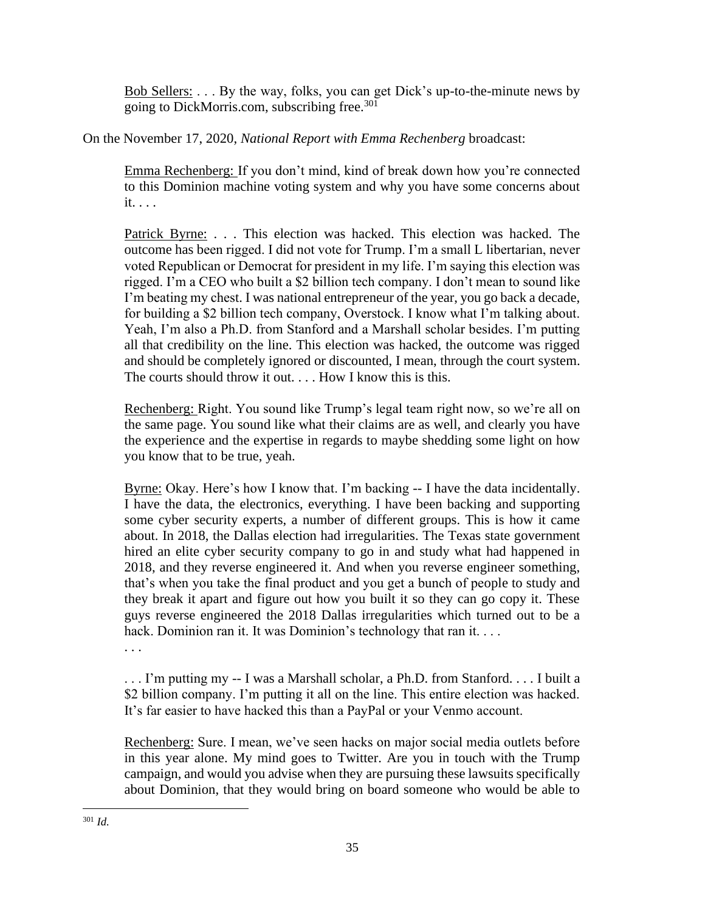Bob Sellers: . . . By the way, folks, you can get Dick's up-to-the-minute news by going to DickMorris.com, subscribing free. $30\overline{1}$ 

On the November 17, 2020, *National Report with Emma Rechenberg* broadcast:

Emma Rechenberg: If you don't mind, kind of break down how you're connected to this Dominion machine voting system and why you have some concerns about it. . . .

Patrick Byrne: . . . This election was hacked. This election was hacked. The outcome has been rigged. I did not vote for Trump. I'm a small L libertarian, never voted Republican or Democrat for president in my life. I'm saying this election was rigged. I'm a CEO who built a \$2 billion tech company. I don't mean to sound like I'm beating my chest. I was national entrepreneur of the year, you go back a decade, for building a \$2 billion tech company, Overstock. I know what I'm talking about. Yeah, I'm also a Ph.D. from Stanford and a Marshall scholar besides. I'm putting all that credibility on the line. This election was hacked, the outcome was rigged and should be completely ignored or discounted, I mean, through the court system. The courts should throw it out. . . . How I know this is this.

Rechenberg: Right. You sound like Trump's legal team right now, so we're all on the same page. You sound like what their claims are as well, and clearly you have the experience and the expertise in regards to maybe shedding some light on how you know that to be true, yeah.

Byrne: Okay. Here's how I know that. I'm backing -- I have the data incidentally. I have the data, the electronics, everything. I have been backing and supporting some cyber security experts, a number of different groups. This is how it came about. In 2018, the Dallas election had irregularities. The Texas state government hired an elite cyber security company to go in and study what had happened in 2018, and they reverse engineered it. And when you reverse engineer something, that's when you take the final product and you get a bunch of people to study and they break it apart and figure out how you built it so they can go copy it. These guys reverse engineered the 2018 Dallas irregularities which turned out to be a hack. Dominion ran it. It was Dominion's technology that ran it. . . . . . .

. . . I'm putting my -- I was a Marshall scholar, a Ph.D. from Stanford. . . . I built a \$2 billion company. I'm putting it all on the line. This entire election was hacked. It's far easier to have hacked this than a PayPal or your Venmo account.

Rechenberg: Sure. I mean, we've seen hacks on major social media outlets before in this year alone. My mind goes to Twitter. Are you in touch with the Trump campaign, and would you advise when they are pursuing these lawsuits specifically about Dominion, that they would bring on board someone who would be able to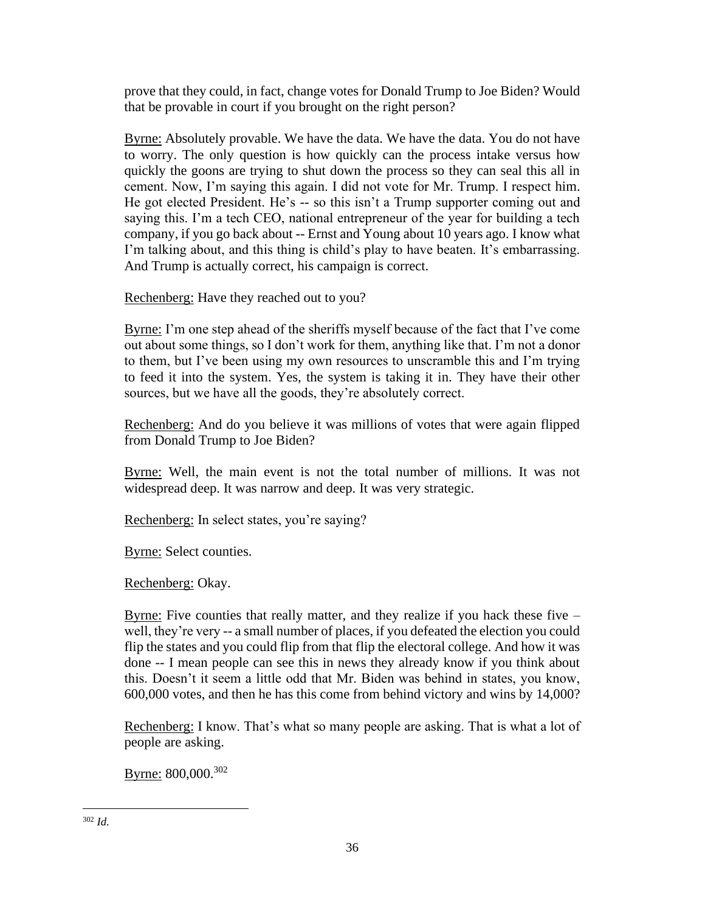prove that they could, in fact, change votes for Donald Trump to Joe Biden? Would that be provable in court if you brought on the right person?

Byrne: Absolutely provable. We have the data. We have the data. You do not have to worry. The only question is how quickly can the process intake versus how quickly the goons are trying to shut down the process so they can seal this all in cement. Now, I'm saying this again. I did not vote for Mr. Trump. I respect him. He got elected President. He's -- so this isn't a Trump supporter coming out and saying this. I'm a tech CEO, national entrepreneur of the year for building a tech company, if you go back about -- Ernst and Young about 10 years ago. I know what I'm talking about, and this thing is child's play to have beaten. It's embarrassing. And Trump is actually correct, his campaign is correct.

Rechenberg: Have they reached out to you?

Byrne: I'm one step ahead of the sheriffs myself because of the fact that I've come out about some things, so I don't work for them, anything like that. I'm not a donor to them, but I've been using my own resources to unscramble this and I'm trying to feed it into the system. Yes, the system is taking it in. They have their other sources, but we have all the goods, they're absolutely correct.

Rechenberg: And do you believe it was millions of votes that were again flipped from Donald Trump to Joe Biden?

Byrne: Well, the main event is not the total number of millions. It was not widespread deep. It was narrow and deep. It was very strategic.

Rechenberg: In select states, you're saying?

Byrne: Select counties.

Rechenberg: Okay.

Byrne: Five counties that really matter, and they realize if you hack these five – well, they're very -- a small number of places, if you defeated the election you could flip the states and you could flip from that flip the electoral college. And how it was done -- I mean people can see this in news they already know if you think about this. Doesn't it seem a little odd that Mr. Biden was behind in states, you know, 600,000 votes, and then he has this come from behind victory and wins by 14,000?

Rechenberg: I know. That's what so many people are asking. That is what a lot of people are asking.

Byrne: 800,000.<sup>302</sup>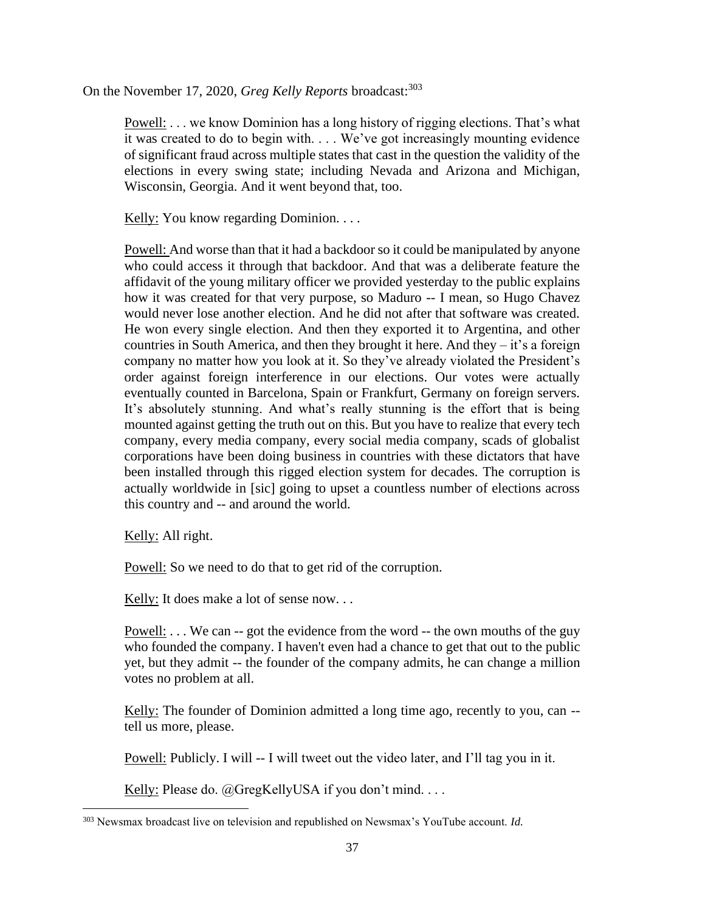On the November 17, 2020, *Greg Kelly Reports* broadcast:<sup>303</sup>

Powell: . . . we know Dominion has a long history of rigging elections. That's what it was created to do to begin with. . . . We've got increasingly mounting evidence of significant fraud across multiple states that cast in the question the validity of the elections in every swing state; including Nevada and Arizona and Michigan, Wisconsin, Georgia. And it went beyond that, too.

Kelly: You know regarding Dominion. . . .

Powell: And worse than that it had a backdoor so it could be manipulated by anyone who could access it through that backdoor. And that was a deliberate feature the affidavit of the young military officer we provided yesterday to the public explains how it was created for that very purpose, so Maduro -- I mean, so Hugo Chavez would never lose another election. And he did not after that software was created. He won every single election. And then they exported it to Argentina, and other countries in South America, and then they brought it here. And they  $-$  it's a foreign company no matter how you look at it. So they've already violated the President's order against foreign interference in our elections. Our votes were actually eventually counted in Barcelona, Spain or Frankfurt, Germany on foreign servers. It's absolutely stunning. And what's really stunning is the effort that is being mounted against getting the truth out on this. But you have to realize that every tech company, every media company, every social media company, scads of globalist corporations have been doing business in countries with these dictators that have been installed through this rigged election system for decades. The corruption is actually worldwide in [sic] going to upset a countless number of elections across this country and -- and around the world.

Kelly: All right.

Powell: So we need to do that to get rid of the corruption.

Kelly: It does make a lot of sense now...

Powell: ... We can -- got the evidence from the word -- the own mouths of the guy who founded the company. I haven't even had a chance to get that out to the public yet, but they admit -- the founder of the company admits, he can change a million votes no problem at all.

Kelly: The founder of Dominion admitted a long time ago, recently to you, can - tell us more, please.

Powell: Publicly. I will -- I will tweet out the video later, and I'll tag you in it.

Kelly: Please do. @GregKellyUSA if you don't mind....

<sup>303</sup> Newsmax broadcast live on television and republished on Newsmax's YouTube account. *Id.*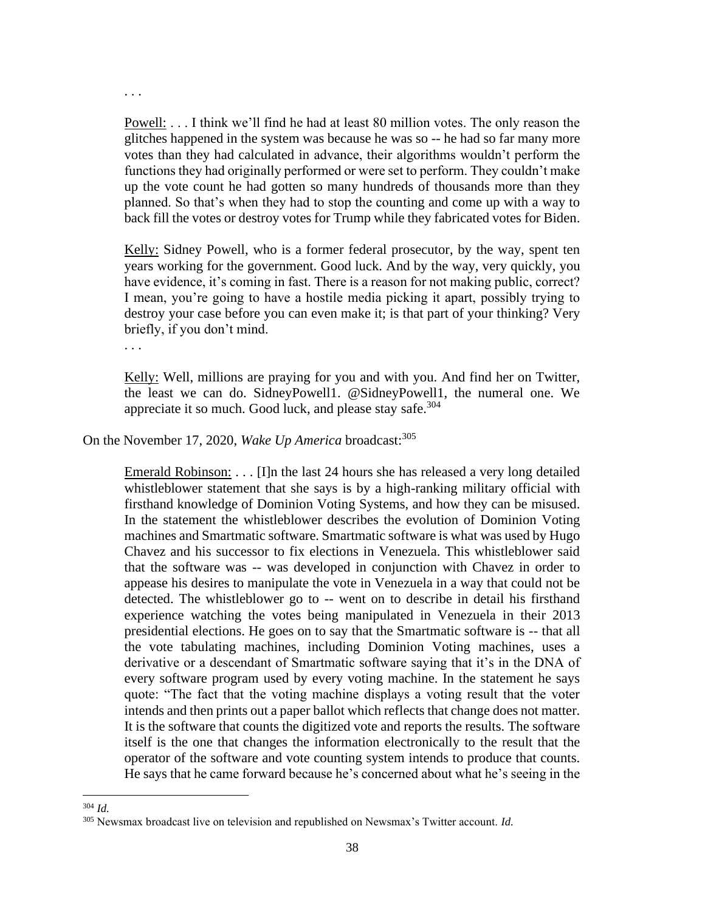Powell: . . . I think we'll find he had at least 80 million votes. The only reason the glitches happened in the system was because he was so -- he had so far many more votes than they had calculated in advance, their algorithms wouldn't perform the functions they had originally performed or were set to perform. They couldn't make up the vote count he had gotten so many hundreds of thousands more than they planned. So that's when they had to stop the counting and come up with a way to back fill the votes or destroy votes for Trump while they fabricated votes for Biden.

Kelly: Sidney Powell, who is a former federal prosecutor, by the way, spent ten years working for the government. Good luck. And by the way, very quickly, you have evidence, it's coming in fast. There is a reason for not making public, correct? I mean, you're going to have a hostile media picking it apart, possibly trying to destroy your case before you can even make it; is that part of your thinking? Very briefly, if you don't mind.

. . .

. . .

Kelly: Well, millions are praying for you and with you. And find her on Twitter, the least we can do. SidneyPowell1. @SidneyPowell1, the numeral one. We appreciate it so much. Good luck, and please stay safe.  $304$ 

On the November 17, 2020, *Wake Up America* broadcast:<sup>305</sup>

Emerald Robinson: . . . [I]n the last 24 hours she has released a very long detailed whistleblower statement that she says is by a high-ranking military official with firsthand knowledge of Dominion Voting Systems, and how they can be misused. In the statement the whistleblower describes the evolution of Dominion Voting machines and Smartmatic software. Smartmatic software is what was used by Hugo Chavez and his successor to fix elections in Venezuela. This whistleblower said that the software was -- was developed in conjunction with Chavez in order to appease his desires to manipulate the vote in Venezuela in a way that could not be detected. The whistleblower go to -- went on to describe in detail his firsthand experience watching the votes being manipulated in Venezuela in their 2013 presidential elections. He goes on to say that the Smartmatic software is -- that all the vote tabulating machines, including Dominion Voting machines, uses a derivative or a descendant of Smartmatic software saying that it's in the DNA of every software program used by every voting machine. In the statement he says quote: "The fact that the voting machine displays a voting result that the voter intends and then prints out a paper ballot which reflects that change does not matter. It is the software that counts the digitized vote and reports the results. The software itself is the one that changes the information electronically to the result that the operator of the software and vote counting system intends to produce that counts. He says that he came forward because he's concerned about what he's seeing in the

<sup>304</sup> *Id.* 

<sup>305</sup> Newsmax broadcast live on television and republished on Newsmax's Twitter account. *Id.*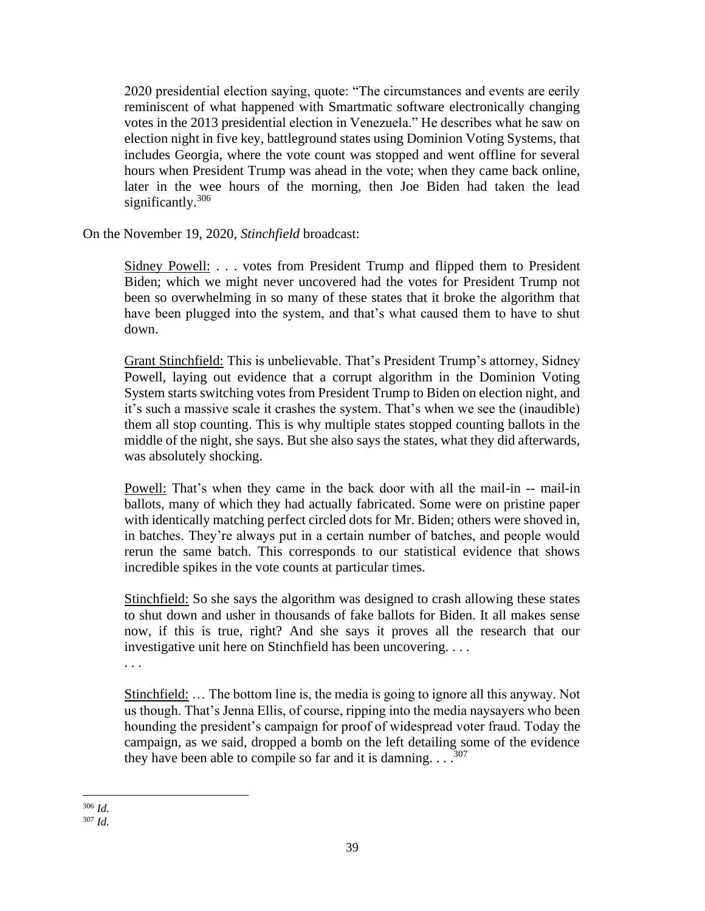2020 presidential election saying, quote: "The circumstances and events are eerily reminiscent of what happened with Smartmatic software electronically changing votes in the 2013 presidential election in Venezuela." He describes what he saw on election night in five key, battleground states using Dominion Voting Systems, that includes Georgia, where the vote count was stopped and went offline for several hours when President Trump was ahead in the vote; when they came back online, later in the wee hours of the morning, then Joe Biden had taken the lead significantly. $306$ 

On the November 19, 2020, *Stinchfield* broadcast:

Sidney Powell: . . . votes from President Trump and flipped them to President Biden; which we might never uncovered had the votes for President Trump not been so overwhelming in so many of these states that it broke the algorithm that have been plugged into the system, and that's what caused them to have to shut down.

Grant Stinchfield: This is unbelievable. That's President Trump's attorney, Sidney Powell, laying out evidence that a corrupt algorithm in the Dominion Voting System starts switching votes from President Trump to Biden on election night, and it's such a massive scale it crashes the system. That's when we see the (inaudible) them all stop counting. This is why multiple states stopped counting ballots in the middle of the night, she says. But she also says the states, what they did afterwards, was absolutely shocking.

Powell: That's when they came in the back door with all the mail-in -- mail-in ballots, many of which they had actually fabricated. Some were on pristine paper with identically matching perfect circled dots for Mr. Biden; others were shoved in, in batches. They're always put in a certain number of batches, and people would rerun the same batch. This corresponds to our statistical evidence that shows incredible spikes in the vote counts at particular times.

Stinchfield: So she says the algorithm was designed to crash allowing these states to shut down and usher in thousands of fake ballots for Biden. It all makes sense now, if this is true, right? And she says it proves all the research that our investigative unit here on Stinchfield has been uncovering. . . .

. . .

Stinchfield: … The bottom line is, the media is going to ignore all this anyway. Not us though. That's Jenna Ellis, of course, ripping into the media naysayers who been hounding the president's campaign for proof of widespread voter fraud. Today the campaign, as we said, dropped a bomb on the left detailing some of the evidence they have been able to compile so far and it is damning.  $\ldots$ <sup>307</sup>

<sup>306</sup> *Id.*  <sup>307</sup> *Id.*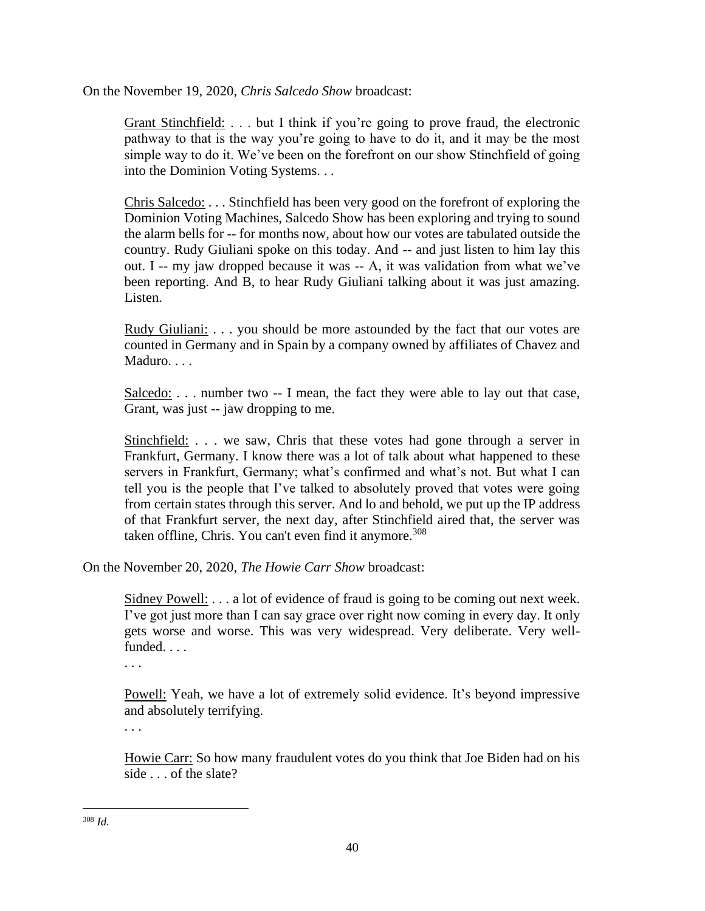On the November 19, 2020, *Chris Salcedo Show* broadcast:

Grant Stinchfield: . . . but I think if you're going to prove fraud, the electronic pathway to that is the way you're going to have to do it, and it may be the most simple way to do it. We've been on the forefront on our show Stinchfield of going into the Dominion Voting Systems. . .

Chris Salcedo: . . . Stinchfield has been very good on the forefront of exploring the Dominion Voting Machines, Salcedo Show has been exploring and trying to sound the alarm bells for -- for months now, about how our votes are tabulated outside the country. Rudy Giuliani spoke on this today. And -- and just listen to him lay this out. I -- my jaw dropped because it was -- A, it was validation from what we've been reporting. And B, to hear Rudy Giuliani talking about it was just amazing. Listen.

Rudy Giuliani: . . . you should be more astounded by the fact that our votes are counted in Germany and in Spain by a company owned by affiliates of Chavez and Maduro. . . .

Salcedo: . . . number two -- I mean, the fact they were able to lay out that case, Grant, was just -- jaw dropping to me.

Stinchfield:  $\dots$  we saw, Chris that these votes had gone through a server in Frankfurt, Germany. I know there was a lot of talk about what happened to these servers in Frankfurt, Germany; what's confirmed and what's not. But what I can tell you is the people that I've talked to absolutely proved that votes were going from certain states through this server. And lo and behold, we put up the IP address of that Frankfurt server, the next day, after Stinchfield aired that, the server was taken offline, Chris. You can't even find it anymore.<sup>308</sup>

On the November 20, 2020, *The Howie Carr Show* broadcast:

Sidney Powell: . . . a lot of evidence of fraud is going to be coming out next week. I've got just more than I can say grace over right now coming in every day. It only gets worse and worse. This was very widespread. Very deliberate. Very wellfunded. . . .

. . .

Powell: Yeah, we have a lot of extremely solid evidence. It's beyond impressive and absolutely terrifying.

. . .

Howie Carr: So how many fraudulent votes do you think that Joe Biden had on his side . . . of the slate?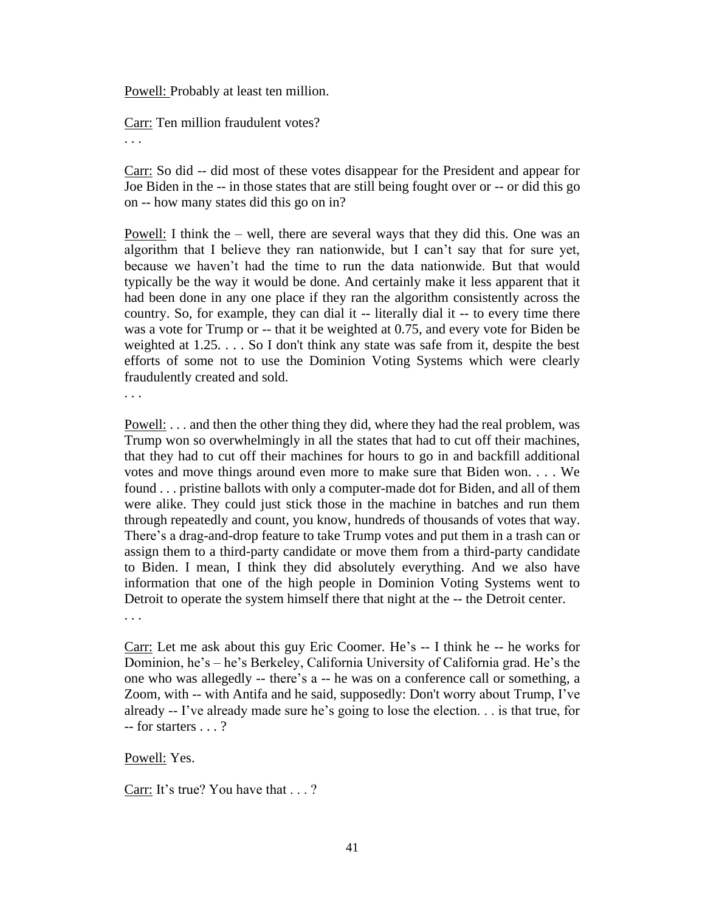Powell: Probably at least ten million.

Carr: Ten million fraudulent votes?

. . .

Carr: So did -- did most of these votes disappear for the President and appear for Joe Biden in the -- in those states that are still being fought over or -- or did this go on -- how many states did this go on in?

Powell: I think the – well, there are several ways that they did this. One was an algorithm that I believe they ran nationwide, but I can't say that for sure yet, because we haven't had the time to run the data nationwide. But that would typically be the way it would be done. And certainly make it less apparent that it had been done in any one place if they ran the algorithm consistently across the country. So, for example, they can dial it -- literally dial it -- to every time there was a vote for Trump or -- that it be weighted at 0.75, and every vote for Biden be weighted at 1.25. . . . So I don't think any state was safe from it, despite the best efforts of some not to use the Dominion Voting Systems which were clearly fraudulently created and sold.

. . .

Powell: . . . and then the other thing they did, where they had the real problem, was Trump won so overwhelmingly in all the states that had to cut off their machines, that they had to cut off their machines for hours to go in and backfill additional votes and move things around even more to make sure that Biden won. . . . We found . . . pristine ballots with only a computer-made dot for Biden, and all of them were alike. They could just stick those in the machine in batches and run them through repeatedly and count, you know, hundreds of thousands of votes that way. There's a drag-and-drop feature to take Trump votes and put them in a trash can or assign them to a third-party candidate or move them from a third-party candidate to Biden. I mean, I think they did absolutely everything. And we also have information that one of the high people in Dominion Voting Systems went to Detroit to operate the system himself there that night at the -- the Detroit center.

. . .

Carr: Let me ask about this guy Eric Coomer. He's -- I think he -- he works for Dominion, he's – he's Berkeley, California University of California grad. He's the one who was allegedly -- there's a -- he was on a conference call or something, a Zoom, with -- with Antifa and he said, supposedly: Don't worry about Trump, I've already -- I've already made sure he's going to lose the election. . . is that true, for -- for starters . . . ?

# Powell: Yes.

Carr: It's true? You have that . . . ?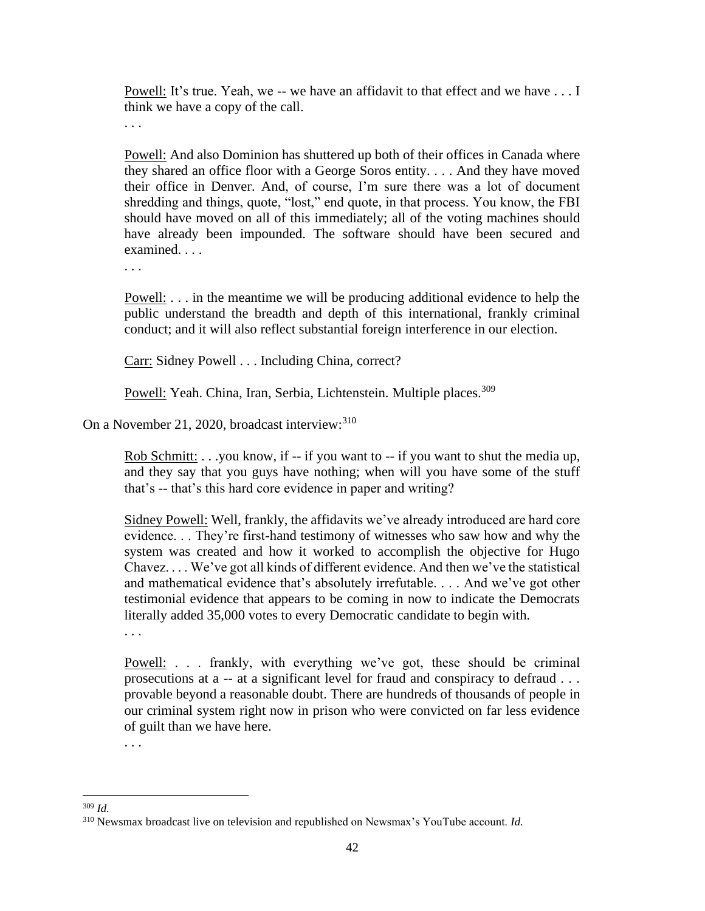Powell: It's true. Yeah, we -- we have an affidavit to that effect and we have . . . I think we have a copy of the call.

. . .

Powell: And also Dominion has shuttered up both of their offices in Canada where they shared an office floor with a George Soros entity. . . . And they have moved their office in Denver. And, of course, I'm sure there was a lot of document shredding and things, quote, "lost," end quote, in that process. You know, the FBI should have moved on all of this immediately; all of the voting machines should have already been impounded. The software should have been secured and examined. . . .

. . .

Powell: . . . in the meantime we will be producing additional evidence to help the public understand the breadth and depth of this international, frankly criminal conduct; and it will also reflect substantial foreign interference in our election.

Carr: Sidney Powell . . . Including China, correct?

Powell: Yeah. China, Iran, Serbia, Lichtenstein. Multiple places.<sup>309</sup>

On a November 21, 2020, broadcast interview: 310

Rob Schmitt:  $\ldots$  you know, if -- if you want to -- if you want to shut the media up, and they say that you guys have nothing; when will you have some of the stuff that's -- that's this hard core evidence in paper and writing?

Sidney Powell: Well, frankly, the affidavits we've already introduced are hard core evidence. . . They're first-hand testimony of witnesses who saw how and why the system was created and how it worked to accomplish the objective for Hugo Chavez. . . . We've got all kinds of different evidence. And then we've the statistical and mathematical evidence that's absolutely irrefutable. . . . And we've got other testimonial evidence that appears to be coming in now to indicate the Democrats literally added 35,000 votes to every Democratic candidate to begin with.

. . .

Powell: . . . frankly, with everything we've got, these should be criminal prosecutions at a -- at a significant level for fraud and conspiracy to defraud . . . provable beyond a reasonable doubt. There are hundreds of thousands of people in our criminal system right now in prison who were convicted on far less evidence of guilt than we have here.

<sup>. . .</sup>

<sup>309</sup> *Id.*

<sup>310</sup> Newsmax broadcast live on television and republished on Newsmax's YouTube account. *Id.*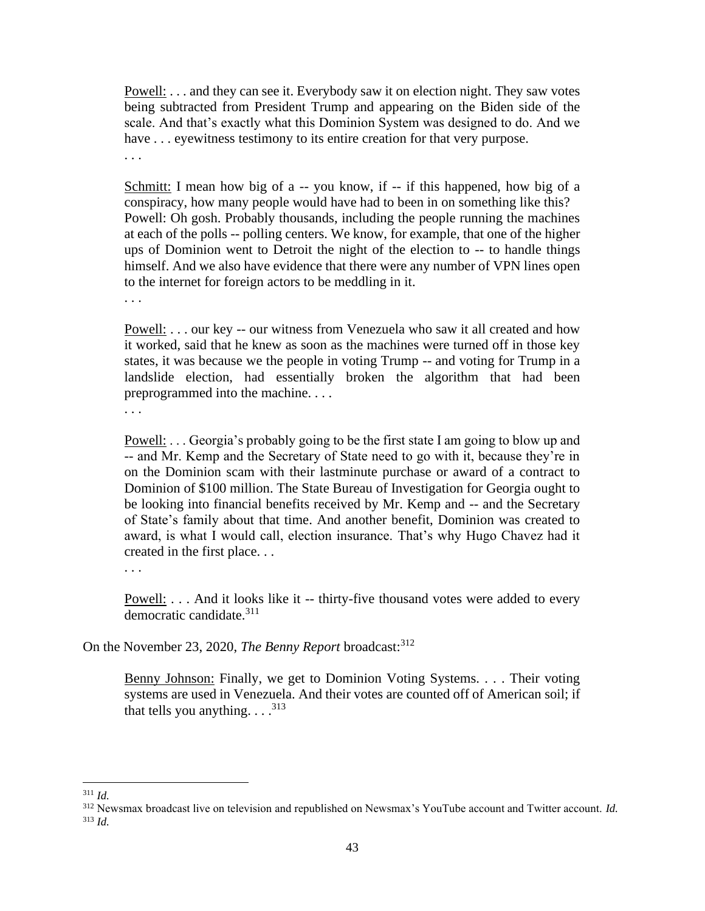Powell: . . . and they can see it. Everybody saw it on election night. They saw votes being subtracted from President Trump and appearing on the Biden side of the scale. And that's exactly what this Dominion System was designed to do. And we have . . . eyewitness testimony to its entire creation for that very purpose.

. . .

Schmitt: I mean how big of a -- you know, if -- if this happened, how big of a conspiracy, how many people would have had to been in on something like this? Powell: Oh gosh. Probably thousands, including the people running the machines at each of the polls -- polling centers. We know, for example, that one of the higher ups of Dominion went to Detroit the night of the election to -- to handle things himself. And we also have evidence that there were any number of VPN lines open to the internet for foreign actors to be meddling in it.

. . .

Powell: . . . our key -- our witness from Venezuela who saw it all created and how it worked, said that he knew as soon as the machines were turned off in those key states, it was because we the people in voting Trump -- and voting for Trump in a landslide election, had essentially broken the algorithm that had been preprogrammed into the machine. . . .

. . .

Powell: ... Georgia's probably going to be the first state I am going to blow up and -- and Mr. Kemp and the Secretary of State need to go with it, because they're in on the Dominion scam with their lastminute purchase or award of a contract to Dominion of \$100 million. The State Bureau of Investigation for Georgia ought to be looking into financial benefits received by Mr. Kemp and -- and the Secretary of State's family about that time. And another benefit, Dominion was created to award, is what I would call, election insurance. That's why Hugo Chavez had it created in the first place. . .

. . .

Powell: . . . And it looks like it -- thirty-five thousand votes were added to every democratic candidate.<sup>311</sup>

On the November 23, 2020, *The Benny Report* broadcast:<sup>312</sup>

Benny Johnson: Finally, we get to Dominion Voting Systems. . . . Their voting systems are used in Venezuela. And their votes are counted off of American soil; if that tells you anything.  $\ldots$ <sup>313</sup>

<sup>311</sup> *Id.* 

<sup>312</sup> Newsmax broadcast live on television and republished on Newsmax's YouTube account and Twitter account. *Id.*  $313$  *Id.*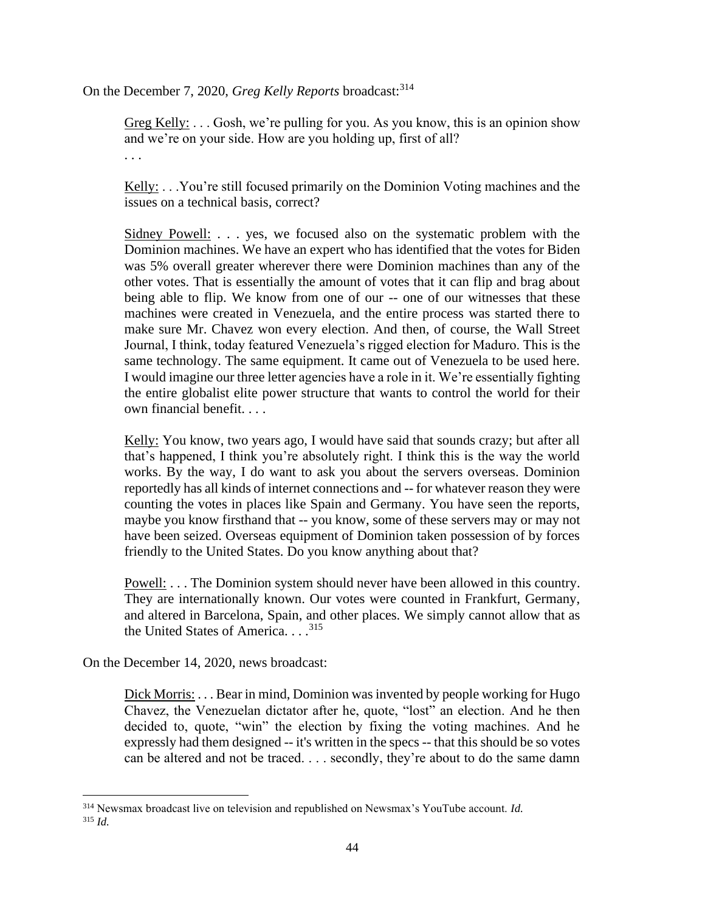On the December 7, 2020, *Greg Kelly Reports* broadcast:<sup>314</sup>

Greg Kelly: . . . Gosh, we're pulling for you. As you know, this is an opinion show and we're on your side. How are you holding up, first of all? . . .

Kelly: . . .You're still focused primarily on the Dominion Voting machines and the issues on a technical basis, correct?

Sidney Powell: . . . yes, we focused also on the systematic problem with the Dominion machines. We have an expert who has identified that the votes for Biden was 5% overall greater wherever there were Dominion machines than any of the other votes. That is essentially the amount of votes that it can flip and brag about being able to flip. We know from one of our -- one of our witnesses that these machines were created in Venezuela, and the entire process was started there to make sure Mr. Chavez won every election. And then, of course, the Wall Street Journal, I think, today featured Venezuela's rigged election for Maduro. This is the same technology. The same equipment. It came out of Venezuela to be used here. I would imagine our three letter agencies have a role in it. We're essentially fighting the entire globalist elite power structure that wants to control the world for their own financial benefit. . . .

Kelly: You know, two years ago, I would have said that sounds crazy; but after all that's happened, I think you're absolutely right. I think this is the way the world works. By the way, I do want to ask you about the servers overseas. Dominion reportedly has all kinds of internet connections and -- for whatever reason they were counting the votes in places like Spain and Germany. You have seen the reports, maybe you know firsthand that -- you know, some of these servers may or may not have been seized. Overseas equipment of Dominion taken possession of by forces friendly to the United States. Do you know anything about that?

Powell: . . . The Dominion system should never have been allowed in this country. They are internationally known. Our votes were counted in Frankfurt, Germany, and altered in Barcelona, Spain, and other places. We simply cannot allow that as the United States of America.  $\ldots$ <sup>315</sup>

On the December 14, 2020, news broadcast:

Dick Morris: . . . Bear in mind, Dominion was invented by people working for Hugo Chavez, the Venezuelan dictator after he, quote, "lost" an election. And he then decided to, quote, "win" the election by fixing the voting machines. And he expressly had them designed -- it's written in the specs -- that this should be so votes can be altered and not be traced. . . . secondly, they're about to do the same damn

<sup>314</sup> Newsmax broadcast live on television and republished on Newsmax's YouTube account. *Id.*  $315$  *Id.*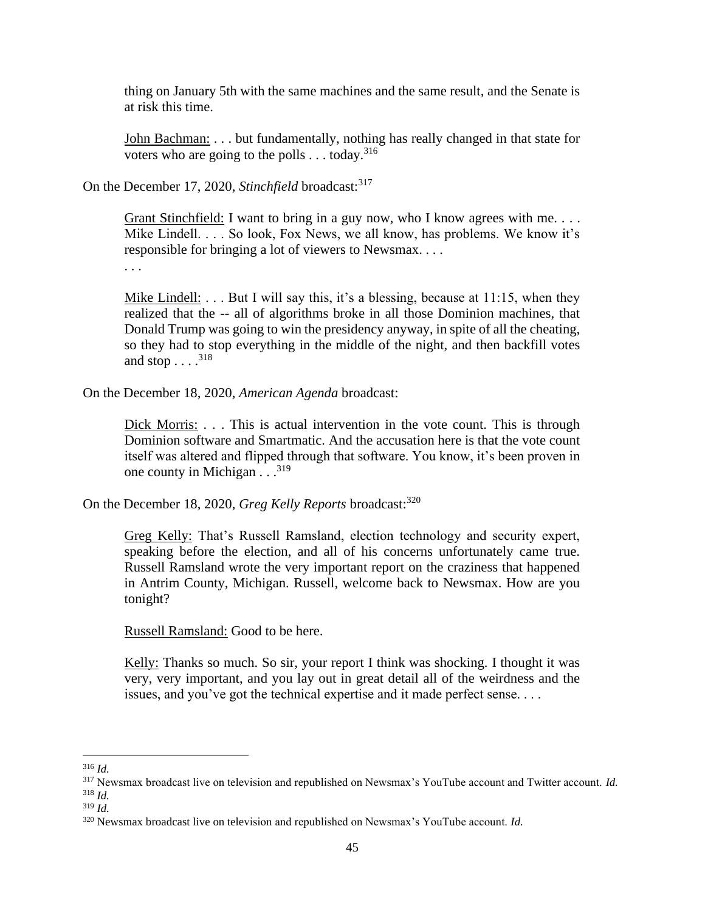thing on January 5th with the same machines and the same result, and the Senate is at risk this time.

John Bachman: . . . but fundamentally, nothing has really changed in that state for voters who are going to the polls  $\dots$  today.<sup>316</sup>

On the December 17, 2020, *Stinchfield* broadcast:<sup>317</sup>

Grant Stinchfield: I want to bring in a guy now, who I know agrees with me... Mike Lindell. . . . So look, Fox News, we all know, has problems. We know it's responsible for bringing a lot of viewers to Newsmax. . . .

. . .

Mike Lindell: . . . But I will say this, it's a blessing, because at 11:15, when they realized that the -- all of algorithms broke in all those Dominion machines, that Donald Trump was going to win the presidency anyway, in spite of all the cheating, so they had to stop everything in the middle of the night, and then backfill votes and stop  $\ldots$  .<sup>318</sup>

On the December 18, 2020, *American Agenda* broadcast:

Dick Morris: . . . This is actual intervention in the vote count. This is through Dominion software and Smartmatic. And the accusation here is that the vote count itself was altered and flipped through that software. You know, it's been proven in one county in Michigan . . .<sup>319</sup>

On the December 18, 2020, *Greg Kelly Reports* broadcast:<sup>320</sup>

Greg Kelly: That's Russell Ramsland, election technology and security expert, speaking before the election, and all of his concerns unfortunately came true. Russell Ramsland wrote the very important report on the craziness that happened in Antrim County, Michigan. Russell, welcome back to Newsmax. How are you tonight?

Russell Ramsland: Good to be here.

Kelly: Thanks so much. So sir, your report I think was shocking. I thought it was very, very important, and you lay out in great detail all of the weirdness and the issues, and you've got the technical expertise and it made perfect sense. . . .

<sup>316</sup> *Id.* 

<sup>317</sup> Newsmax broadcast live on television and republished on Newsmax's YouTube account and Twitter account. *Id.*

<sup>318</sup> *Id.*  <sup>319</sup> *Id.* 

<sup>320</sup> Newsmax broadcast live on television and republished on Newsmax's YouTube account. *Id.*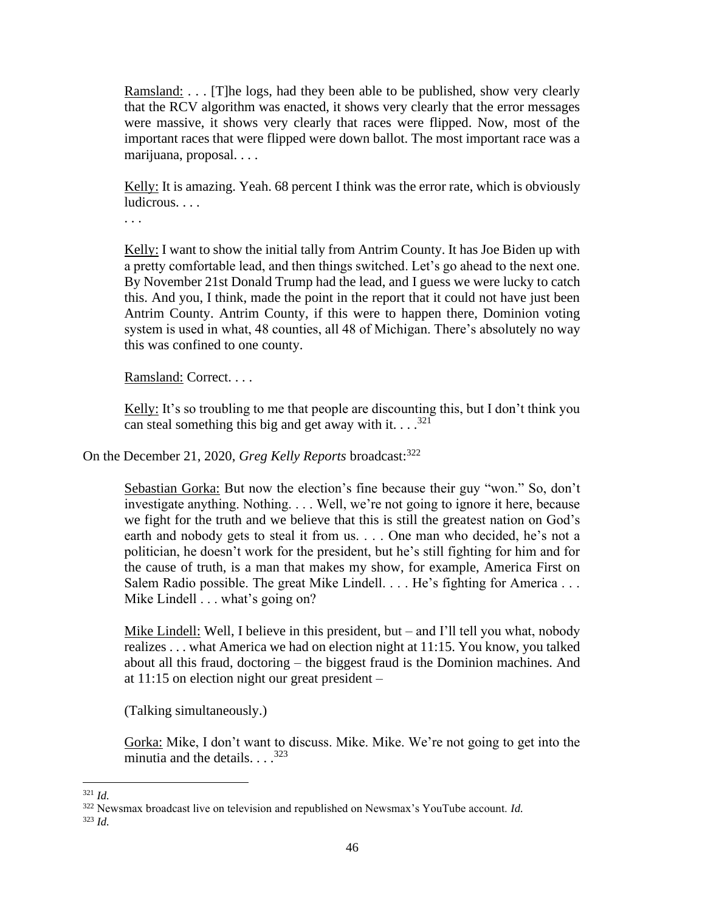Ramsland: . . . [T]he logs, had they been able to be published, show very clearly that the RCV algorithm was enacted, it shows very clearly that the error messages were massive, it shows very clearly that races were flipped. Now, most of the important races that were flipped were down ballot. The most important race was a marijuana, proposal. . . .

Kelly: It is amazing. Yeah. 68 percent I think was the error rate, which is obviously ludicrous. . . .

. . .

Kelly: I want to show the initial tally from Antrim County. It has Joe Biden up with a pretty comfortable lead, and then things switched. Let's go ahead to the next one. By November 21st Donald Trump had the lead, and I guess we were lucky to catch this. And you, I think, made the point in the report that it could not have just been Antrim County. Antrim County, if this were to happen there, Dominion voting system is used in what, 48 counties, all 48 of Michigan. There's absolutely no way this was confined to one county.

Ramsland: Correct. . . .

Kelly: It's so troubling to me that people are discounting this, but I don't think you can steal something this big and get away with it.  $\ldots$ <sup>321</sup>

On the December 21, 2020, *Greg Kelly Reports* broadcast:<sup>322</sup>

Sebastian Gorka: But now the election's fine because their guy "won." So, don't investigate anything. Nothing. . . . Well, we're not going to ignore it here, because we fight for the truth and we believe that this is still the greatest nation on God's earth and nobody gets to steal it from us. . . . One man who decided, he's not a politician, he doesn't work for the president, but he's still fighting for him and for the cause of truth, is a man that makes my show, for example, America First on Salem Radio possible. The great Mike Lindell. . . . He's fighting for America . . . Mike Lindell . . . what's going on?

Mike Lindell: Well, I believe in this president, but – and I'll tell you what, nobody realizes . . . what America we had on election night at 11:15. You know, you talked about all this fraud, doctoring – the biggest fraud is the Dominion machines. And at 11:15 on election night our great president –

(Talking simultaneously.)

Gorka: Mike, I don't want to discuss. Mike. Mike. We're not going to get into the minutia and the details.  $\ldots$ <sup>323</sup>

 $321$  *Id.* 

<sup>322</sup> Newsmax broadcast live on television and republished on Newsmax's YouTube account. *Id.*

 $323$  *Id.*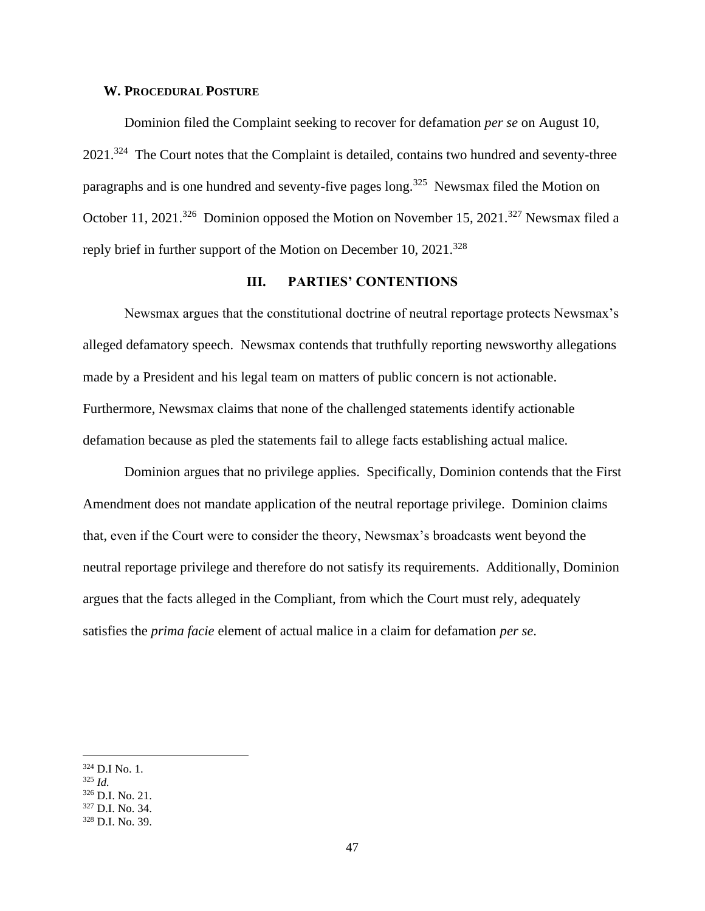### **W. PROCEDURAL POSTURE**

Dominion filed the Complaint seeking to recover for defamation *per se* on August 10, 2021.<sup>324</sup> The Court notes that the Complaint is detailed, contains two hundred and seventy-three paragraphs and is one hundred and seventy-five pages  $long.^{325}$  Newsmax filed the Motion on October 11, 2021.<sup>326</sup> Dominion opposed the Motion on November 15, 2021.<sup>327</sup> Newsmax filed a reply brief in further support of the Motion on December 10, 2021.<sup>328</sup>

## **III. PARTIES' CONTENTIONS**

Newsmax argues that the constitutional doctrine of neutral reportage protects Newsmax's alleged defamatory speech. Newsmax contends that truthfully reporting newsworthy allegations made by a President and his legal team on matters of public concern is not actionable. Furthermore, Newsmax claims that none of the challenged statements identify actionable defamation because as pled the statements fail to allege facts establishing actual malice.

Dominion argues that no privilege applies. Specifically, Dominion contends that the First Amendment does not mandate application of the neutral reportage privilege. Dominion claims that, even if the Court were to consider the theory, Newsmax's broadcasts went beyond the neutral reportage privilege and therefore do not satisfy its requirements. Additionally, Dominion argues that the facts alleged in the Compliant, from which the Court must rely, adequately satisfies the *prima facie* element of actual malice in a claim for defamation *per se*.

<sup>324</sup> D.I No. 1.

 $325$  *Id.* 

<sup>326</sup> D.I. No. 21.

<sup>327</sup> D.I. No. 34.

<sup>328</sup> D.I. No. 39.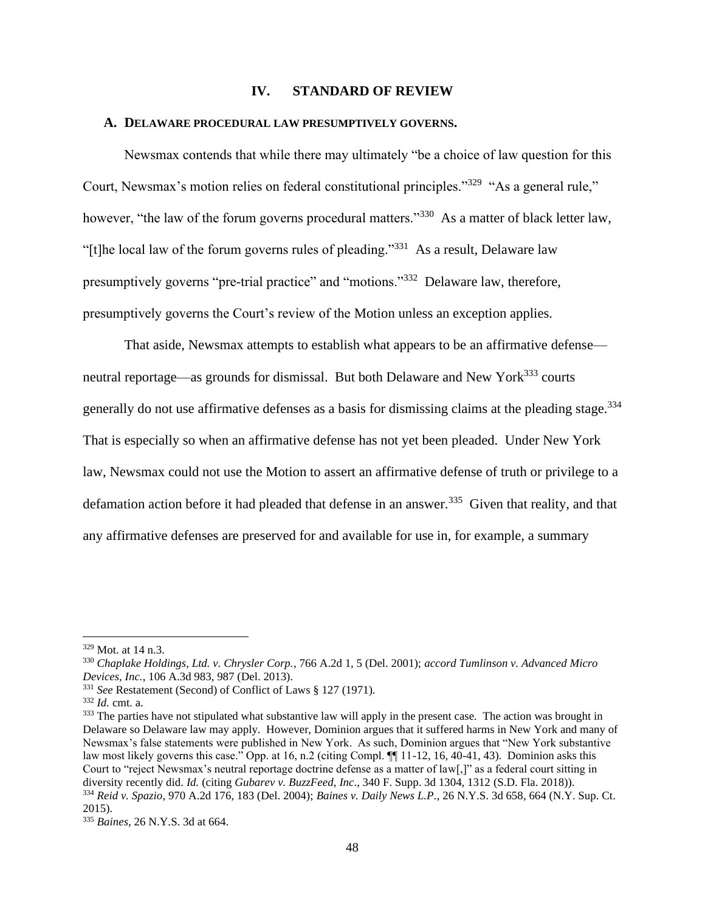### **IV. STANDARD OF REVIEW**

#### **A. DELAWARE PROCEDURAL LAW PRESUMPTIVELY GOVERNS.**

Newsmax contends that while there may ultimately "be a choice of law question for this Court, Newsmax's motion relies on federal constitutional principles."<sup>329</sup> "As a general rule," however, "the law of the forum governs procedural matters."<sup>330</sup> As a matter of black letter law, "[t]he local law of the forum governs rules of pleading."<sup>331</sup> As a result, Delaware law presumptively governs "pre-trial practice" and "motions."<sup>332</sup> Delaware law, therefore, presumptively governs the Court's review of the Motion unless an exception applies.

That aside, Newsmax attempts to establish what appears to be an affirmative defense neutral reportage—as grounds for dismissal. But both Delaware and New York<sup>333</sup> courts generally do not use affirmative defenses as a basis for dismissing claims at the pleading stage.<sup>334</sup> That is especially so when an affirmative defense has not yet been pleaded. Under New York law, Newsmax could not use the Motion to assert an affirmative defense of truth or privilege to a defamation action before it had pleaded that defense in an answer.<sup>335</sup> Given that reality, and that any affirmative defenses are preserved for and available for use in, for example, a summary

<sup>329</sup> Mot. at 14 n.3.

<sup>330</sup> *Chaplake Holdings, Ltd. v. Chrysler Corp.*, 766 A.2d 1, 5 (Del. 2001); *accord Tumlinson v. Advanced Micro Devices, Inc.*, 106 A.3d 983, 987 (Del. 2013).

<sup>331</sup> *See* Restatement (Second) of Conflict of Laws § 127 (1971).

<sup>332</sup> *Id.* cmt. a.

<sup>&</sup>lt;sup>333</sup> The parties have not stipulated what substantive law will apply in the present case. The action was brought in Delaware so Delaware law may apply. However, Dominion argues that it suffered harms in New York and many of Newsmax's false statements were published in New York. As such, Dominion argues that "New York substantive law most likely governs this case." Opp. at 16, n.2 (citing Compl. ¶¶ 11-12, 16, 40-41, 43). Dominion asks this Court to "reject Newsmax's neutral reportage doctrine defense as a matter of law[,]" as a federal court sitting in diversity recently did. *Id.* (citing *Gubarev v. BuzzFeed*, *Inc*., 340 F. Supp. 3d 1304, 1312 (S.D. Fla. 2018)). <sup>334</sup> *Reid v. Spazio*, 970 A.2d 176, 183 (Del. 2004); *Baines v. Daily News L.P.*, 26 N.Y.S. 3d 658, 664 (N.Y. Sup. Ct. 2015).

<sup>335</sup> *Baines*, 26 N.Y.S. 3d at 664.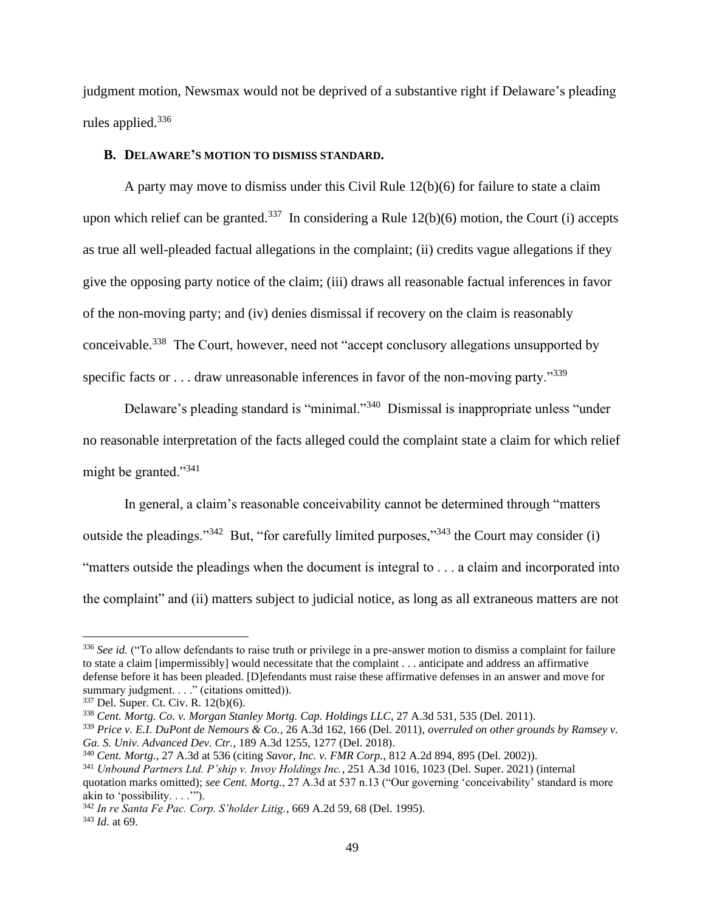judgment motion, Newsmax would not be deprived of a substantive right if Delaware's pleading rules applied.<sup>336</sup>

#### **B. DELAWARE'S MOTION TO DISMISS STANDARD.**

A party may move to dismiss under this Civil Rule 12(b)(6) for failure to state a claim upon which relief can be granted.<sup>337</sup> In considering a Rule  $12(b)(6)$  motion, the Court (i) accepts as true all well-pleaded factual allegations in the complaint; (ii) credits vague allegations if they give the opposing party notice of the claim; (iii) draws all reasonable factual inferences in favor of the non-moving party; and (iv) denies dismissal if recovery on the claim is reasonably conceivable.<sup>338</sup> The Court, however, need not "accept conclusory allegations unsupported by specific facts or  $\dots$  draw unreasonable inferences in favor of the non-moving party."<sup>339</sup>

Delaware's pleading standard is "minimal."<sup>340</sup> Dismissal is inappropriate unless "under no reasonable interpretation of the facts alleged could the complaint state a claim for which relief might be granted."<sup>341</sup>

In general, a claim's reasonable conceivability cannot be determined through "matters outside the pleadings."<sup>342</sup> But, "for carefully limited purposes,"<sup>343</sup> the Court may consider (i) "matters outside the pleadings when the document is integral to . . . a claim and incorporated into the complaint" and (ii) matters subject to judicial notice, as long as all extraneous matters are not

<sup>&</sup>lt;sup>336</sup> *See id.* ("To allow defendants to raise truth or privilege in a pre-answer motion to dismiss a complaint for failure to state a claim [impermissibly] would necessitate that the complaint . . . anticipate and address an affirmative defense before it has been pleaded. [D]efendants must raise these affirmative defenses in an answer and move for summary judgment. . . ." (citations omitted)).

<sup>337</sup> Del. Super. Ct. Civ. R. 12(b)(6).

<sup>338</sup> *Cent. Mortg. Co. v. Morgan Stanley Mortg. Cap. Holdings LLC*, 27 A.3d 531, 535 (Del. 2011).

<sup>339</sup> *Price v. E.I. DuPont de Nemours & Co.*, 26 A.3d 162, 166 (Del. 2011), *overruled on other grounds by Ramsey v. Ga. S. Univ. Advanced Dev. Ctr.*, 189 A.3d 1255, 1277 (Del. 2018).

<sup>340</sup> *Cent. Mortg.*, 27 A.3d at 536 (citing *Savor, Inc. v. FMR Corp.*, 812 A.2d 894, 895 (Del. 2002)).

<sup>341</sup> *Unbound Partners Ltd. P'ship v. Invoy Holdings Inc.*, 251 A.3d 1016, 1023 (Del. Super. 2021) (internal quotation marks omitted); *see Cent. Mortg.*, 27 A.3d at 537 n.13 ("Our governing 'conceivability' standard is more akin to 'possibility. . . .'").

<sup>342</sup> *In re Santa Fe Pac. Corp. S'holder Litig.*, 669 A.2d 59, 68 (Del. 1995). <sup>343</sup> *Id.* at 69.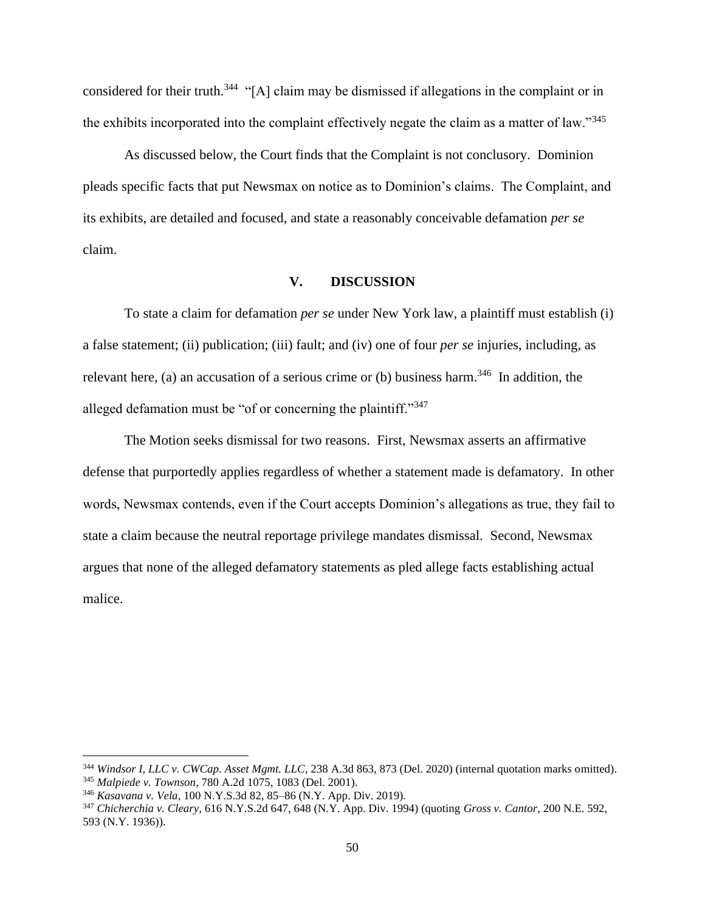considered for their truth.<sup>344</sup> "[A] claim may be dismissed if allegations in the complaint or in the exhibits incorporated into the complaint effectively negate the claim as a matter of law."<sup>345</sup>

As discussed below, the Court finds that the Complaint is not conclusory. Dominion pleads specific facts that put Newsmax on notice as to Dominion's claims. The Complaint, and its exhibits, are detailed and focused, and state a reasonably conceivable defamation *per se* claim.

### **V. DISCUSSION**

To state a claim for defamation *per se* under New York law, a plaintiff must establish (i) a false statement; (ii) publication; (iii) fault; and (iv) one of four *per se* injuries, including, as relevant here, (a) an accusation of a serious crime or (b) business harm.<sup>346</sup> In addition, the alleged defamation must be "of or concerning the plaintiff."<sup>347</sup>

The Motion seeks dismissal for two reasons. First, Newsmax asserts an affirmative defense that purportedly applies regardless of whether a statement made is defamatory. In other words, Newsmax contends, even if the Court accepts Dominion's allegations as true, they fail to state a claim because the neutral reportage privilege mandates dismissal. Second, Newsmax argues that none of the alleged defamatory statements as pled allege facts establishing actual malice.

<sup>344</sup> *Windsor I, LLC v. CWCap. Asset Mgmt. LLC*, 238 A.3d 863, 873 (Del. 2020) (internal quotation marks omitted). <sup>345</sup> *Malpiede v. Townson*, 780 A.2d 1075, 1083 (Del. 2001).

<sup>346</sup> *Kasavana v. Vela*, 100 N.Y.S.3d 82, 85–86 (N.Y. App. Div. 2019).

<sup>347</sup> *Chicherchia v. Cleary*, 616 N.Y.S.2d 647, 648 (N.Y. App. Div. 1994) (quoting *Gross v. Cantor*, 200 N.E. 592, 593 (N.Y. 1936)).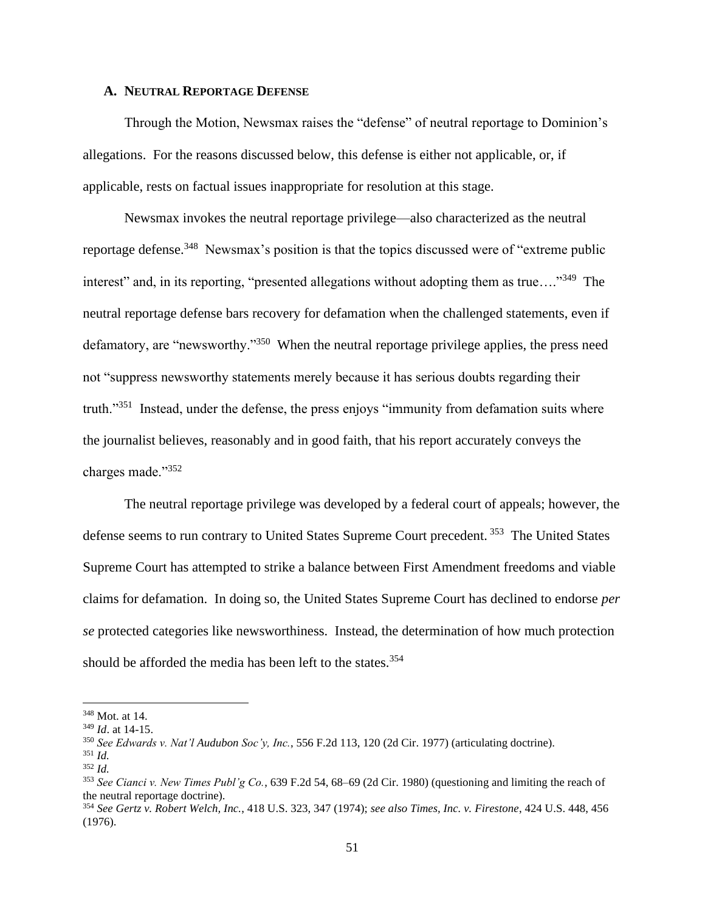## **A. NEUTRAL REPORTAGE DEFENSE**

Through the Motion, Newsmax raises the "defense" of neutral reportage to Dominion's allegations. For the reasons discussed below, this defense is either not applicable, or, if applicable, rests on factual issues inappropriate for resolution at this stage.

Newsmax invokes the neutral reportage privilege—also characterized as the neutral reportage defense.<sup>348</sup> Newsmax's position is that the topics discussed were of "extreme public interest" and, in its reporting, "presented allegations without adopting them as true...."<sup>349</sup> The neutral reportage defense bars recovery for defamation when the challenged statements, even if defamatory, are "newsworthy."<sup>350</sup> When the neutral reportage privilege applies, the press need not "suppress newsworthy statements merely because it has serious doubts regarding their truth."<sup>351</sup> Instead, under the defense, the press enjoys "immunity from defamation suits where the journalist believes, reasonably and in good faith, that his report accurately conveys the charges made."<sup>352</sup>

The neutral reportage privilege was developed by a federal court of appeals; however, the defense seems to run contrary to United States Supreme Court precedent.<sup>353</sup> The United States Supreme Court has attempted to strike a balance between First Amendment freedoms and viable claims for defamation. In doing so, the United States Supreme Court has declined to endorse *per se* protected categories like newsworthiness. Instead, the determination of how much protection should be afforded the media has been left to the states.<sup>354</sup>

<sup>348</sup> Mot. at 14.

<sup>349</sup> *Id*. at 14-15.

<sup>350</sup> *See Edwards v. Nat'l Audubon Soc'y, Inc.*, 556 F.2d 113, 120 (2d Cir. 1977) (articulating doctrine).

<sup>351</sup> *Id.*

<sup>352</sup> *Id.*

<sup>353</sup> *See Cianci v. New Times Publ'g Co.*, 639 F.2d 54, 68–69 (2d Cir. 1980) (questioning and limiting the reach of the neutral reportage doctrine).

<sup>354</sup> *See Gertz v. Robert Welch, Inc.*, 418 U.S. 323, 347 (1974); *see also Times, Inc. v. Firestone*, 424 U.S. 448, 456 (1976).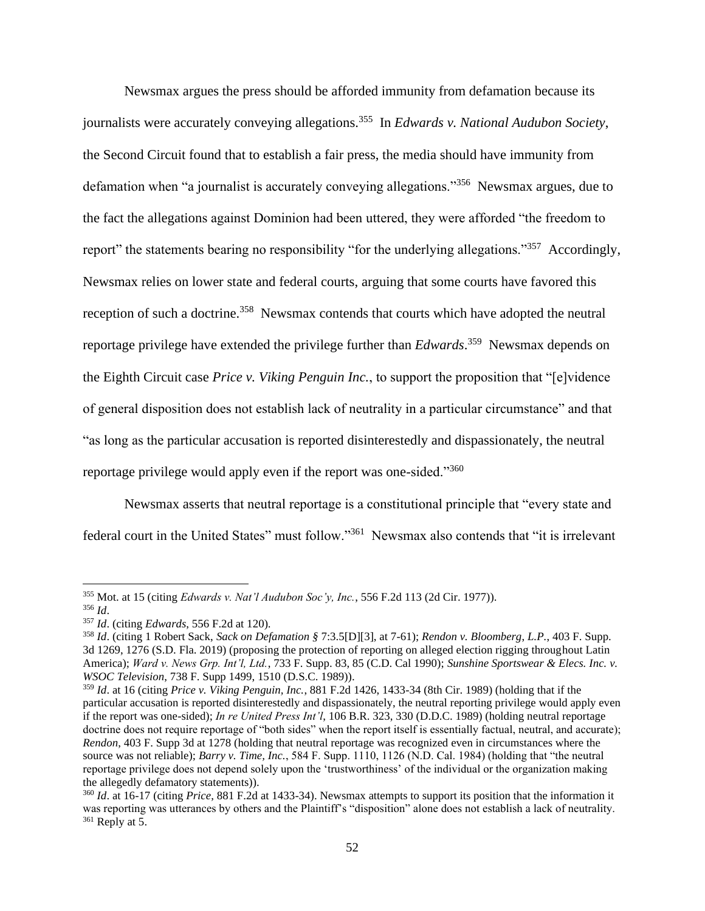Newsmax argues the press should be afforded immunity from defamation because its journalists were accurately conveying allegations.<sup>355</sup> In *Edwards v. National Audubon Society*, the Second Circuit found that to establish a fair press, the media should have immunity from defamation when "a journalist is accurately conveying allegations."<sup>356</sup> Newsmax argues, due to the fact the allegations against Dominion had been uttered, they were afforded "the freedom to report" the statements bearing no responsibility "for the underlying allegations."<sup>357</sup> Accordingly, Newsmax relies on lower state and federal courts, arguing that some courts have favored this reception of such a doctrine.<sup>358</sup> Newsmax contends that courts which have adopted the neutral reportage privilege have extended the privilege further than *Edwards*. 359 Newsmax depends on the Eighth Circuit case *Price v. Viking Penguin Inc.*, to support the proposition that "[e]vidence of general disposition does not establish lack of neutrality in a particular circumstance" and that "as long as the particular accusation is reported disinterestedly and dispassionately, the neutral reportage privilege would apply even if the report was one-sided."<sup>360</sup>

Newsmax asserts that neutral reportage is a constitutional principle that "every state and federal court in the United States" must follow."<sup>361</sup> Newsmax also contends that "it is irrelevant

<sup>355</sup> Mot. at 15 (citing *Edwards v. Nat'l Audubon Soc'y, Inc.*, 556 F.2d 113 (2d Cir. 1977)).

<sup>356</sup> *Id*.

<sup>357</sup> *Id*. (citing *Edwards*, 556 F.2d at 120).

<sup>358</sup> *Id*. (citing 1 Robert Sack, *Sack on Defamation §* 7:3.5[D][3], at 7-61); *Rendon v. Bloomberg*, *L.P.*, 403 F. Supp. 3d 1269, 1276 (S.D. Fla. 2019) (proposing the protection of reporting on alleged election rigging throughout Latin America); *Ward v. News Grp. Int'l, Ltd.*, 733 F. Supp. 83, 85 (C.D. Cal 1990); *Sunshine Sportswear & Elecs. Inc. v. WSOC Television*, 738 F. Supp 1499, 1510 (D.S.C. 1989)).

<sup>359</sup> *Id*. at 16 (citing *Price v. Viking Penguin, Inc.*, 881 F.2d 1426, 1433-34 (8th Cir. 1989) (holding that if the particular accusation is reported disinterestedly and dispassionately, the neutral reporting privilege would apply even if the report was one-sided); *In re United Press Int'l*, 106 B.R. 323, 330 (D.D.C. 1989) (holding neutral reportage doctrine does not require reportage of "both sides" when the report itself is essentially factual, neutral, and accurate); *Rendon*, 403 F. Supp 3d at 1278 (holding that neutral reportage was recognized even in circumstances where the source was not reliable); *Barry v. Time, Inc.*, 584 F. Supp. 1110, 1126 (N.D. Cal. 1984) (holding that "the neutral reportage privilege does not depend solely upon the 'trustworthiness' of the individual or the organization making the allegedly defamatory statements)).

<sup>360</sup> *Id*. at 16-17 (citing *Price*, 881 F.2d at 1433-34). Newsmax attempts to support its position that the information it was reporting was utterances by others and the Plaintiff's "disposition" alone does not establish a lack of neutrality.  $361$  Reply at 5.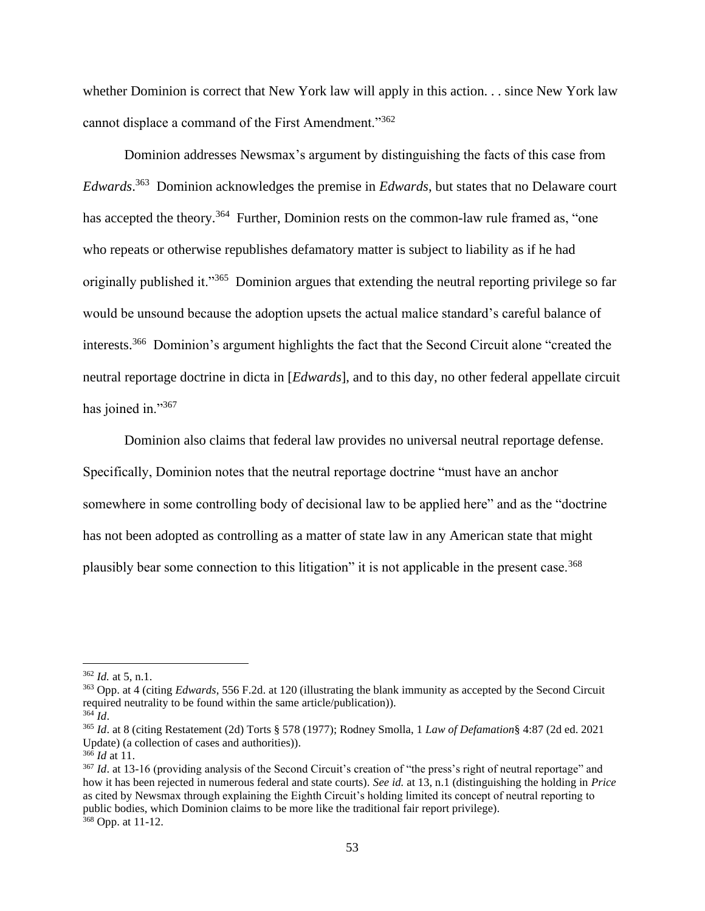whether Dominion is correct that New York law will apply in this action. . . since New York law cannot displace a command of the First Amendment."<sup>362</sup>

Dominion addresses Newsmax's argument by distinguishing the facts of this case from *Edwards*. 363 Dominion acknowledges the premise in *Edwards*, but states that no Delaware court has accepted the theory.<sup>364</sup> Further, Dominion rests on the common-law rule framed as, "one who repeats or otherwise republishes defamatory matter is subject to liability as if he had originally published it."<sup>365</sup> Dominion argues that extending the neutral reporting privilege so far would be unsound because the adoption upsets the actual malice standard's careful balance of interests.<sup>366</sup> Dominion's argument highlights the fact that the Second Circuit alone "created the neutral reportage doctrine in dicta in [*Edwards*], and to this day, no other federal appellate circuit has joined in."367

Dominion also claims that federal law provides no universal neutral reportage defense. Specifically, Dominion notes that the neutral reportage doctrine "must have an anchor somewhere in some controlling body of decisional law to be applied here" and as the "doctrine has not been adopted as controlling as a matter of state law in any American state that might plausibly bear some connection to this litigation" it is not applicable in the present case.<sup>368</sup>

<sup>362</sup> *Id.* at 5, n.1.

<sup>363</sup> Opp. at 4 (citing *Edwards*, 556 F.2d. at 120 (illustrating the blank immunity as accepted by the Second Circuit required neutrality to be found within the same article/publication)). <sup>364</sup> *Id*.

<sup>365</sup> *Id*. at 8 (citing Restatement (2d) Torts § 578 (1977); Rodney Smolla, 1 *Law of Defamation*§ 4:87 (2d ed. 2021 Update) (a collection of cases and authorities)).

<sup>366</sup> *Id* at 11.

<sup>&</sup>lt;sup>367</sup> *Id.* at 13-16 (providing analysis of the Second Circuit's creation of "the press's right of neutral reportage" and how it has been rejected in numerous federal and state courts). *See id.* at 13, n.1 (distinguishing the holding in *Price* as cited by Newsmax through explaining the Eighth Circuit's holding limited its concept of neutral reporting to public bodies, which Dominion claims to be more like the traditional fair report privilege). <sup>368</sup> Opp. at 11-12.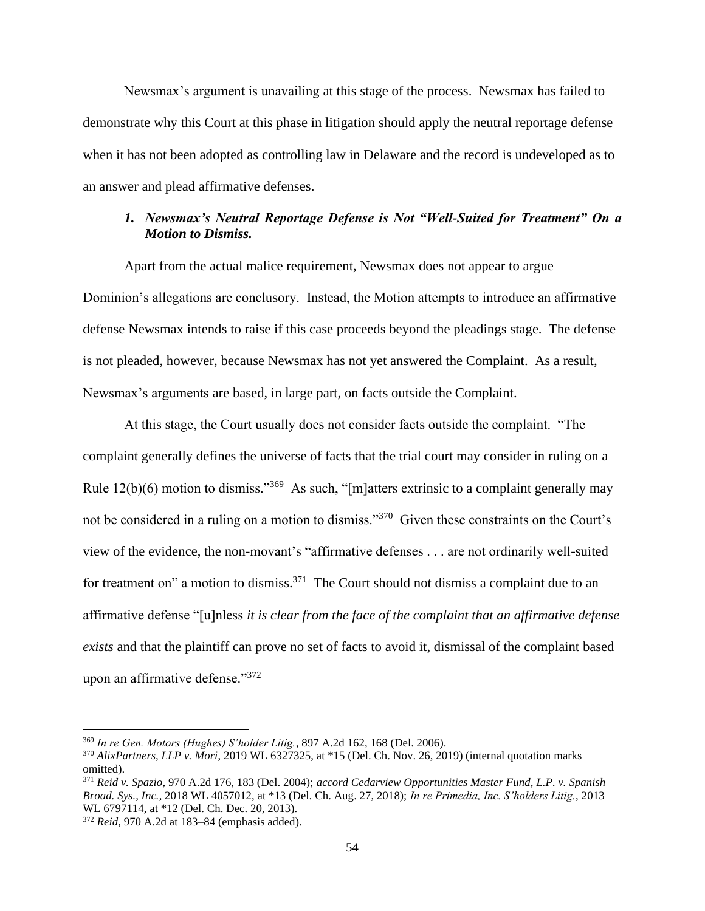Newsmax's argument is unavailing at this stage of the process. Newsmax has failed to demonstrate why this Court at this phase in litigation should apply the neutral reportage defense when it has not been adopted as controlling law in Delaware and the record is undeveloped as to an answer and plead affirmative defenses.

# *1. Newsmax's Neutral Reportage Defense is Not "Well-Suited for Treatment" On a Motion to Dismiss.*

Apart from the actual malice requirement, Newsmax does not appear to argue Dominion's allegations are conclusory. Instead, the Motion attempts to introduce an affirmative defense Newsmax intends to raise if this case proceeds beyond the pleadings stage. The defense is not pleaded, however, because Newsmax has not yet answered the Complaint. As a result, Newsmax's arguments are based, in large part, on facts outside the Complaint.

At this stage, the Court usually does not consider facts outside the complaint. "The complaint generally defines the universe of facts that the trial court may consider in ruling on a Rule  $12(b)(6)$  motion to dismiss."<sup>369</sup> As such, "[m]atters extrinsic to a complaint generally may not be considered in a ruling on a motion to dismiss."<sup>370</sup> Given these constraints on the Court's view of the evidence, the non-movant's "affirmative defenses . . . are not ordinarily well-suited for treatment on" a motion to dismiss.<sup>371</sup> The Court should not dismiss a complaint due to an affirmative defense "[u]nless *it is clear from the face of the complaint that an affirmative defense exists* and that the plaintiff can prove no set of facts to avoid it, dismissal of the complaint based upon an affirmative defense."<sup>372</sup>

<sup>369</sup> *In re Gen. Motors (Hughes) S'holder Litig.*, 897 A.2d 162, 168 (Del. 2006).

<sup>370</sup> *AlixPartners, LLP v. Mori*, 2019 WL 6327325, at \*15 (Del. Ch. Nov. 26, 2019) (internal quotation marks omitted).

<sup>371</sup> *Reid v. Spazio*, 970 A.2d 176, 183 (Del. 2004); *accord Cedarview Opportunities Master Fund, L.P. v. Spanish Broad. Sys., Inc.*, 2018 WL 4057012, at \*13 (Del. Ch. Aug. 27, 2018); *In re Primedia, Inc. S'holders Litig.*, 2013 WL 6797114, at \*12 (Del. Ch. Dec. 20, 2013).

<sup>372</sup> *Reid*, 970 A.2d at 183–84 (emphasis added).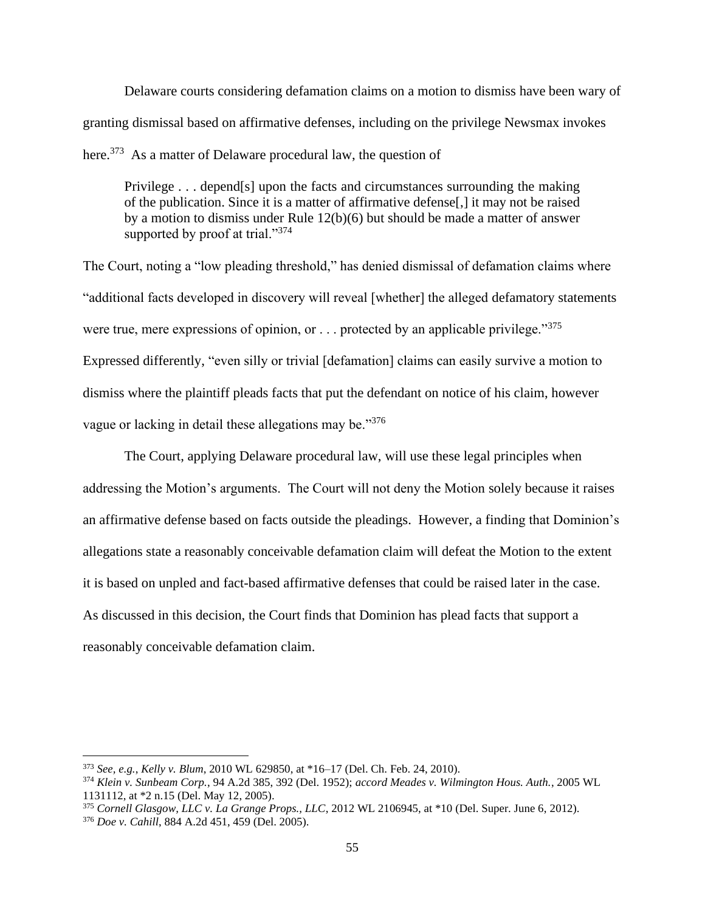Delaware courts considering defamation claims on a motion to dismiss have been wary of granting dismissal based on affirmative defenses, including on the privilege Newsmax invokes here.<sup>373</sup> As a matter of Delaware procedural law, the question of

Privilege . . . depend[s] upon the facts and circumstances surrounding the making of the publication. Since it is a matter of affirmative defense[,] it may not be raised by a motion to dismiss under Rule 12(b)(6) but should be made a matter of answer supported by proof at trial."374

The Court, noting a "low pleading threshold," has denied dismissal of defamation claims where "additional facts developed in discovery will reveal [whether] the alleged defamatory statements were true, mere expressions of opinion, or  $\dots$  protected by an applicable privilege."<sup>375</sup> Expressed differently, "even silly or trivial [defamation] claims can easily survive a motion to dismiss where the plaintiff pleads facts that put the defendant on notice of his claim, however vague or lacking in detail these allegations may be."<sup>376</sup>

The Court, applying Delaware procedural law, will use these legal principles when addressing the Motion's arguments. The Court will not deny the Motion solely because it raises an affirmative defense based on facts outside the pleadings. However, a finding that Dominion's allegations state a reasonably conceivable defamation claim will defeat the Motion to the extent it is based on unpled and fact-based affirmative defenses that could be raised later in the case. As discussed in this decision, the Court finds that Dominion has plead facts that support a reasonably conceivable defamation claim.

<sup>373</sup> *See, e.g.*, *Kelly v. Blum*, 2010 WL 629850, at \*16–17 (Del. Ch. Feb. 24, 2010).

<sup>374</sup> *Klein v. Sunbeam Corp.*, 94 A.2d 385, 392 (Del. 1952); *accord Meades v. Wilmington Hous. Auth.*, 2005 WL 1131112, at \*2 n.15 (Del. May 12, 2005).

<sup>375</sup> *Cornell Glasgow, LLC v. La Grange Props., LLC*, 2012 WL 2106945, at \*10 (Del. Super. June 6, 2012).

<sup>376</sup> *Doe v. Cahill*, 884 A.2d 451, 459 (Del. 2005).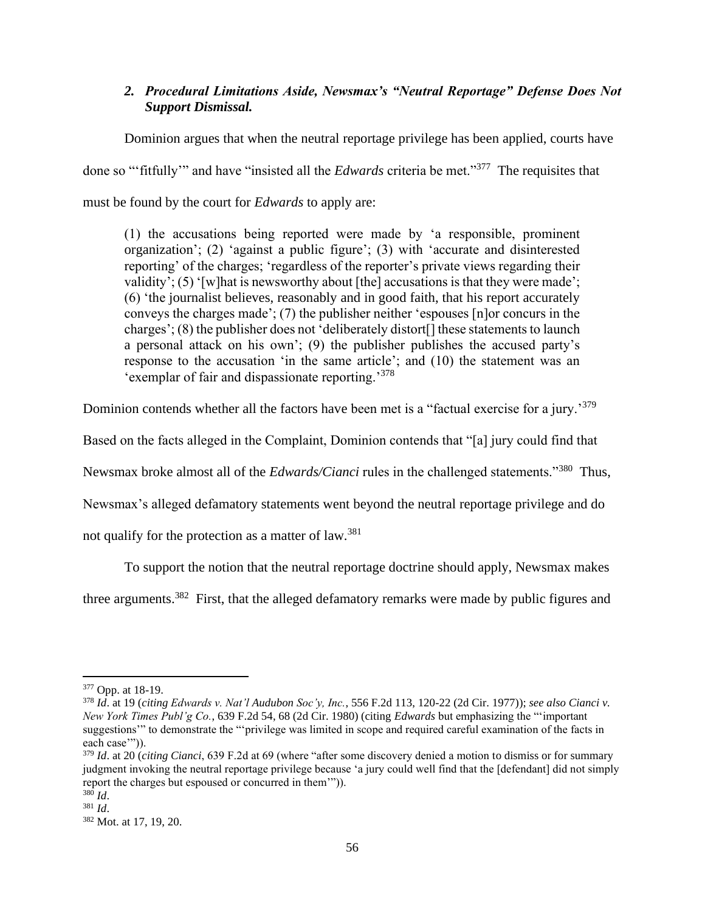# *2. Procedural Limitations Aside, Newsmax's "Neutral Reportage" Defense Does Not Support Dismissal.*

Dominion argues that when the neutral reportage privilege has been applied, courts have done so "'fitfully'" and have "insisted all the *Edwards* criteria be met."<sup>377</sup> The requisites that must be found by the court for *Edwards* to apply are:

(1) the accusations being reported were made by 'a responsible, prominent organization'; (2) 'against a public figure'; (3) with 'accurate and disinterested reporting' of the charges; 'regardless of the reporter's private views regarding their validity'; (5) '[w]hat is newsworthy about [the] accusations is that they were made'; (6) 'the journalist believes, reasonably and in good faith, that his report accurately conveys the charges made'; (7) the publisher neither 'espouses [n]or concurs in the charges'; (8) the publisher does not 'deliberately distort[] these statements to launch a personal attack on his own'; (9) the publisher publishes the accused party's response to the accusation 'in the same article'; and (10) the statement was an 'exemplar of fair and dispassionate reporting.'<sup>378</sup>

Dominion contends whether all the factors have been met is a "factual exercise for a jury.'<sup>379</sup>

Based on the facts alleged in the Complaint, Dominion contends that "[a] jury could find that

Newsmax broke almost all of the *Edwards/Cianci* rules in the challenged statements."<sup>380</sup> Thus,

Newsmax's alleged defamatory statements went beyond the neutral reportage privilege and do

not qualify for the protection as a matter of law.<sup>381</sup>

To support the notion that the neutral reportage doctrine should apply, Newsmax makes

three arguments.<sup>382</sup> First, that the alleged defamatory remarks were made by public figures and

<sup>377</sup> Opp. at 18-19.

<sup>378</sup> *Id*. at 19 (*citing Edwards v. Nat'l Audubon Soc'y, Inc.*, 556 F.2d 113, 120-22 (2d Cir. 1977)); *see also Cianci v. New York Times Publ'g Co.*, 639 F.2d 54, 68 (2d Cir. 1980) (citing *Edwards* but emphasizing the "'important suggestions'" to demonstrate the "'privilege was limited in scope and required careful examination of the facts in each case'")).

<sup>379</sup> *Id*. at 20 (*citing Cianci*, 639 F.2d at 69 (where "after some discovery denied a motion to dismiss or for summary judgment invoking the neutral reportage privilege because 'a jury could well find that the [defendant] did not simply report the charges but espoused or concurred in them'")).

<sup>380</sup> *Id*.

<sup>381</sup> *Id*.

<sup>382</sup> Mot. at 17, 19, 20.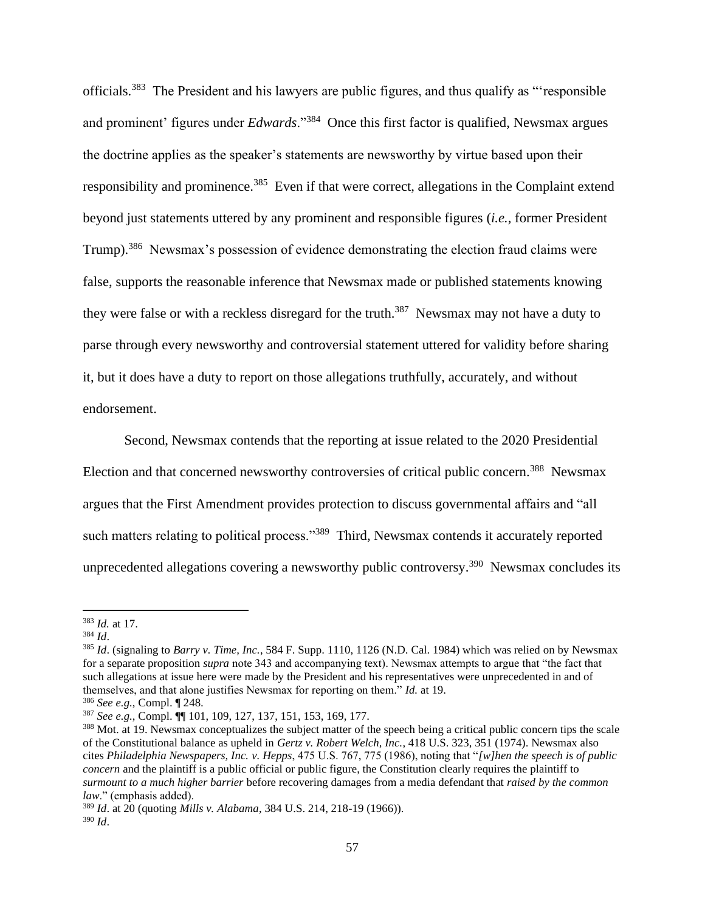officials.<sup>383</sup> The President and his lawyers are public figures, and thus qualify as "responsible and prominent' figures under *Edwards*."<sup>384</sup> Once this first factor is qualified, Newsmax argues the doctrine applies as the speaker's statements are newsworthy by virtue based upon their responsibility and prominence.<sup>385</sup> Even if that were correct, allegations in the Complaint extend beyond just statements uttered by any prominent and responsible figures (*i.e.*, former President Trump).<sup>386</sup> Newsmax's possession of evidence demonstrating the election fraud claims were false, supports the reasonable inference that Newsmax made or published statements knowing they were false or with a reckless disregard for the truth.<sup>387</sup> Newsmax may not have a duty to parse through every newsworthy and controversial statement uttered for validity before sharing it, but it does have a duty to report on those allegations truthfully, accurately, and without endorsement.

Second, Newsmax contends that the reporting at issue related to the 2020 Presidential Election and that concerned newsworthy controversies of critical public concern.<sup>388</sup> Newsmax argues that the First Amendment provides protection to discuss governmental affairs and "all such matters relating to political process."<sup>389</sup> Third, Newsmax contends it accurately reported unprecedented allegations covering a newsworthy public controversy.<sup>390</sup> Newsmax concludes its

<sup>383</sup> *Id.* at 17.

<sup>384</sup> *Id*.

<sup>385</sup> *Id*. (signaling to *Barry v. Time, Inc.*, 584 F. Supp. 1110, 1126 (N.D. Cal. 1984) which was relied on by Newsmax for a separate proposition *supra* note 343 and accompanying text). Newsmax attempts to argue that "the fact that such allegations at issue here were made by the President and his representatives were unprecedented in and of themselves, and that alone justifies Newsmax for reporting on them." *Id.* at 19.

<sup>386</sup> *See e.g.*, Compl. ¶ 248.

<sup>387</sup> *See e.g.*, Compl. ¶¶ 101, 109, 127, 137, 151, 153, 169, 177.

<sup>388</sup> Mot. at 19. Newsmax conceptualizes the subject matter of the speech being a critical public concern tips the scale of the Constitutional balance as upheld in *Gertz v. Robert Welch, Inc.*, 418 U.S. 323, 351 (1974). Newsmax also cites *Philadelphia Newspapers, Inc. v. Hepps*, 475 U.S. 767, 775 (1986), noting that "*[w]hen the speech is of public concern* and the plaintiff is a public official or public figure, the Constitution clearly requires the plaintiff to *surmount to a much higher barrier* before recovering damages from a media defendant that *raised by the common law*." (emphasis added).

<sup>389</sup> *Id*. at 20 (quoting *Mills v. Alabama*, 384 U.S. 214, 218-19 (1966)). <sup>390</sup> *Id*.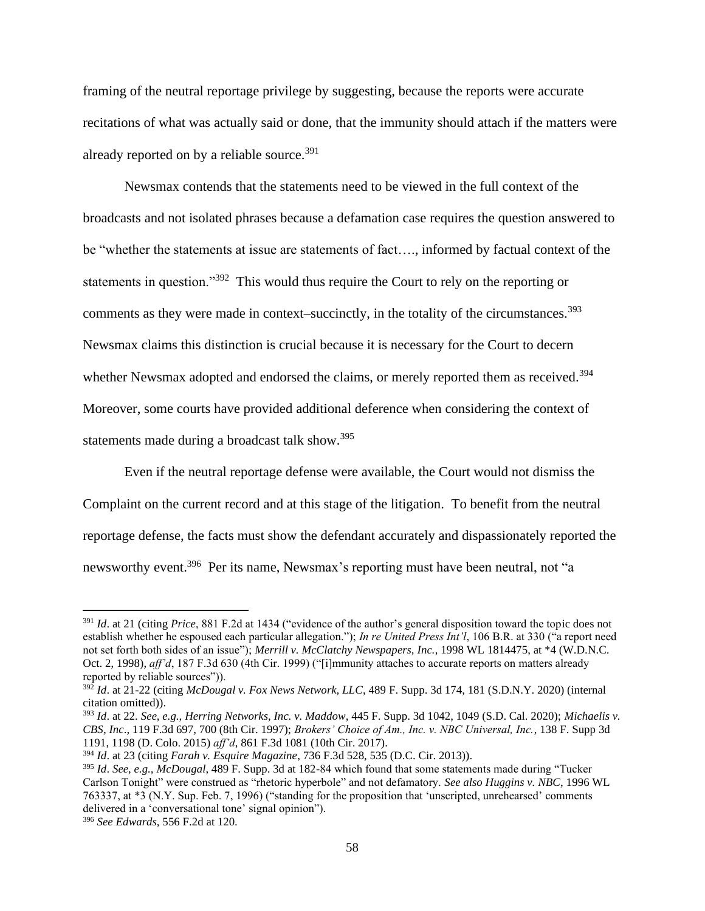framing of the neutral reportage privilege by suggesting, because the reports were accurate recitations of what was actually said or done, that the immunity should attach if the matters were already reported on by a reliable source.<sup>391</sup>

Newsmax contends that the statements need to be viewed in the full context of the broadcasts and not isolated phrases because a defamation case requires the question answered to be "whether the statements at issue are statements of fact…., informed by factual context of the statements in question."<sup>392</sup> This would thus require the Court to rely on the reporting or comments as they were made in context–succinctly, in the totality of the circumstances.<sup>393</sup> Newsmax claims this distinction is crucial because it is necessary for the Court to decern whether Newsmax adopted and endorsed the claims, or merely reported them as received.<sup>394</sup> Moreover, some courts have provided additional deference when considering the context of statements made during a broadcast talk show.<sup>395</sup>

Even if the neutral reportage defense were available, the Court would not dismiss the Complaint on the current record and at this stage of the litigation. To benefit from the neutral reportage defense, the facts must show the defendant accurately and dispassionately reported the newsworthy event.<sup>396</sup> Per its name, Newsmax's reporting must have been neutral, not "a

<sup>391</sup> *Id*. at 21 (citing *Price*, 881 F.2d at 1434 ("evidence of the author's general disposition toward the topic does not establish whether he espoused each particular allegation."); *In re United Press Int'l*, 106 B.R. at 330 ("a report need not set forth both sides of an issue"); *Merrill v. McClatchy Newspapers, Inc.*, 1998 WL 1814475, at \*4 (W.D.N.C. Oct. 2, 1998), *aff'd*, 187 F.3d 630 (4th Cir. 1999) ("[i]mmunity attaches to accurate reports on matters already reported by reliable sources")).

<sup>392</sup> *Id*. at 21-22 (citing *McDougal v. Fox News Network, LLC*, 489 F. Supp. 3d 174, 181 (S.D.N.Y. 2020) (internal citation omitted)).

<sup>393</sup> *Id*. at 22. *See, e.g., Herring Networks, Inc. v. Maddow*, 445 F. Supp. 3d 1042, 1049 (S.D. Cal. 2020); *Michaelis v. CBS, Inc*.*,* 119 F.3d 697, 700 (8th Cir. 1997); *Brokers' Choice of Am., Inc. v. NBC Universal, Inc.*, 138 F. Supp 3d 1191, 1198 (D. Colo. 2015) *aff'd*, 861 F.3d 1081 (10th Cir. 2017).

<sup>394</sup> *Id*. at 23 (citing *Farah v. Esquire Magazine*, 736 F.3d 528, 535 (D.C. Cir. 2013)).

<sup>395</sup> *Id*. *See, e.g.*, *McDougal*, 489 F. Supp. 3d at 182-84 which found that some statements made during "Tucker Carlson Tonight" were construed as "rhetoric hyperbole" and not defamatory. *See also Huggins v. NBC*, 1996 WL 763337, at \*3 (N.Y. Sup. Feb. 7, 1996) ("standing for the proposition that 'unscripted, unrehearsed' comments delivered in a 'conversational tone' signal opinion").

<sup>396</sup> *See Edwards*, 556 F.2d at 120.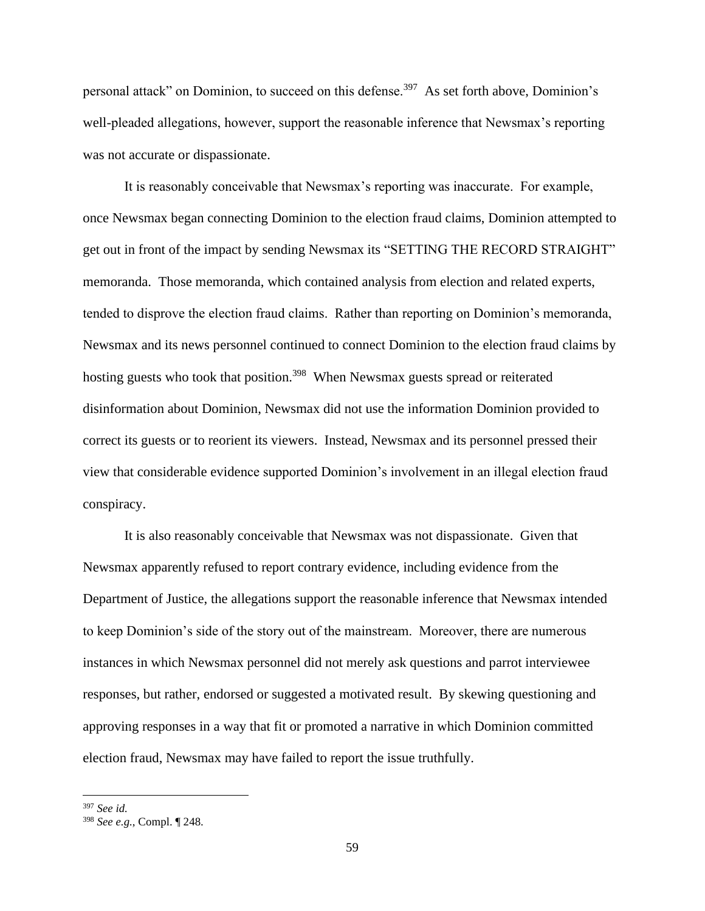personal attack" on Dominion, to succeed on this defense.<sup>397</sup> As set forth above, Dominion's well-pleaded allegations, however, support the reasonable inference that Newsmax's reporting was not accurate or dispassionate.

It is reasonably conceivable that Newsmax's reporting was inaccurate. For example, once Newsmax began connecting Dominion to the election fraud claims, Dominion attempted to get out in front of the impact by sending Newsmax its "SETTING THE RECORD STRAIGHT" memoranda. Those memoranda, which contained analysis from election and related experts, tended to disprove the election fraud claims. Rather than reporting on Dominion's memoranda, Newsmax and its news personnel continued to connect Dominion to the election fraud claims by hosting guests who took that position.<sup>398</sup> When Newsmax guests spread or reiterated disinformation about Dominion, Newsmax did not use the information Dominion provided to correct its guests or to reorient its viewers. Instead, Newsmax and its personnel pressed their view that considerable evidence supported Dominion's involvement in an illegal election fraud conspiracy.

It is also reasonably conceivable that Newsmax was not dispassionate. Given that Newsmax apparently refused to report contrary evidence, including evidence from the Department of Justice, the allegations support the reasonable inference that Newsmax intended to keep Dominion's side of the story out of the mainstream. Moreover, there are numerous instances in which Newsmax personnel did not merely ask questions and parrot interviewee responses, but rather, endorsed or suggested a motivated result. By skewing questioning and approving responses in a way that fit or promoted a narrative in which Dominion committed election fraud, Newsmax may have failed to report the issue truthfully.

<sup>397</sup> *See id.*

<sup>398</sup> *See e.g.*, Compl. ¶ 248.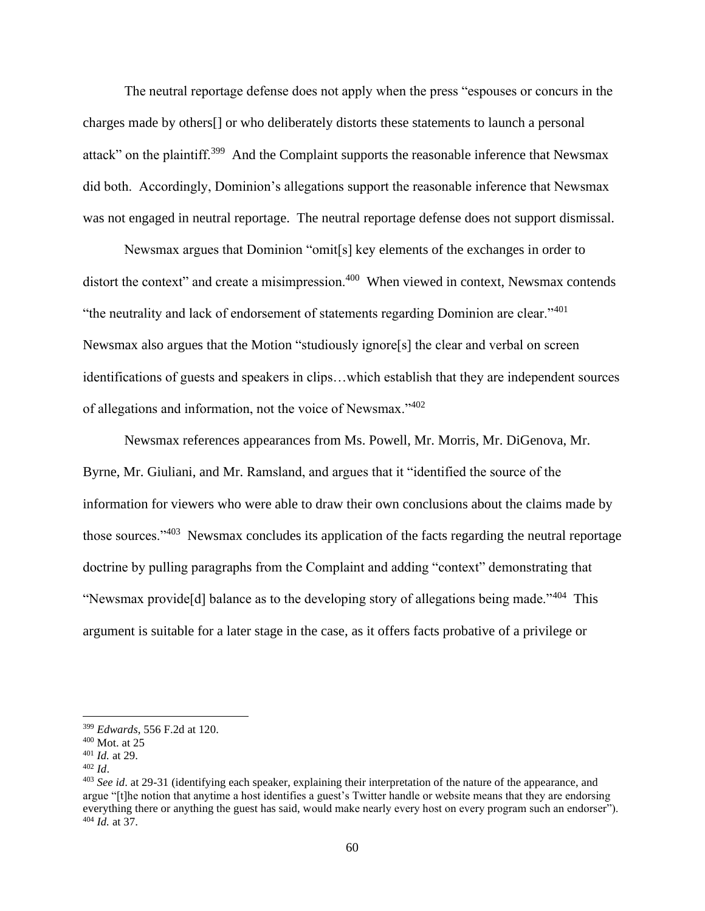The neutral reportage defense does not apply when the press "espouses or concurs in the charges made by others[] or who deliberately distorts these statements to launch a personal attack" on the plaintiff.<sup>399</sup> And the Complaint supports the reasonable inference that Newsmax did both. Accordingly, Dominion's allegations support the reasonable inference that Newsmax was not engaged in neutral reportage. The neutral reportage defense does not support dismissal.

Newsmax argues that Dominion "omit[s] key elements of the exchanges in order to distort the context" and create a misimpression.<sup>400</sup> When viewed in context, Newsmax contends "the neutrality and lack of endorsement of statements regarding Dominion are clear."<sup>401</sup> Newsmax also argues that the Motion "studiously ignore[s] the clear and verbal on screen identifications of guests and speakers in clips…which establish that they are independent sources of allegations and information, not the voice of Newsmax."402

Newsmax references appearances from Ms. Powell, Mr. Morris, Mr. DiGenova, Mr. Byrne, Mr. Giuliani, and Mr. Ramsland, and argues that it "identified the source of the information for viewers who were able to draw their own conclusions about the claims made by those sources."<sup>403</sup> Newsmax concludes its application of the facts regarding the neutral reportage doctrine by pulling paragraphs from the Complaint and adding "context" demonstrating that "Newsmax provide [d] balance as to the developing story of allegations being made."<sup>404</sup> This argument is suitable for a later stage in the case, as it offers facts probative of a privilege or

<sup>399</sup> *Edwards*, 556 F.2d at 120.

 $400$  Mot. at 25

<sup>401</sup> *Id.* at 29.

<sup>402</sup> *Id*.

<sup>403</sup> *See id*. at 29-31 (identifying each speaker, explaining their interpretation of the nature of the appearance, and argue "[t]he notion that anytime a host identifies a guest's Twitter handle or website means that they are endorsing everything there or anything the guest has said, would make nearly every host on every program such an endorser"). <sup>404</sup> *Id.* at 37.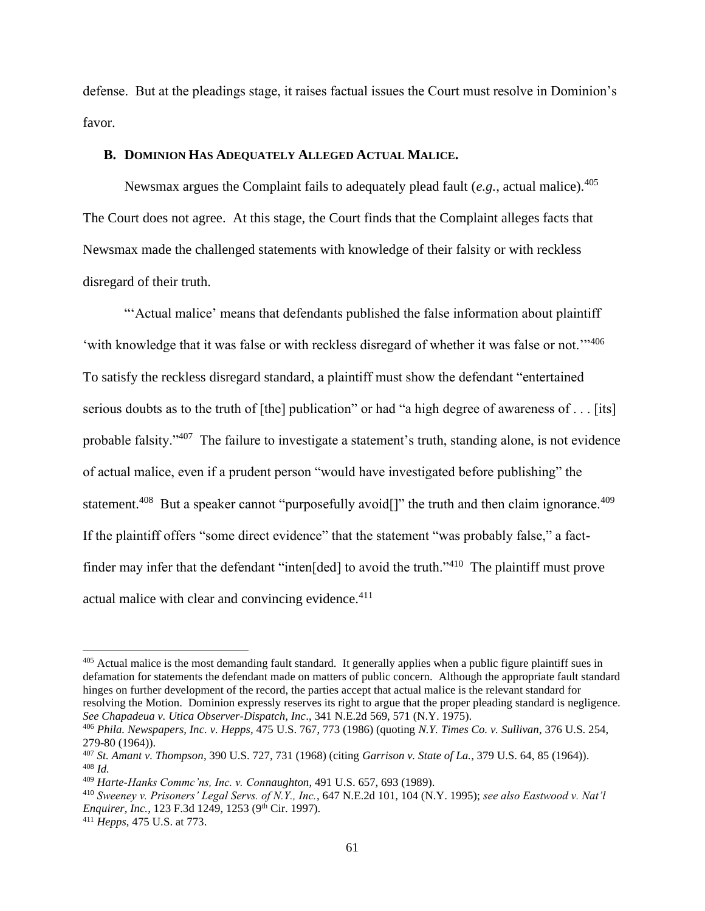defense. But at the pleadings stage, it raises factual issues the Court must resolve in Dominion's favor.

## **B. DOMINION HAS ADEQUATELY ALLEGED ACTUAL MALICE.**

Newsmax argues the Complaint fails to adequately plead fault  $(e.g.,$  actual malice).<sup>405</sup> The Court does not agree. At this stage, the Court finds that the Complaint alleges facts that Newsmax made the challenged statements with knowledge of their falsity or with reckless disregard of their truth.

"'Actual malice' means that defendants published the false information about plaintiff 'with knowledge that it was false or with reckless disregard of whether it was false or not."<sup>406</sup> To satisfy the reckless disregard standard, a plaintiff must show the defendant "entertained serious doubts as to the truth of [the] publication" or had "a high degree of awareness of . . . [its] probable falsity."<sup>407</sup> The failure to investigate a statement's truth, standing alone, is not evidence of actual malice, even if a prudent person "would have investigated before publishing" the statement.<sup>408</sup> But a speaker cannot "purposefully avoid<sup>[]"</sup> the truth and then claim ignorance.<sup>409</sup> If the plaintiff offers "some direct evidence" that the statement "was probably false," a factfinder may infer that the defendant "inten[ded] to avoid the truth."<sup>410</sup> The plaintiff must prove actual malice with clear and convincing evidence. $411$ 

<sup>&</sup>lt;sup>405</sup> Actual malice is the most demanding fault standard. It generally applies when a public figure plaintiff sues in defamation for statements the defendant made on matters of public concern. Although the appropriate fault standard hinges on further development of the record, the parties accept that actual malice is the relevant standard for resolving the Motion. Dominion expressly reserves its right to argue that the proper pleading standard is negligence. *See Chapadeua v. Utica Observer-Dispatch, Inc*., 341 N.E.2d 569, 571 (N.Y. 1975).

<sup>406</sup> *Phila. Newspapers, Inc. v. Hepps*, 475 U.S. 767, 773 (1986) (quoting *N.Y. Times Co. v. Sullivan*, 376 U.S. 254, 279-80 (1964)).

<sup>407</sup> *St. Amant v. Thompson*, 390 U.S. 727, 731 (1968) (citing *Garrison v. State of La.*, 379 U.S. 64, 85 (1964)). <sup>408</sup> *Id.*

<sup>409</sup> *Harte-Hanks Commc'ns, Inc. v. Connaughton*, 491 U.S. 657, 693 (1989).

<sup>410</sup> *Sweeney v. Prisoners' Legal Servs. of N.Y., Inc.*, 647 N.E.2d 101, 104 (N.Y. 1995); *see also Eastwood v. Nat'l Enquirer, Inc.*, 123 F.3d 1249, 1253 (9<sup>th</sup> Cir. 1997).

<sup>411</sup> *Hepps*, 475 U.S. at 773.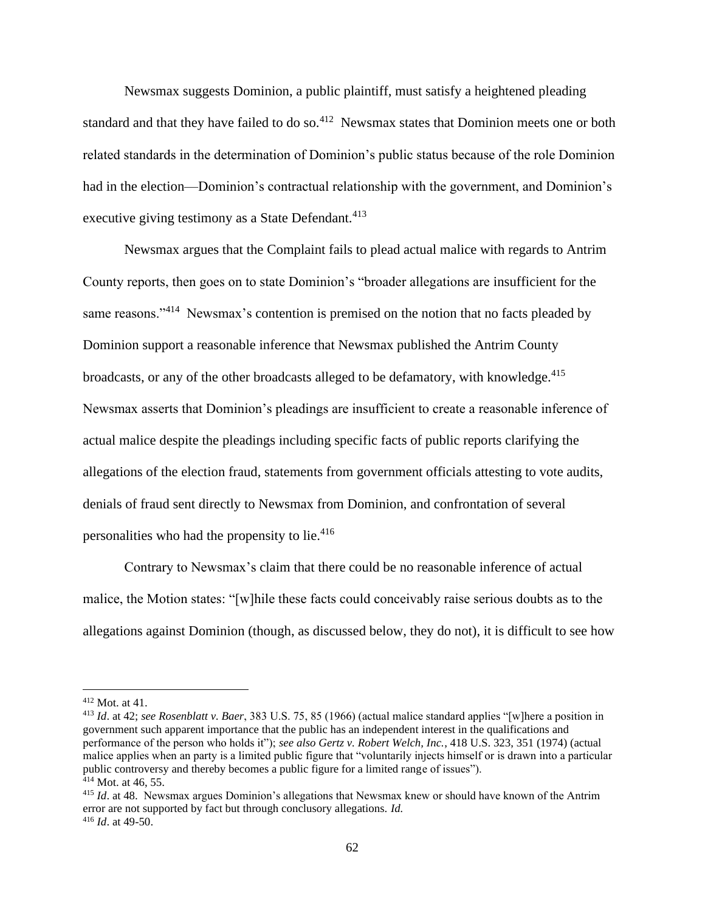Newsmax suggests Dominion, a public plaintiff, must satisfy a heightened pleading standard and that they have failed to do so.<sup>412</sup> Newsmax states that Dominion meets one or both related standards in the determination of Dominion's public status because of the role Dominion had in the election—Dominion's contractual relationship with the government, and Dominion's executive giving testimony as a State Defendant.<sup>413</sup>

Newsmax argues that the Complaint fails to plead actual malice with regards to Antrim County reports, then goes on to state Dominion's "broader allegations are insufficient for the same reasons."<sup>414</sup> Newsmax's contention is premised on the notion that no facts pleaded by Dominion support a reasonable inference that Newsmax published the Antrim County broadcasts, or any of the other broadcasts alleged to be defamatory, with knowledge.<sup>415</sup> Newsmax asserts that Dominion's pleadings are insufficient to create a reasonable inference of actual malice despite the pleadings including specific facts of public reports clarifying the allegations of the election fraud, statements from government officials attesting to vote audits, denials of fraud sent directly to Newsmax from Dominion, and confrontation of several personalities who had the propensity to lie.<sup>416</sup>

Contrary to Newsmax's claim that there could be no reasonable inference of actual malice, the Motion states: "[w]hile these facts could conceivably raise serious doubts as to the allegations against Dominion (though, as discussed below, they do not), it is difficult to see how

 $412$  Mot. at 41.

<sup>413</sup> *Id*. at 42; *see Rosenblatt v. Baer*, 383 U.S. 75, 85 (1966) (actual malice standard applies "[w]here a position in government such apparent importance that the public has an independent interest in the qualifications and performance of the person who holds it"); *see also Gertz v. Robert Welch, Inc.*, 418 U.S. 323, 351 (1974) (actual malice applies when an party is a limited public figure that "voluntarily injects himself or is drawn into a particular public controversy and thereby becomes a public figure for a limited range of issues").  $414$  Mot. at 46, 55.

<sup>&</sup>lt;sup>415</sup> *Id.* at 48. Newsmax argues Dominion's allegations that Newsmax knew or should have known of the Antrim error are not supported by fact but through conclusory allegations. *Id.*  <sup>416</sup> *Id*. at 49-50.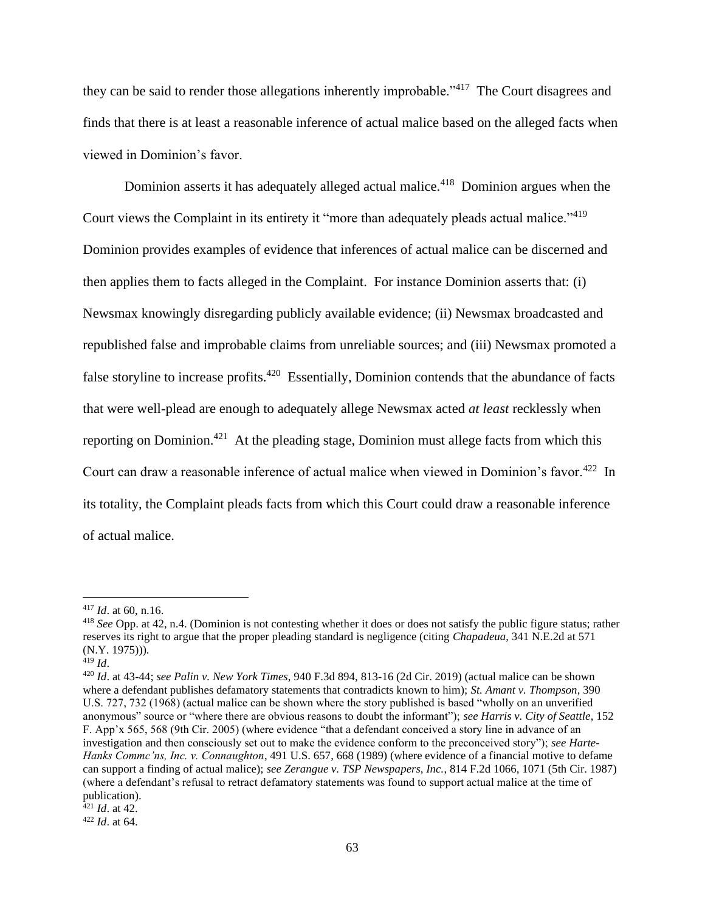they can be said to render those allegations inherently improbable."<sup>417</sup> The Court disagrees and finds that there is at least a reasonable inference of actual malice based on the alleged facts when viewed in Dominion's favor.

Dominion asserts it has adequately alleged actual malice.<sup>418</sup> Dominion argues when the Court views the Complaint in its entirety it "more than adequately pleads actual malice."<sup>419</sup> Dominion provides examples of evidence that inferences of actual malice can be discerned and then applies them to facts alleged in the Complaint. For instance Dominion asserts that: (i) Newsmax knowingly disregarding publicly available evidence; (ii) Newsmax broadcasted and republished false and improbable claims from unreliable sources; and (iii) Newsmax promoted a false storyline to increase profits.<sup>420</sup> Essentially, Dominion contends that the abundance of facts that were well-plead are enough to adequately allege Newsmax acted *at least* recklessly when reporting on Dominion.<sup>421</sup> At the pleading stage, Dominion must allege facts from which this Court can draw a reasonable inference of actual malice when viewed in Dominion's favor.<sup>422</sup> In its totality, the Complaint pleads facts from which this Court could draw a reasonable inference of actual malice.

<sup>417</sup> *Id*. at 60, n.16.

<sup>418</sup> *See* Opp. at 42, n.4. (Dominion is not contesting whether it does or does not satisfy the public figure status; rather reserves its right to argue that the proper pleading standard is negligence (citing *Chapadeua*, 341 N.E.2d at 571 (N.Y. 1975))).

<sup>419</sup> *Id*.

<sup>420</sup> *Id*. at 43-44; *see Palin v. New York Times*, 940 F.3d 894, 813-16 (2d Cir. 2019) (actual malice can be shown where a defendant publishes defamatory statements that contradicts known to him); *St. Amant v. Thompson*, 390 U.S. 727, 732 (1968) (actual malice can be shown where the story published is based "wholly on an unverified anonymous" source or "where there are obvious reasons to doubt the informant"); *see Harris v. City of Seattle*, 152 F. App'x 565, 568 (9th Cir. 2005) (where evidence "that a defendant conceived a story line in advance of an investigation and then consciously set out to make the evidence conform to the preconceived story"); *see Harte-Hanks Commc'ns, Inc. v. Connaughton*, 491 U.S. 657, 668 (1989) (where evidence of a financial motive to defame can support a finding of actual malice); *see Zerangue v. TSP Newspapers, Inc.*, 814 F.2d 1066, 1071 (5th Cir. 1987) (where a defendant's refusal to retract defamatory statements was found to support actual malice at the time of publication).

<sup>421</sup> *Id*. at 42.

<sup>422</sup> *Id*. at 64.